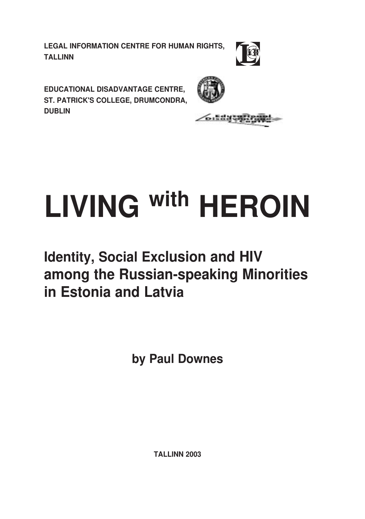**LEGAL INFORMATION CENTRE FOR HUMAN RIGHTS, TALLINN** 



EDUCATIONAL DISADVANTAGE CENTRE. ST. PATRICK'S COLLEGE, DRUMCONDRA, **DUBLIN** 



official

# **LIVING With HEROIN**

# **Identity, Social Exclusion and HIV** among the Russian-speaking Minorities in Estonia and Latvia

by Paul Downes

**TALLINN 2003**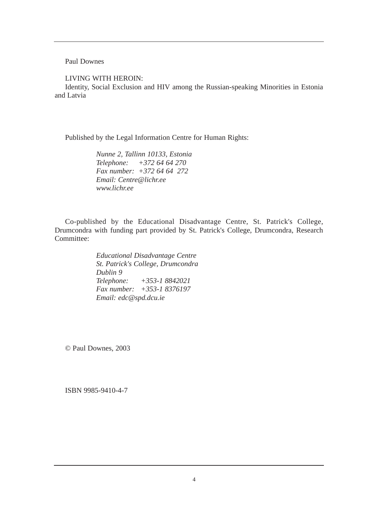Paul Downes

LIVING WITH HEROIN:

Identity, Social Exclusion and HIV among the Russian-speaking Minorities in Estonia and Latvia

Published by the Legal Information Centre for Human Rights:

*Nunne 2, Tallinn 10133, Estonia Telephone: +372 64 64 270 Fax number: +372 64 64 272 Email: Centre@lichr.ee www.lichr.ee*

Co-published by the Educational Disadvantage Centre, St. Patrick's College, Drumcondra with funding part provided by St. Patrick's College, Drumcondra, Research Committee:

> *Educational Disadvantage Centre St. Patrick's College, Drumcondra Dublin 9 Telephone: +353-1 8842021 Fax number: +353-1 8376197 Email: edc@spd.dcu.ie*

© Paul Downes, 2003

ISBN 9985-9410-4-7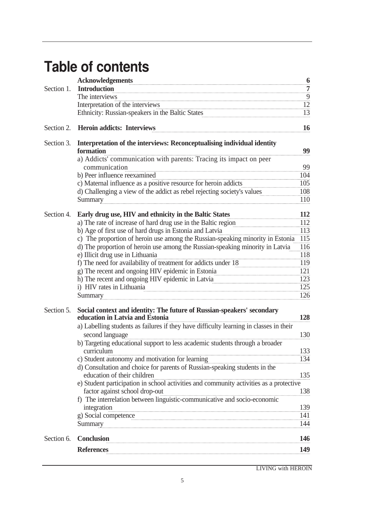# Table of contents

|            | <b>Acknowledgements</b>                                                                                                  | 6               |
|------------|--------------------------------------------------------------------------------------------------------------------------|-----------------|
| Section 1. | <b>Introduction</b>                                                                                                      | $\overline{7}$  |
|            | The interviews                                                                                                           | $\overline{9}$  |
|            | Interpretation of the interviews                                                                                         | 12              |
|            | Ethnicity: Russian-speakers in the Baltic States                                                                         | $\overline{13}$ |
| Section 2. | <b>Heroin addicts: Interviews</b>                                                                                        | 16              |
| Section 3. | Interpretation of the interviews: Reconceptualising individual identity<br>formation                                     | 99              |
|            | a) Addicts' communication with parents: Tracing its impact on peer<br>communication                                      | 99              |
|            | b) Peer influence reexamined                                                                                             | 104             |
|            | c) Maternal influence as a positive resource for heroin addicts                                                          | 105             |
|            | d) Challenging a view of the addict as rebel rejecting society's values<br>Summary                                       | 108<br>110      |
| Section 4. | Early drug use, HIV and ethnicity in the Baltic States                                                                   | 112             |
|            | a) The rate of increase of hard drug use in the Baltic region                                                            | 112             |
|            | b) Age of first use of hard drugs in Estonia and Latvia                                                                  | 113             |
|            | c) The proportion of heroin use among the Russian-speaking minority in Estonia                                           | 115             |
|            | d) The proportion of heroin use among the Russian-speaking minority in Latvia                                            | 116             |
|            | e) Illicit drug use in Lithuania                                                                                         | 118             |
|            | f) The need for availability of treatment for addicts under 18                                                           | 119             |
|            | g) The recent and ongoing HIV epidemic in Estonia                                                                        | 121             |
|            | h) The recent and ongoing HIV epidemic in Latvia                                                                         | 123             |
|            | i) HIV rates in Lithuania                                                                                                | 125             |
|            | Summary                                                                                                                  | 126             |
| Section 5. | Social context and identity: The future of Russian-speakers' secondary<br>education in Latvia and Estonia                | 128             |
|            | a) Labelling students as failures if they have difficulty learning in classes in their<br>second language                | 130             |
|            | b) Targeting educational support to less academic students through a broader                                             |                 |
|            | curriculum                                                                                                               | 133             |
|            | c) Student autonomy and motivation for learning                                                                          | 134             |
|            | d) Consultation and choice for parents of Russian-speaking students in the<br>education of their children                | 135             |
|            | e) Student participation in school activities and community activities as a protective<br>factor against school drop-out | 138             |
|            | f) The interrelation between linguistic-communicative and socio-economic                                                 |                 |
|            | integration                                                                                                              | 139             |
|            | g) Social competence                                                                                                     | 141             |
|            | Summary                                                                                                                  | 144             |
| Section 6. | <b>Conclusion</b>                                                                                                        | 146             |
|            | <b>References</b>                                                                                                        | 149             |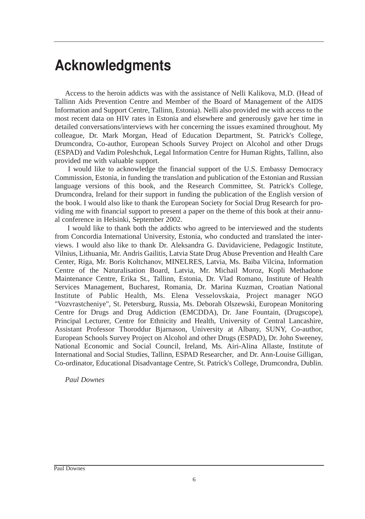# **Acknowledgments**

Access to the heroin addicts was with the assistance of Nelli Kalikova, M.D. (Head of Tallinn Aids Prevention Centre and Member of the Board of Management of the AIDS Information and Support Centre, Tallinn, Estonia). Nelli also provided me with access to the most recent data on HIV rates in Estonia and elsewhere and generously gave her time in detailed conversations/interviews with her concerning the issues examined throughout. My colleague, Dr. Mark Morgan, Head of Education Department, St. Patrick's College, Drumcondra, Co-author, European Schools Survey Project on Alcohol and other Drugs (ESPAD) and Vadim Poleshchuk, Legal Information Centre for Human Rights, Tallinn, also provided me with valuable support.

I would like to acknowledge the financial support of the U.S. Embassy Democracy Commission, Estonia, in funding the translation and publication of the Estonian and Russian language versions of this book, and the Research Committee, St. Patrick's College, Drumcondra, Ireland for their support in funding the publication of the English version of the book. I would also like to thank the European Society for Social Drug Research for providing me with financial support to present a paper on the theme of this book at their annual conference in Helsinki, September 2002.

I would like to thank both the addicts who agreed to be interviewed and the students from Concordia International University, Estonia, who conducted and translated the interviews. I would also like to thank Dr. Aleksandra G. Davidaviciene, Pedagogic Institute, Vilnius, Lithuania, Mr. Andris Gailitis, Latvia State Drug Abuse Prevention and Health Care Center, Riga, Mr. Boris Koltchanov, MINELRES, Latvia, Ms. Baiba Vilcina, Information Centre of the Naturalisation Board, Latvia, Mr. Michail Moroz, Kopli Methadone Maintenance Centre, Erika St., Tallinn, Estonia, Dr. Vlad Romano, Institute of Health Services Management, Bucharest, Romania, Dr. Marina Kuzman, Croatian National Institute of Public Health, Ms. Elena Vesselovskaia, Project manager NGO "Vozvrastcheniye", St. Petersburg, Russia, Ms. Deborah Olszewski, European Monitoring Centre for Drugs and Drug Addiction (EMCDDA), Dr. Jane Fountain, (Drugscope), Principal Lecturer, Centre for Ethnicity and Health, University of Central Lancashire, Assistant Professor Thoroddur Bjarnason, University at Albany, SUNY, Co-author, European Schools Survey Project on Alcohol and other Drugs (ESPAD), Dr. John Sweeney, National Economic and Social Council, Ireland, Ms. Airi-Alina Allaste, Institute of International and Social Studies, Tallinn, ESPAD Researcher, and Dr. Ann-Louise Gilligan, Co-ordinator, Educational Disadvantage Centre, St. Patrick's College, Drumcondra, Dublin.

*Paul Downes*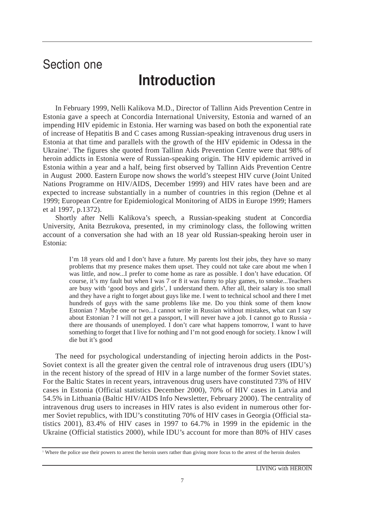# Section one

# **Introduction**

In February 1999, Nelli Kalikova M.D., Director of Tallinn Aids Prevention Centre in Estonia gave a speech at Concordia International University, Estonia and warned of an impending HIV epidemic in Estonia. Her warning was based on both the exponential rate of increase of Hepatitis B and C cases among Russian-speaking intravenous drug users in Estonia at that time and parallels with the growth of the HIV epidemic in Odessa in the Ukraine'. The figures she quoted from Tallinn Aids Prevention Centre were that 98% of heroin addicts in Estonia were of Russian-speaking origin. The HIV epidemic arrived in Estonia within a year and a half, being first observed by Tallinn Aids Prevention Centre in August 2000. Eastern Europe now shows the world's steepest HIV curve (Joint United Nations Programme on HIV/AIDS, December 1999) and HIV rates have been and are expected to increase substantially in a number of countries in this region (Dehne et al 1999; European Centre for Epidemiological Monitoring of AIDS in Europe 1999; Hamers et al 1997, p.1372).

Shortly after Nelli Kalikova's speech, a Russian-speaking student at Concordia University, Anita Bezrukova, presented, in my criminology class, the following written account of a conversation she had with an 18 year old Russian-speaking heroin user in Estonia:

I'm 18 years old and I don't have a future. My parents lost their jobs, they have so many problems that my presence makes them upset. They could not take care about me when I was little, and now...I prefer to come home as rare as possible. I don't have education. Of course, it's my fault but when I was 7 or 8 it was funny to play games, to smoke...Teachers are busy with 'good boys and girls', I understand them. After all, their salary is too small and they have a right to forget about guys like me. I went to technical school and there I met hundreds of guys with the same problems like me. Do you think some of them know Estonian ? Maybe one or two...I cannot write in Russian without mistakes, what can I say about Estonian ? I will not get a passport, I will never have a job. I cannot go to Russia there are thousands of unemployed. I don't care what happens tomorrow, I want to have something to forget that I live for nothing and I'm not good enough for society. I know I will die but it's good

The need for psychological understanding of injecting heroin addicts in the Post-Soviet context is all the greater given the central role of intravenous drug users (IDU's) in the recent history of the spread of HIV in a large number of the former Soviet states. For the Baltic States in recent years, intravenous drug users have constituted 73% of HIV cases in Estonia (Official statistics December 2000), 70% of HIV cases in Latvia and 54.5% in Lithuania (Baltic HIV/AIDS Info Newsletter, February 2000). The centrality of intravenous drug users to increases in HIV rates is also evident in numerous other former Soviet republics, with IDU's constituting 70% of HIV cases in Georgia (Official statistics 2001), 83.4% of HIV cases in 1997 to 64.7% in 1999 in the epidemic in the Ukraine (Official statistics 2000), while IDU's account for more than 80% of HIV cases

<sup>1</sup> Where the police use their powers to arrest the heroin users rather than giving more focus to the arrest of the heroin dealers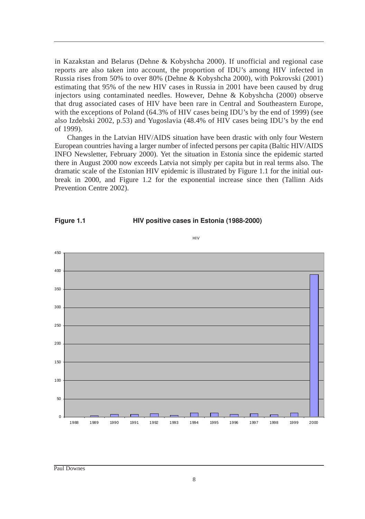in Kazakstan and Belarus (Dehne & Kobyshcha 2000). If unofficial and regional case reports are also taken into account, the proportion of IDU's among HIV infected in Russia rises from 50% to over 80% (Dehne & Kobyshcha 2000), with Pokrovski (2001) estimating that 95% of the new HIV cases in Russia in 2001 have been caused by drug injectors using contaminated needles. However, Dehne & Kobyshcha (2000) observe that drug associated cases of HIV have been rare in Central and Southeastern Europe, with the exceptions of Poland (64.3% of HIV cases being IDU's by the end of 1999) (see also Izdebski 2002, p.53) and Yugoslavia (48.4% of HIV cases being IDU's by the end of 1999).

Changes in the Latvian HIV/AIDS situation have been drastic with only four Western European countries having a larger number of infected persons per capita (Baltic HIV/AIDS INFO Newsletter, February 2000). Yet the situation in Estonia since the epidemic started there in August 2000 now exceeds Latvia not simply per capita but in real terms also. The dramatic scale of the Estonian HIV epidemic is illustrated by Figure 1.1 for the initial outbreak in 2000, and Figure 1.2 for the exponential increase since then (Tallinn Aids Prevention Centre 2002).



Figure 1.1 **HIV positive cases in Estonia (1988-2000)** 

HIV

Paul Downes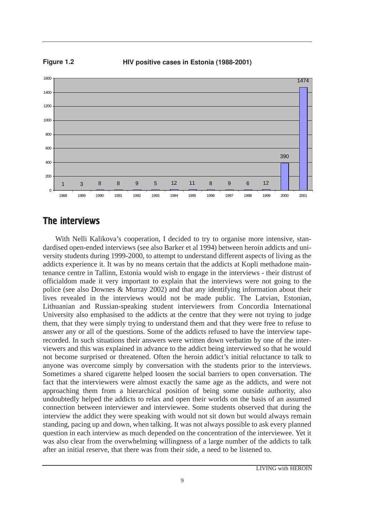Figure 1.2 HIV positive cases in Estonia (1988-2001)



## The interviews

With Nelli Kalikova's cooperation, I decided to try to organise more intensive, standardised open-ended interviews (see also Barker et al 1994) between heroin addicts and university students during 1999-2000, to attempt to understand different aspects of living as the addicts experience it. It was by no means certain that the addicts at Kopli methadone maintenance centre in Tallinn, Estonia would wish to engage in the interviews - their distrust of officialdom made it very important to explain that the interviews were not going to the police (see also Downes & Murray 2002) and that any identifying information about their lives revealed in the interviews would not be made public. The Latvian, Estonian, Lithuanian and Russian-speaking student interviewers from Concordia International University also emphasised to the addicts at the centre that they were not trying to judge them, that they were simply trying to understand them and that they were free to refuse to answer any or all of the questions. Some of the addicts refused to have the interview taperecorded. In such situations their answers were written down verbatim by one of the interviewers and this was explained in advance to the addict being interviewed so that he would not become surprised or threatened. Often the heroin addict's initial reluctance to talk to anyone was overcome simply by conversation with the students prior to the interviews. Sometimes a shared cigarette helped loosen the social barriers to open conversation. The fact that the interviewers were almost exactly the same age as the addicts, and were not approaching them from a hierarchical position of being some outside authority, also undoubtedly helped the addicts to relax and open their worlds on the basis of an assumed connection between interviewer and interviewee. Some students observed that during the interview the addict they were speaking with would not sit down but would always remain standing, pacing up and down, when talking. It was not always possible to ask every planned question in each interview as much depended on the concentration of the interviewee. Yet it was also clear from the overwhelming willingness of a large number of the addicts to talk after an initial reserve, that there was from their side, a need to be listened to.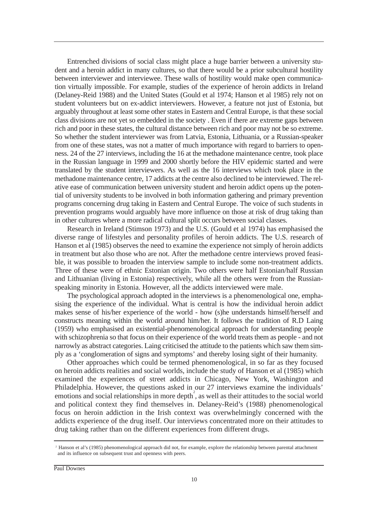Entrenched divisions of social class might place a huge barrier between a university student and a heroin addict in many cultures, so that there would be a prior subcultural hostility between interviewer and interviewee. These walls of hostility would make open communication virtually impossible. For example, studies of the experience of heroin addicts in Ireland (Delaney-Reid 1988) and the United States (Gould et al 1974; Hanson et al 1985) rely not on student volunteers but on ex-addict interviewers. However, a feature not just of Estonia, but arguably throughout at least some other states in Eastern and Central Europe, is that these social class divisions are not yet so embedded in the society . Even if there are extreme gaps between rich and poor in these states, the cultural distance between rich and poor may not be so extreme. So whether the student interviewer was from Latvia, Estonia, Lithuania, or a Russian-speaker from one of these states, was not a matter of much importance with regard to barriers to openness. 24 of the 27 interviews, including the 16 at the methadone maintenance centre, took place in the Russian language in 1999 and 2000 shortly before the HIV epidemic started and were translated by the student interviewers. As well as the 16 interviews which took place in the methadone maintenance centre, 17 addicts at the centre also declined to be interviewed. The relative ease of communication between university student and heroin addict opens up the potential of university students to be involved in both information gathering and primary prevention programs concerning drug taking in Eastern and Central Europe. The voice of such students in prevention programs would arguably have more influence on those at risk of drug taking than in other cultures where a more radical cultural split occurs between social classes.

Research in Ireland (Stimson 1973) and the U.S. (Gould et al 1974) has emphasised the diverse range of lifestyles and personality profiles of heroin addicts. The U.S. research of Hanson et al (1985) observes the need to examine the experience not simply of heroin addicts in treatment but also those who are not. After the methadone centre interviews proved feasible, it was possible to broaden the interview sample to include some non-treatment addicts. Three of these were of ethnic Estonian origin. Two others were half Estonian/half Russian and Lithuanian (living in Estonia) respectively, while all the others were from the Russianspeaking minority in Estonia. However, all the addicts interviewed were male.

The psychological approach adopted in the interviews is a phenomenological one, emphasising the experience of the individual. What is central is how the individual heroin addict makes sense of his/her experience of the world - how (s)he understands himself/herself and constructs meaning within the world around him/her. It follows the tradition of R.D Laing (1959) who emphasised an existential-phenomenological approach for understanding people with schizophrenia so that focus on their experience of the world treats them as people - and not narrowly as abstract categories. Laing criticised the attitude to the patients which saw them simply as a 'conglomeration of signs and symptoms' and thereby losing sight of their humanity.

Other approaches which could be termed phenomenological, in so far as they focused on heroin addicts realities and social worlds, include the study of Hanson et al (1985) which examined the experiences of street addicts in Chicago, New York, Washington and Philadelphia. However, the questions asked in our 27 interviews examine the individuals' emotions and social relationships in more depth<sup>2</sup>, as well as their attitudes to the social world and political context they find themselves in. Delaney-Reid's (1988) phenomenological focus on heroin addiction in the Irish context was overwhelmingly concerned with the addicts experience of the drug itself. Our interviews concentrated more on their attitudes to drug taking rather than on the different experiences from different drugs.

Paul Downes

<sup>2</sup> Hanson et al's (1985) phenomenological approach did not, for example, explore the relationship between parental attachment and its influence on subsequent trust and openness with peers.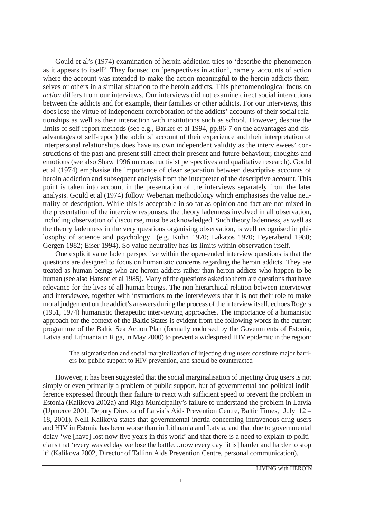Gould et al's (1974) examination of heroin addiction tries to 'describe the phenomenon as it appears to itself'. They focused on 'perspectives in action', namely, accounts of action where the account was intended to make the action meaningful to the heroin addicts themselves or others in a similar situation to the heroin addicts. This phenomenological focus on *action* differs from our interviews. Our interviews did not examine direct social interactions between the addicts and for example, their families or other addicts. For our interviews, this does lose the virtue of independent corroboration of the addicts' accounts of their social relationships as well as their interaction with institutions such as school. However, despite the limits of self-report methods (see e.g., Barker et al 1994, pp.86-7 on the advantages and disadvantages of self-report) the addicts' account of their experience and their interpretation of interpersonal relationships does have its own independent validity as the interviewees' constructions of the past and present still affect their present and future behaviour, thoughts and emotions (see also Shaw 1996 on constructivist perspectives and qualitative research). Gould et al (1974) emphasise the importance of clear separation between descriptive accounts of heroin addiction and subsequent analysis from the interpreter of the descriptive account. This point is taken into account in the presentation of the interviews separately from the later analysis. Gould et al (1974) follow Weberian methodology which emphasises the value neutrality of description. While this is acceptable in so far as opinion and fact are not mixed in the presentation of the interview responses, the theory ladenness involved in all observation, including observation of discourse, must be acknowledged. Such theory ladenness, as well as the theory ladenness in the very questions organising observation, is well recognised in philosophy of science and psychology (e.g. Kuhn 1970; Lakatos 1970; Feyerabend 1988; Gergen 1982; Eiser 1994). So value neutrality has its limits within observation itself.

One explicit value laden perspective within the open-ended interview questions is that the questions are designed to focus on humanistic concerns regarding the heroin addicts. They are treated as human beings who are heroin addicts rather than heroin addicts who happen to be human (see also Hanson et al 1985). Many of the questions asked to them are questions that have relevance for the lives of all human beings. The non-hierarchical relation between interviewer and interviewee, together with instructions to the interviewers that it is not their role to make moral judgement on the addict's answers during the process of the interview itself, echoes Rogers (1951, 1974) humanistic therapeutic interviewing approaches. The importance of a humanistic approach for the context of the Baltic States is evident from the following words in the current programme of the Baltic Sea Action Plan (formally endorsed by the Governments of Estonia, Latvia and Lithuania in Riga, in May 2000) to prevent a widespread HIV epidemic in the region:

The stigmatisation and social marginalization of injecting drug users constitute major barriers for public support to HIV prevention, and should be counteracted

However, it has been suggested that the social marginalisation of injecting drug users is not simply or even primarily a problem of public support, but of governmental and political indifference expressed through their failure to react with sufficient speed to prevent the problem in Estonia (Kalikova 2002a) and Riga Municipality's failure to understand the problem in Latvia (Upmerce 2001, Deputy Director of Latvia's Aids Prevention Centre, Baltic Times, July 12 – 18, 2001). Nelli Kalikova states that governmental inertia concerning intravenous drug users and HIV in Estonia has been worse than in Lithuania and Latvia, and that due to governmental delay 'we [have] lost now five years in this work' and that there is a need to explain to politicians that 'every wasted day we lose the battle…now every day [it is] harder and harder to stop it' (Kalikova 2002, Director of Tallinn Aids Prevention Centre, personal communication).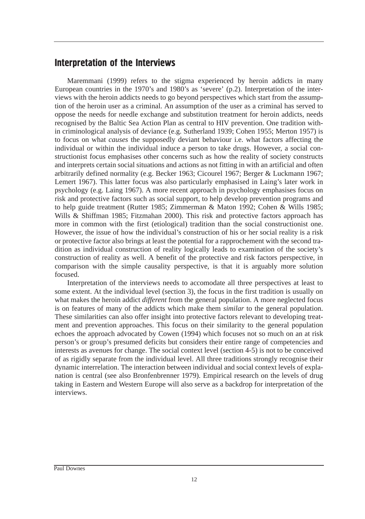# Interpretation of the Interviews

Maremmani (1999) refers to the stigma experienced by heroin addicts in many European countries in the 1970's and 1980's as 'severe' (p.2). Interpretation of the interviews with the heroin addicts needs to go beyond perspectives which start from the assumption of the heroin user as a criminal. An assumption of the user as a criminal has served to oppose the needs for needle exchange and substitution treatment for heroin addicts, needs recognised by the Baltic Sea Action Plan as central to HIV prevention. One tradition within criminological analysis of deviance (e.g. Sutherland 1939; Cohen 1955; Merton 1957) is to focus on what *causes* the supposedly deviant behaviour i.e. what factors affecting the individual or within the individual induce a person to take drugs. However, a social constructionist focus emphasises other concerns such as how the reality of society constructs and interprets certain social situations and actions as not fitting in with an artificial and often arbitrarily defined normality (e.g. Becker 1963; Cicourel 1967; Berger & Luckmann 1967; Lemert 1967). This latter focus was also particularly emphasised in Laing's later work in psychology (e.g. Laing 1967). A more recent approach in psychology emphasises focus on risk and protective factors such as social support, to help develop prevention programs and to help guide treatment (Rutter 1985; Zimmerman & Maton 1992; Cohen & Wills 1985; Wills & Shiffman 1985; Fitzmahan 2000). This risk and protective factors approach has more in common with the first (etiological) tradition than the social constructionist one. However, the issue of how the individual's construction of his or her social reality is a risk or protective factor also brings at least the potential for a rapprochement with the second tradition as individual construction of reality logically leads to examination of the society's construction of reality as well. A benefit of the protective and risk factors perspective, in comparison with the simple causality perspective, is that it is arguably more solution focused.

Interpretation of the interviews needs to accomodate all three perspectives at least to some extent. At the individual level (section 3), the focus in the first tradition is usually on what makes the heroin addict *different* from the general population. A more neglected focus is on features of many of the addicts which make them *similar* to the general population. These similarities can also offer insight into protective factors relevant to developing treatment and prevention approaches. This focus on their similarity to the general population echoes the approach advocated by Cowen (1994) which focuses not so much on an at risk person's or group's presumed deficits but considers their entire range of competencies and interests as avenues for change. The social context level (section 4-5) is not to be conceived of as rigidly separate from the individual level. All three traditions strongly recognise their dynamic interrelation. The interaction between individual and social context levels of explanation is central (see also Bronfenbrenner 1979). Empirical research on the levels of drug taking in Eastern and Western Europe will also serve as a backdrop for interpretation of the interviews.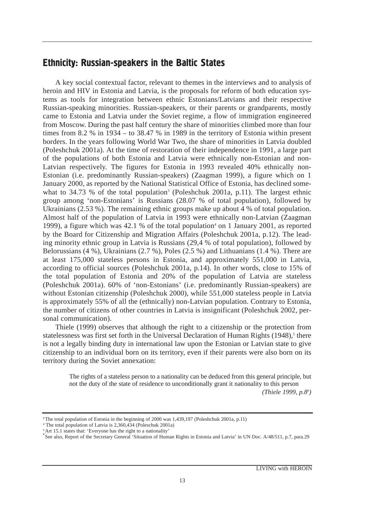# Ethnicity: Russian-speakers in the Baltic States

A key social contextual factor, relevant to themes in the interviews and to analysis of heroin and HIV in Estonia and Latvia, is the proposals for reform of both education systems as tools for integration between ethnic Estonians/Latvians and their respective Russian-speaking minorities. Russian-speakers, or their parents or grandparents, mostly came to Estonia and Latvia under the Soviet regime, a flow of immigration engineered from Moscow. During the past half century the share of minorities climbed more than four times from 8.2 % in 1934 – to 38.47 % in 1989 in the territory of Estonia within present borders. In the years following World War Two, the share of minorities in Latvia doubled (Poleshchuk 2001a). At the time of restoration of their independence in 1991, a large part of the populations of both Estonia and Latvia were ethnically non-Estonian and non-Latvian respectively. The figures for Estonia in 1993 revealed 40% ethnically non-Estonian (i.e. predominantly Russian-speakers) (Zaagman 1999), a figure which on 1 January 2000, as reported by the National Statistical Office of Estonia, has declined somewhat to 34.73 % of the total population<sup>3</sup> (Poleshchuk 2001a, p.11). The largest ethnic group among 'non-Estonians' is Russians (28.07 % of total population), followed by Ukrainians (2.53 %). The remaining ethnic groups make up about 4 % of total population. Almost half of the population of Latvia in 1993 were ethnically non-Latvian (Zaagman 1999), a figure which was 42.1 % of the total population<sup>4</sup> on 1 January 2001, as reported by the Board for Citizenship and Migration Affairs (Poleshchuk 2001a, p.12). The leading minority ethnic group in Latvia is Russians (29,4 % of total population), followed by Belorussians (4 %), Ukrainians (2.7 %), Poles (2.5 %) and Lithuanians (1.4 %). There are at least 175,000 stateless persons in Estonia, and approximately 551,000 in Latvia, according to official sources (Poleshchuk 2001a, p.14). In other words, close to 15% of the total population of Estonia and 20% of the population of Latvia are stateless (Poleshchuk 2001a). 60% of 'non-Estonians' (i.e. predominantly Russian-speakers) are without Estonian citizenship (Poleshchuk 2000), while 551,000 stateless people in Latvia is approximately 55% of all the (ethnically) non-Latvian population. Contrary to Estonia, the number of citizens of other countries in Latvia is insignificant (Poleshchuk 2002, personal communication).

Thiele (1999) observes that although the right to a citizenship or the protection from statelessness was first set forth in the Universal Declaration of Human Rights  $(1948)$ ,<sup>5</sup> there is not a legally binding duty in international law upon the Estonian or Latvian state to give citizenship to an individual born on its territory, even if their parents were also born on its territory during the Soviet annexation:

The rights of a stateless person to a nationality can be deduced from this general principle, but not the duty of the state of residence to unconditionally grant it nationality to this person *(Thiele 1999, p.86 )*

<sup>&</sup>lt;sup>3</sup>The total population of Estonia in the beginning of 2000 was 1,439,197 (Poleshchuk 2001a, p.11)

**<sup>4</sup>** The total population of Latvia is 2,360,434 (Poleschuk 2001a)

**<sup>5</sup>**Art 15.1 states that: 'Everyone has the right to a nationality'

**<sup>6</sup>** See also, Report of the Secretary General 'Situation of Human Rights in Estonia and Latvia' in UN Doc. A/48/511, p.7, para.29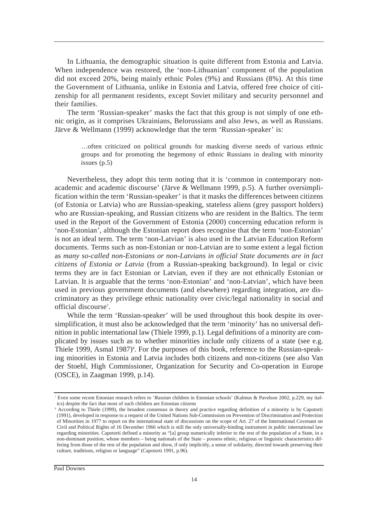In Lithuania, the demographic situation is quite different from Estonia and Latvia. When independence was restored, the 'non-Lithuanian' component of the population did not exceed 20%, being mainly ethnic Poles (9%) and Russians (8%). At this time the Government of Lithuania, unlike in Estonia and Latvia, offered free choice of citizenship for all permanent residents, except Soviet military and security personnel and their families.

The term 'Russian-speaker' masks the fact that this group is not simply of one ethnic origin, as it comprises Ukrainians, Belorussians and also Jews, as well as Russians. Järve & Wellmann (1999) acknowledge that the term 'Russian-speaker' is:

…often criticized on political grounds for masking diverse needs of various ethnic groups and for promoting the hegemony of ethnic Russians in dealing with minority issues (p.5)

Nevertheless, they adopt this term noting that it is 'common in contemporary nonacademic and academic discourse' (Järve & Wellmann 1999, p.5). A further oversimplification within the term 'Russian-speaker' is that it masks the differences between citizens (of Estonia or Latvia) who are Russian-speaking, stateless aliens (grey passport holders) who are Russian-speaking, and Russian citizens who are resident in the Baltics. The term used in the Report of the Government of Estonia (2000) concerning education reform is 'non-Estonian', although the Estonian report does recognise that the term 'non-Estonian' is not an ideal term. The term 'non-Latvian' is also used in the Latvian Education Reform documents. Terms such as non-Estonian or non-Latvian are to some extent a legal fiction as *many so-called non-Estonians or non-Latvians in official State documents are in fact citizens of Estonia or Latvia* (from a Russian-speaking background). In legal or civic terms they are in fact Estonian or Latvian, even if they are not ethnically Estonian or Latvian. It is arguable that the terms 'non-Estonian' and 'non-Latvian', which have been used in previous government documents (and elsewhere) regarding integration, are discriminatory as they privilege ethnic nationality over civic/legal nationality in social and official discourse<sup>7</sup>.

While the term 'Russian-speaker' will be used throughout this book despite its oversimplification, it must also be acknowledged that the term 'minority' has no universal definition in public international law (Thiele 1999, p.1). Legal definitions of a minority are complicated by issues such as to whether minorities include only citizens of a state (see e.g. Thiele 1999, Asmal 1987)<sup>8</sup>. For the purposes of this book, reference to the Russian-speaking minorities in Estonia and Latvia includes both citizens and non-citizens (see also Van der Stoehl, High Commissioner, Organization for Security and Co-operation in Europe (OSCE), in Zaagman 1999, p.14).

<sup>7</sup> Even some recent Estonian research refers to '*Russian* children in Estonian schools' (Kalmus & Pavelson 2002, p.229, my italics) despite the fact that most of such children are Estonian citizens

<sup>8</sup> According to Thiele (1999), the broadest consensus in theory and practice regarding definition of a minority is by Capotorti (1991), developed in response to a request of the United Nations Sub-Commission on Prevention of Discrimination and Protection of Minorities in 1977 to report on the international state of discussions on the scope of Art. 27 of the International Covenant on Civil and Political Rights of 16 December 1966 which is still the only universally-binding instrument in public international law regarding minorities. Capotorti defined a minority as "[a] group numerically inferior to the rest of the population of a State, in a non-dominant position, whose members – being nationals of the State – possess ethnic, religious or linguistic characteristics differing from those of the rest of the population and show, if only implicitly, a sense of solidarity, directed towards preserving their culture, traditions, religion or language" (Capotorti 1991, p.96).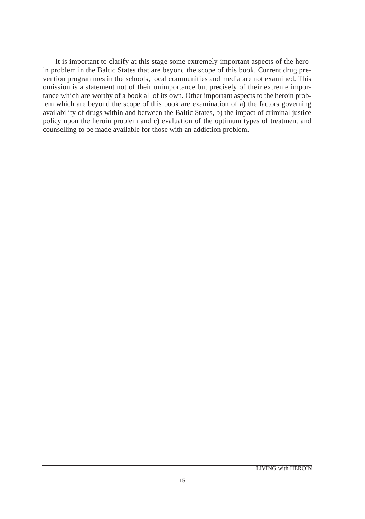It is important to clarify at this stage some extremely important aspects of the heroin problem in the Baltic States that are beyond the scope of this book. Current drug prevention programmes in the schools, local communities and media are not examined. This omission is a statement not of their unimportance but precisely of their extreme importance which are worthy of a book all of its own. Other important aspects to the heroin problem which are beyond the scope of this book are examination of a) the factors governing availability of drugs within and between the Baltic States, b) the impact of criminal justice policy upon the heroin problem and c) evaluation of the optimum types of treatment and counselling to be made available for those with an addiction problem.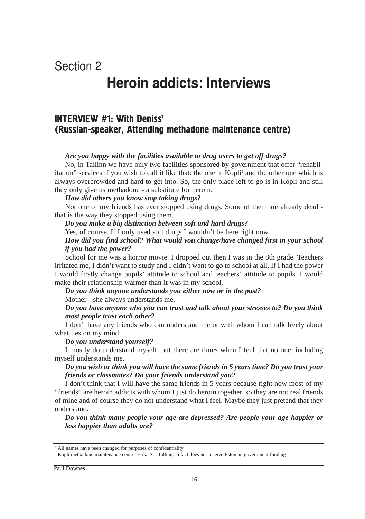# Section 2

# Heroin addicts: Interviews

# **INTERVIEW #1: With Deniss<sup>1</sup>** (Russian-speaker, Attending methadone maintenance centre)

#### *Are you happy with the facilities available to drug users to get off drugs?*

No, in Tallinn we have only two facilities sponsored by government that offer "rehabilitation" services if you wish to call it like that: the one in Kopli2 and the other one which is always overcrowded and hard to get into. So, the only place left to go is in Kopli and still they only give us methadone - a substitute for heroin.

#### *How did others you know stop taking drugs?*

Not one of my friends has ever stopped using drugs. Some of them are already dead that is the way they stopped using them.

#### *Do you make a big distinction between soft and hard drugs?*

Yes, of course. If I only used soft drugs I wouldn't be here right now.

#### *How did you find school? What would you change/have changed first in your school if you had the power?*

School for me was a horror movie. I dropped out then I was in the 8th grade. Teachers irritated me, I didn't want to study and I didn't want to go to school at all. If I had the power I would firstly change pupils' attitude to school and teachers' attitude to pupils. I would make their relationship warmer than it was in my school.

#### *Do you think anyone understands you either now or in the past?*

Mother - she always understands me.

#### *Do you have anyone who you can trust and talk about your stresses to? Do you think most people trust each other?*

I don't have any friends who can understand me or with whom I can talk freely about what lies on my mind.

#### *Do you understand yourself?*

I mostly do understand myself, but there are times when I feel that no one, including myself understands me.

#### *Do you wish or think you will have the same friends in 5 years time? Do you trust your friends or classmates? Do your friends understand you?*

I don't think that I will have the same friends in 5 years because right now most of my "friends" are heroin addicts with whom I just do heroin together, so they are not real friends of mine and of course they do not understand what I feel. Maybe they just pretend that they understand.

*Do you think many people your age are depressed? Are people your age happier or less happier than adults are?*

<sup>&</sup>lt;sup>1</sup> All names have been changed for purposes of confidentiality

<sup>&</sup>lt;sup>2</sup> Kopli methadone maintenance centre, Erika St., Tallinn, in fact does not receive Estonian government funding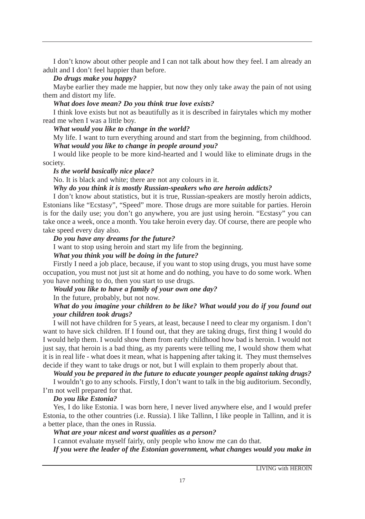I don't know about other people and I can not talk about how they feel. I am already an adult and I don't feel happier than before.

#### *Do drugs make you happy?*

Maybe earlier they made me happier, but now they only take away the pain of not using them and distort my life.

*What does love mean? Do you think true love exists?*

I think love exists but not as beautifully as it is described in fairytales which my mother read me when I was a little boy.

*What would you like to change in the world?*

My life. I want to turn everything around and start from the beginning, from childhood. *What would you like to change in people around you?*

I would like people to be more kind-hearted and I would like to eliminate drugs in the society.

#### *Is the world basically nice place?*

No. It is black and white; there are not any colours in it.

#### *Why do you think it is mostly Russian-speakers who are heroin addicts?*

I don't know about statistics, but it is true, Russian-speakers are mostly heroin addicts, Estonians like "Ecstasy", "Speed" more. Those drugs are more suitable for parties. Heroin is for the daily use; you don't go anywhere, you are just using heroin. "Ecstasy" you can take once a week, once a month. You take heroin every day. Of course, there are people who take speed every day also.

#### *Do you have any dreams for the future?*

I want to stop using heroin and start my life from the beginning.

#### *What you think you will be doing in the future?*

Firstly I need a job place, because, if you want to stop using drugs, you must have some occupation, you must not just sit at home and do nothing, you have to do some work. When you have nothing to do, then you start to use drugs.

#### *Would you like to have a family of your own one day?*

In the future, probably, but not now.

#### *What do you imagine your children to be like? What would you do if you found out your children took drugs?*

I will not have children for 5 years, at least, because I need to clear my organism. I don't want to have sick children. If I found out, that they are taking drugs, first thing I would do I would help them. I would show them from early childhood how bad is heroin. I would not just say, that heroin is a bad thing, as my parents were telling me, I would show them what it is in real life - what does it mean, what is happening after taking it. They must themselves decide if they want to take drugs or not, but I will explain to them properly about that.

*Would you be prepared in the future to educate younger people against taking drugs?* I wouldn't go to any schools. Firstly, I don't want to talk in the big auditorium. Secondly,

I'm not well prepared for that.

#### *Do you like Estonia?*

Yes, I do like Estonia. I was born here, I never lived anywhere else, and I would prefer Estonia, to the other countries (i.e. Russia). I like Tallinn, I like people in Tallinn, and it is a better place, than the ones in Russia.

*What are your nicest and worst qualities as a person?*

I cannot evaluate myself fairly, only people who know me can do that.

*If you were the leader of the Estonian government, what changes would you make in*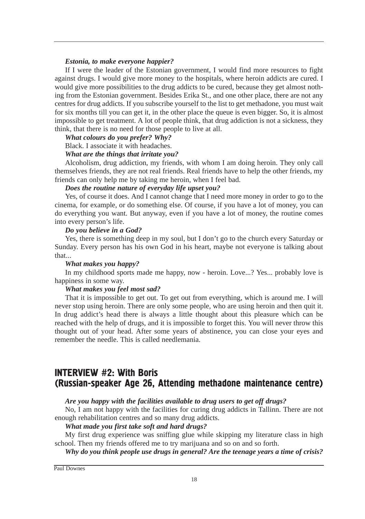#### *Estonia, to make everyone happier?*

If I were the leader of the Estonian government, I would find more resources to fight against drugs. I would give more money to the hospitals, where heroin addicts are cured. I would give more possibilities to the drug addicts to be cured, because they get almost nothing from the Estonian government. Besides Erika St., and one other place, there are not any centres for drug addicts. If you subscribe yourself to the list to get methadone, you must wait for six months till you can get it, in the other place the queue is even bigger. So, it is almost impossible to get treatment. A lot of people think, that drug addiction is not a sickness, they think, that there is no need for those people to live at all.

#### *What colours do you prefer? Why?*

Black. I associate it with headaches.

#### *What are the things that irritate you?*

Alcoholism, drug addiction, my friends, with whom I am doing heroin. They only call themselves friends, they are not real friends. Real friends have to help the other friends, my friends can only help me by taking me heroin, when I feel bad.

#### *Does the routine nature of everyday life upset you?*

Yes, of course it does. And I cannot change that I need more money in order to go to the cinema, for example, or do something else. Of course, if you have a lot of money, you can do everything you want. But anyway, even if you have a lot of money, the routine comes into every person's life.

#### *Do you believe in a God?*

Yes, there is something deep in my soul, but I don't go to the church every Saturday or Sunday. Every person has his own God in his heart, maybe not everyone is talking about that...

#### *What makes you happy?*

In my childhood sports made me happy, now - heroin. Love...? Yes... probably love is happiness in some way.

#### *What makes you feel most sad?*

That it is impossible to get out. To get out from everything, which is around me. I will never stop using heroin. There are only some people, who are using heroin and then quit it. In drug addict's head there is always a little thought about this pleasure which can be reached with the help of drugs, and it is impossible to forget this. You will never throw this thought out of your head. After some years of abstinence, you can close your eyes and remember the needle. This is called needlemania.

## **INTERVIEW #2: With Boris** (Russian-speaker Age 26, Attending methadone maintenance centre)

#### *Are you happy with the facilities available to drug users to get off drugs?*

No, I am not happy with the facilities for curing drug addicts in Tallinn. There are not enough rehabilitation centres and so many drug addicts.

#### *What made you first take soft and hard drugs?*

My first drug experience was sniffing glue while skipping my literature class in high school. Then my friends offered me to try marijuana and so on and so forth.

*Why do you think people use drugs in general? Are the teenage years a time of crisis?*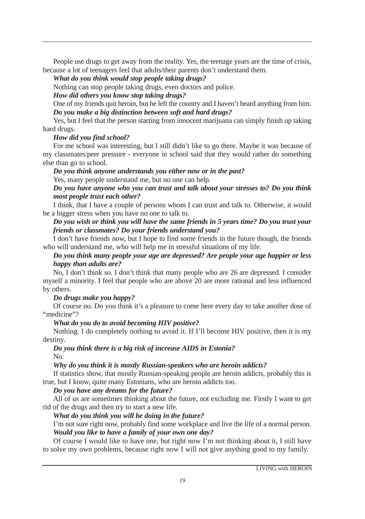People use drugs to get away from the reality. Yes, the teenage years are the time of crisis, because a lot of teenagers feel that adults/their parents don't understand them.

*What do you think would stop people taking drugs?*

Nothing can stop people taking drugs, even doctors and police.

#### *How did others you know stop taking drugs?*

One of my friends quit heroin, but he left the country and I haven't heard anything from him. *Do you make a big distinction between soft and hard drugs?*

Yes, but I feel that the person starting from innocent marijuana can simply finish up taking hard drugs.

#### *How did you find school?*

For me school was interesting, but I still didn't like to go there. Maybe it was because of my classmates/peer pressure - everyone in school said that they would rather do something else than go to school.

#### *Do you think anyone understands you either now or in the past?*

Yes, many people understand me, but no one can help.

#### *Do you have anyone who you can trust and talk about your stresses to? Do you think most people trust each other?*

I think, that I have a couple of persons whom I can trust and talk to. Otherwise, it would be a bigger stress when you have no one to talk to.

#### *Do you wish or think you will have the same friends in 5 years time? Do you trust your friends or classmates? Do your friends understand you?*

I don't have friends now, but I hope to find some friends in the future though, the friends who will understand me, who will help me in stressful situations of my life.

#### *Do you think many people your age are depressed? Are people your age happier or less happy than adults are?*

No, I don't think so. I don't think that many people who are 26 are depressed. I consider myself a minority. I feel that people who are above 20 are more rational and less influenced by others.

#### *Do drugs make you happy?*

Of course no. Do you think it's a pleasure to come here every day to take another dose of "medicine"?

#### *What do you do to avoid becoming HIV positive?*

Nothing. I do completely nothing to avoid it. If I'll become HIV positive, then it is my destiny.

#### *Do you think there is a big risk of increase AIDS in Estonia?* No.

#### *Why do you think it is mostly Russian-speakers who are heroin addicts?*

If statistics show, that mostly Russian-speaking people are heroin addicts, probably this is true, but I know, quite many Estonians, who are heroin addicts too.

#### *Do you have any dreams for the future?*

All of us are sometimes thinking about the future, not excluding me. Firstly I want to get rid of the drugs and then try to start a new life.

#### *What do you think you will be doing in the future?*

I'm not sure right now, probably find some workplace and live the life of a normal person. *Would you like to have a family of your own one day?*

Of course I would like to have one, but right now I'm not thinking about it, I still have to solve my own problems, because right now I will not give anything good to my family.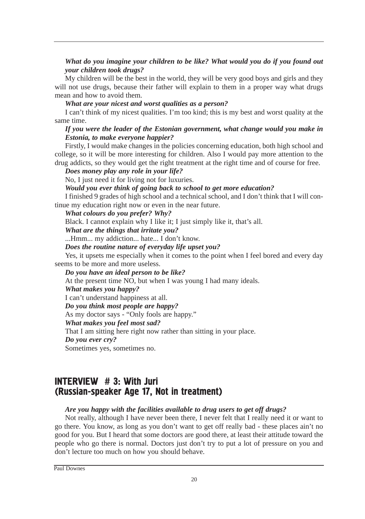#### *What do you imagine your children to be like? What would you do if you found out your children took drugs?*

My children will be the best in the world, they will be very good boys and girls and they will not use drugs, because their father will explain to them in a proper way what drugs mean and how to avoid them.

#### *What are your nicest and worst qualities as a person?*

I can't think of my nicest qualities. I'm too kind; this is my best and worst quality at the same time.

#### *If you were the leader of the Estonian government, what change would you make in Estonia, to make everyone happier?*

Firstly, I would make changes in the policies concerning education, both high school and college, so it will be more interesting for children. Also I would pay more attention to the drug addicts, so they would get the right treatment at the right time and of course for free.

*Does money play any role in your life?*

No, I just need it for living not for luxuries.

#### *Would you ever think of going back to school to get more education?*

I finished 9 grades of high school and a technical school, and I don't think that I will continue my education right now or even in the near future.

#### *What colours do you prefer? Why?*

Black. I cannot explain why I like it; I just simply like it, that's all.

#### *What are the things that irritate you?*

...Hmm... my addiction... hate... I don't know.

*Does the routine nature of everyday life upset you?*

Yes, it upsets me especially when it comes to the point when I feel bored and every day seems to be more and more useless.

*Do you have an ideal person to be like?*

At the present time NO, but when I was young I had many ideals.

#### *What makes you happy?*

I can't understand happiness at all.

#### *Do you think most people are happy?*

As my doctor says - "Only fools are happy."

#### *What makes you feel most sad?*

That I am sitting here right now rather than sitting in your place.

#### *Do you ever cry?*

Sometimes yes, sometimes no.

# INTERVIEW  $# 3$ : With Juri (Russian-speaker Age 17, Not in treatment)

#### *Are you happy with the facilities available to drug users to get off drugs?*

Not really, although I have never been there, I never felt that I really need it or want to go there. You know, as long as you don't want to get off really bad - these places ain't no good for you. But I heard that some doctors are good there, at least their attitude toward the people who go there is normal. Doctors just don't try to put a lot of pressure on you and don't lecture too much on how you should behave.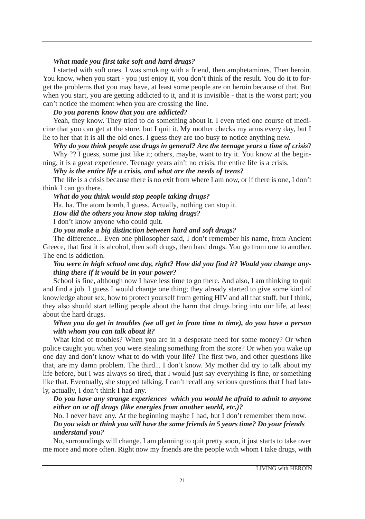#### *What made you first take soft and hard drugs?*

I started with soft ones. I was smoking with a friend, then amphetamines. Then heroin. You know, when you start - you just enjoy it, you don't think of the result. You do it to forget the problems that you may have, at least some people are on heroin because of that. But when you start, you are getting addicted to it, and it is invisible - that is the worst part; you can't notice the moment when you are crossing the line.

#### *Do you parents know that you are addicted?*

Yeah, they know. They tried to do something about it. I even tried one course of medicine that you can get at the store, but I quit it. My mother checks my arms every day, but I lie to her that it is all the old ones. I guess they are too busy to notice anything new.

#### *Why do you think people use drugs in general? Are the teenage years a time of crisis*?

Why ?? I guess, some just like it; others, maybe, want to try it. You know at the beginning, it is a great experience. Teenage years ain't no crisis, the entire life is a crisis.

#### *Why is the entire life a crisis, and what are the needs of teens?*

The life is a crisis because there is no exit from where I am now, or if there is one, I don't think I can go there.

#### *What do you think would stop people taking drugs?*

Ha. ha. The atom bomb, I guess. Actually, nothing can stop it.

*How did the others you know stop taking drugs?*

I don't know anyone who could quit.

#### *Do you make a big distinction between hard and soft drugs?*

The difference... Even one philosopher said, I don't remember his name, from Ancient Greece, that first it is alcohol, then soft drugs, then hard drugs. You go from one to another. The end is addiction.

#### *You were in high school one day, right? How did you find it? Would you change anything there if it would be in your power?*

School is fine, although now I have less time to go there. And also, I am thinking to quit and find a job. I guess I would change one thing; they already started to give some kind of knowledge about sex, how to protect yourself from getting HIV and all that stuff, but I think, they also should start telling people about the harm that drugs bring into our life, at least about the hard drugs.

#### *When you do get in troubles (we all get in from time to time), do you have a person with whom you can talk about it?*

What kind of troubles? When you are in a desperate need for some money? Or when police caught you when you were stealing something from the store? Or when you wake up one day and don't know what to do with your life? The first two, and other questions like that, are my damn problem. The third... I don't know. My mother did try to talk about my life before, but I was always so tired, that I would just say everything is fine, or something like that. Eventually, she stopped talking. I can't recall any serious questions that I had lately, actually, I don't think I had any.

#### *Do you have any strange experiences which you would be afraid to admit to anyone either on or off drugs (like energies from another world, etc.)?*

No. I never have any. At the beginning maybe I had, but I don't remember them now. *Do you wish or think you will have the same friends in 5 years time? Do your friends understand you?*

No, surroundings will change. I am planning to quit pretty soon, it just starts to take over me more and more often. Right now my friends are the people with whom I take drugs, with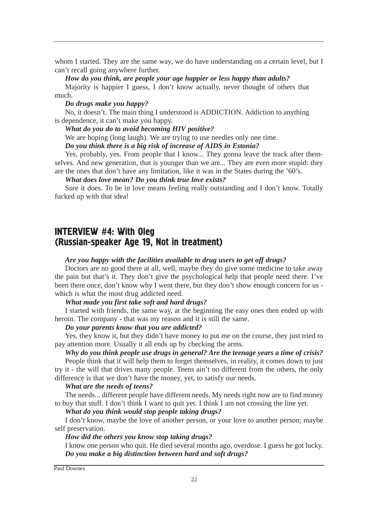whom I started. They are the same way, we do have understanding on a certain level, but I can't recall going anywhere further.

*How do you think, are people your age happier or less happy than adults?*

Majority is happier I guess, I don't know actually, never thought of others that much.

*Do drugs make you happy?*

No, it doesn't. The main thing I understood is ADDICTION. Addiction to anything is dependence, it can't make you happy.

*What do you do to avoid becoming HIV positive?*

We are hoping (long laugh). We are trying to use needles only one time.

*Do you think there is a big risk of increase of AIDS in Estonia?*

Yes, probably, yes. From people that I know... They gonna leave the track after themselves. And new generation, that is younger than we are... They are even more stupid: they are the ones that don't have any limitation, like it was in the States during the '60's.

*What does love mean? Do you think true love exists?*

Sure it does. To be in love means feeling really outstanding and I don't know. Totally fucked up with that idea!

## INTERVIEW #4: With Oleg (Russian-speaker Age 19, Not in treatment)

#### *Are you happy with the facilities available to drug users to get off drugs?*

Doctors are no good there at all, well, maybe they do give some medicine to take away the pain but that's it. They don't give the psychological help that people need there. I've been there once, don't know why I went there, but they don't show enough concern for us which is what the most drug addicted need.

#### *What made you first take soft and hard drugs?*

I started with friends, the same way, at the beginning the easy ones then ended up with heroin. The company - that was my reason and it is still the same.

#### *Do your parents know that you are addicted?*

Yes, they know it, but they didn't have money to put me on the course, they just tried to pay attention more. Usually it all ends up by checking the arms.

*Why do you think people use drugs in general? Are the teenage years a time of crisis?* People think that it will help them to forget themselves, in reality, it comes down to just try it - the will that drives many people. Teens ain't no different from the others, the only difference is that we don't have the money, yet, to satisfy our needs.

#### *What are the needs of teens?*

The needs... different people have different needs. My needs right now are to find money to buy that stuff. I don't think I want to quit yet. I think I am not crossing the line yet.

*What do you think would stop people taking drugs?*

I don't know, maybe the love of another person, or your love to another person; maybe self preservation.

*How did the others you know stop taking drugs?*

I know one person who quit. He died several months ago, overdose. I guess he got lucky. *Do you make a big distinction between hard and soft drugs?*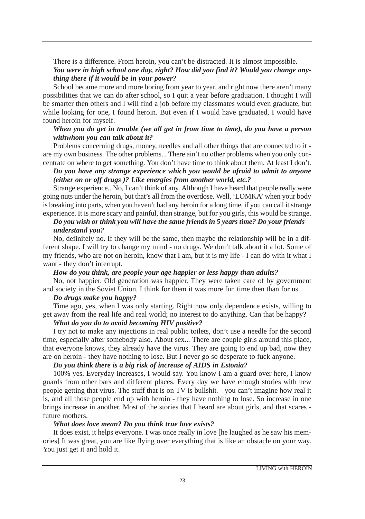There is a difference. From heroin, you can't be distracted. It is almost impossible. *You were in high school one day, right? How did you find it? Would you change anything there if it would be in your power?*

School became more and more boring from year to year, and right now there aren't many possibilities that we can do after school, so I quit a year before graduation. I thought I will be smarter then others and I will find a job before my classmates would even graduate, but while looking for one, I found heroin. But even if I would have graduated, I would have found heroin for myself.

#### *When you do get in trouble (we all get in from time to time), do you have a person withwhom you can talk about it?*

Problems concerning drugs, money, needles and all other things that are connected to it are my own business. The other problems... There ain't no other problems when you only concentrate on where to get something. You don't have time to think about them. At least I don't.

#### *Do you have any strange experience which you would be afraid to admit to anyone (either on or off drugs )? Like energies from another world, etc.?*

Strange experience...No, I can't think of any. Although I have heard that people really were going nuts under the heroin, but that's all from the overdose. Well, 'LOMKA' when your body is breaking into parts, when you haven't had any heroin for a long time, if you can call it strange experience. It is more scary and painful, than strange, but for you girls, this would be strange.

#### *Do you wish or think you will have the same friends in 5 years time? Do your friends understand you?*

No, definitely no. If they will be the same, then maybe the relationship will be in a different shape. I will try to change my mind - no drugs. We don't talk about it a lot. Some of my friends, who are not on heroin, know that I am, but it is my life - I can do with it what I want - they don't interrupt.

#### *How do you think, are people your age happier or less happy than adults?*

No, not happier. Old generation was happier. They were taken care of by government and society in the Soviet Union. I think for them it was more fun time then than for us.

#### *Do drugs make you happy?*

Time ago, yes, when I was only starting. Right now only dependence exists, willing to get away from the real life and real world; no interest to do anything. Can that be happy?

#### *What do you do to avoid becoming HIV positive?*

I try not to make any injections in real public toilets, don't use a needle for the second time, especially after somebody also. About sex... There are couple girls around this place, that everyone knows, they already have the virus. They are going to end up bad, now they are on heroin - they have nothing to lose. But I never go so desperate to fuck anyone.

#### *Do you think there is a big risk of increase of AIDS in Estonia?*

100% yes. Everyday increases, I would say. You know I am a guard over here, I know guards from other bars and different places. Every day we have enough stories with new people getting that virus. The stuff that is on TV is bullshit. - you can't imagine how real it is, and all those people end up with heroin - they have nothing to lose. So increase in one brings increase in another. Most of the stories that I heard are about girls, and that scares future mothers.

#### *What does love mean? Do you think true love exists?*

It does exist, it helps everyone. I was once really in love [he laughed as he saw his memories] It was great, you are like flying over everything that is like an obstacle on your way. You just get it and hold it.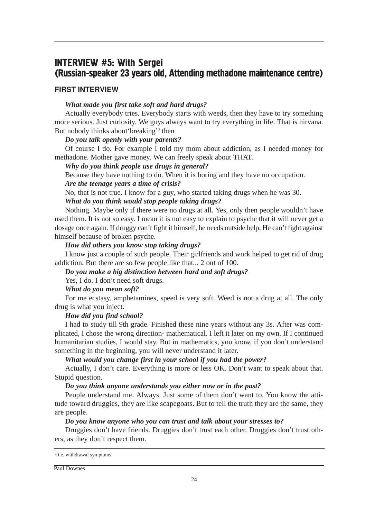## **INTERVIEW #5: With Sergei** (Russian-speaker 23 years old, Attending methadone maintenance centre)

#### FIRST INTERVIEW

#### *What made you first take soft and hard drugs?*

Actually everybody tries. Everybody starts with weeds, then they have to try something more serious. Just curiosity. We guys always want to try everything in life. That is nirvana. But nobody thinks about'breaking'3 then

#### *Do you talk openly with your parents?*

Of course I do. For example I told my mom about addiction, as I needed money for methadone. Mother gave money. We can freely speak about THAT.

#### *Why do you think people use drugs in general?*

Because they have nothing to do. When it is boring and they have no occupation.

#### *Are the teenage years a time of crisis?*

No, that is not true. I know for a guy, who started taking drugs when he was 30.

#### *What do you think would stop people taking drugs?*

Nothing. Maybe only if there were no drugs at all. Yes, only then people wouldn't have used them. It is not so easy. I mean it is not easy to explain to psyche that it will never get a dosage once again. If druggy can't fight it himself, he needs outside help. He can't fight against himself because of broken psyche.

#### *How did others you know stop taking drugs?*

I know just a couple of such people. Their girlfriends and work helped to get rid of drug addiction. But there are so few people like that... 2 out of 100.

#### *Do you make a big distinction between hard and soft drugs?*

Yes, I do. I don't need soft drugs.

#### *What do you mean soft?*

For me ecstasy, amphetamines, speed is very soft. Weed is not a drug at all. The only drug is what you inject.

#### *How did you find school?*

I had to study till 9th grade. Finished these nine years without any 3s. After was complicated, I chose the wrong direction- mathematical. I left it later on my own. If I continued humanitarian studies, I would stay. But in mathematics, you know, if you don't understand something in the beginning, you will never understand it later.

#### *What would you change first in your school if you had the power?*

Actually, I don't care. Everything is more or less OK. Don't want to speak about that. Stupid question.

#### *Do you think anyone understands you either now or in the past?*

People understand me. Always. Just some of them don't want to. You know the attitude toward druggies, they are like scapegoats. But to tell the truth they are the same, they are people.

#### *Do you know anyone who you can trust and talk about your stresses to?*

Druggies don't have friends. Druggies don't trust each other. Druggies don't trust others, as they don't respect them.

<sup>&</sup>lt;sup>3</sup> i.e. withdrawal symptoms

Paul Downes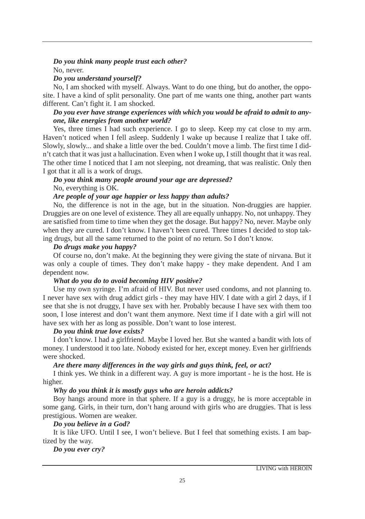#### *Do you think many people trust each other?*

No, never.

#### *Do you understand yourself?*

No, I am shocked with myself. Always. Want to do one thing, but do another, the opposite. I have a kind of split personality. One part of me wants one thing, another part wants different. Can't fight it. I am shocked.

#### *Do you ever have strange experiences with which you would be afraid to admit to anyone, like energies from another world?*

Yes, three times I had such experience. I go to sleep. Keep my cat close to my arm. Haven't noticed when I fell asleep. Suddenly I wake up because I realize that I take off. Slowly, slowly... and shake a little over the bed. Couldn't move a limb. The first time I didn't catch that it was just a hallucination. Even when I woke up, I still thought that it was real. The other time I noticed that I am not sleeping, not dreaming, that was realistic. Only then I got that it all is a work of drugs.

#### *Do you think many people around your age are depressed?* No, everything is OK.

#### *Are people of your age happier or less happy than adults?*

No, the difference is not in the age, but in the situation. Non-druggies are happier. Druggies are on one level of existence. They all are equally unhappy. No, not unhappy. They are satisfied from time to time when they get the dosage. But happy? No, never. Maybe only when they are cured. I don't know. I haven't been cured. Three times I decided to stop taking drugs, but all the same returned to the point of no return. So I don't know.

#### *Do drugs make you happy?*

Of course no, don't make. At the beginning they were giving the state of nirvana. But it was only a couple of times. They don't make happy - they make dependent. And I am dependent now.

#### *What do you do to avoid becoming HIV positive?*

Use my own syringe. I'm afraid of HIV. But never used condoms, and not planning to. I never have sex with drug addict girls - they may have HIV. I date with a girl 2 days, if I see that she is not druggy, I have sex with her. Probably because I have sex with them too soon, I lose interest and don't want them anymore. Next time if I date with a girl will not have sex with her as long as possible. Don't want to lose interest.

#### *Do you think true love exists?*

I don't know. I had a girlfriend. Maybe I loved her. But she wanted a bandit with lots of money. I understood it too late. Nobody existed for her, except money. Even her girlfriends were shocked.

#### *Are there many differences in the way girls and guys think, feel, or act?*

I think yes. We think in a different way. A guy is more important - he is the host. He is higher.

#### *Why do you think it is mostly guys who are heroin addicts?*

Boy hangs around more in that sphere. If a guy is a druggy, he is more acceptable in some gang. Girls, in their turn, don't hang around with girls who are druggies. That is less prestigious. Women are weaker.

#### *Do you believe in a God?*

It is like UFO. Until I see, I won't believe. But I feel that something exists. I am baptized by the way.

#### *Do you ever cry?*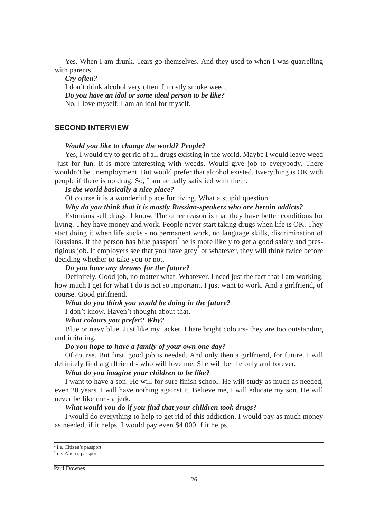Yes. When I am drunk. Tears go themselves. And they used to when I was quarrelling with parents.

*Cry often?*

I don't drink alcohol very often. I mostly smoke weed. *Do you have an idol or some ideal person to be like?* No. I love myself. I am an idol for myself.

#### SECOND INTERVIEW

#### *Would you like to change the world? People?*

Yes, I would try to get rid of all drugs existing in the world. Maybe I would leave weed -just for fun. It is more interesting with weeds. Would give job to everybody. There wouldn't be unemployment. But would prefer that alcohol existed. Everything is OK with people if there is no drug. So, I am actually satisfied with them.

#### *Is the world basically a nice place?*

Of course it is a wonderful place for living. What a stupid question.

#### *Why do you think that it is mostly Russian-speakers who are heroin addicts?*

Estonians sell drugs. I know. The other reason is that they have better conditions for living. They have money and work. People never start taking drugs when life is OK. They start doing it when life sucks - no permanent work, no language skills, discrimination of Russians. If the person has blue passport he is more likely to get a good salary and prestigious job. If employers see that you have grey  $\delta$  or whatever, they will think twice before deciding whether to take you or not.

#### *Do you have any dreams for the future?*

Definitely. Good job, no matter what. Whatever. I need just the fact that I am working, how much I get for what I do is not so important. I just want to work. And a girlfriend, of course. Good girlfriend.

#### *What do you think you would be doing in the future?*

I don't know. Haven't thought about that.

#### *What colours you prefer? Why?*

Blue or navy blue. Just like my jacket. I hate bright colours- they are too outstanding and irritating.

#### *Do you hope to have a family of your own one day?*

Of course. But first, good job is needed. And only then a girlfriend, for future. I will definitely find a girlfriend - who will love me. She will be the only and forever.

#### *What do you imagine your children to be like?*

I want to have a son. He will for sure finish school. He will study as much as needed, even 20 years. I will have nothing against it. Believe me, I will educate my son. He will never be like me - a jerk.

#### *What would you do if you find that your children took drugs?*

I would do everything to help to get rid of this addiction. I would pay as much money as needed, if it helps. I would pay even \$4,000 if it helps.

Paul Downes

<sup>4</sup> i.e. Citizen's passport

<sup>&</sup>lt;sup>5</sup> i.e. Alien's passport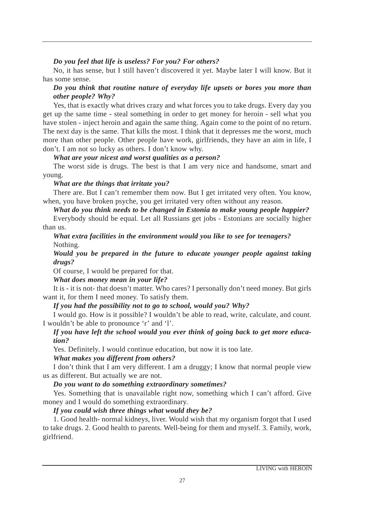#### *Do you feel that life is useless? For you? For others?*

No, it has sense, but I still haven't discovered it yet. Maybe later I will know. But it has some sense.

#### *Do you think that routine nature of everyday life upsets or bores you more than other people? Why?*

Yes, that is exactly what drives crazy and what forces you to take drugs. Every day you get up the same time - steal something in order to get money for heroin - sell what you have stolen - inject heroin and again the same thing. Again come to the point of no return. The next day is the same. That kills the most. I think that it depresses me the worst, much more than other people. Other people have work, girlfriends, they have an aim in life, I don't. I am not so lucky as others. I don't know why.

#### *What are your nicest and worst qualities as a person?*

The worst side is drugs. The best is that I am very nice and handsome, smart and young.

#### *What are the things that irritate you?*

There are. But I can't remember them now. But I get irritated very often. You know, when, you have broken psyche, you get irritated very often without any reason.

#### *What do you think needs to be changed in Estonia to make young people happier?*

Everybody should be equal. Let all Russians get jobs - Estonians are socially higher than us.

#### *What extra facilities in the environment would you like to see for teenagers?* Nothing.

*Would you be prepared in the future to educate younger people against taking drugs?*

Of course, I would be prepared for that.

*What does money mean in your life?*

It is - it is not- that doesn't matter. Who cares? I personally don't need money. But girls want it, for them I need money. To satisfy them.

#### *If you had the possibility not to go to school, would you? Why?*

I would go. How is it possible? I wouldn't be able to read, write, calculate, and count. I wouldn't be able to pronounce 'r' and 'l'.

#### *If you have left the school would you ever think of going back to get more education?*

Yes. Definitely. I would continue education, but now it is too late.

#### *What makes you different from others?*

I don't think that I am very different. I am a druggy; I know that normal people view us as different. But actually we are not.

#### *Do you want to do something extraordinary sometimes?*

Yes. Something that is unavailable right now, something which I can't afford. Give money and I would do something extraordinary.

#### *If you could wish three things what would they be?*

1. Good health- normal kidneys, liver. Would wish that my organism forgot that I used to take drugs. 2. Good health to parents. Well-being for them and myself. 3. Family, work, girlfriend.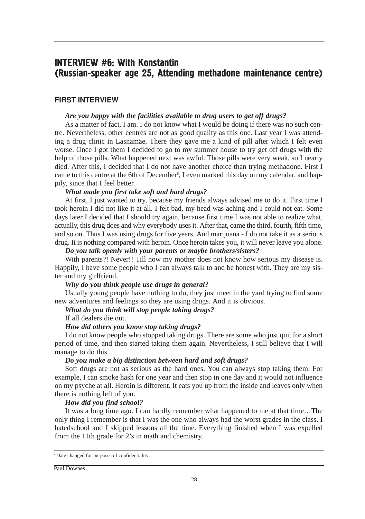## **INTERVIEW #6: With Konstantin** (Russian-speaker age 25, Attending methadone maintenance centre)

#### FIRST INTERVIEW

#### *Are you happy with the facilities available to drug users to get off drugs?*

As a matter of fact, I am. I do not know what I would be doing if there was no such centre. Nevertheless, other centres are not as good quality as this one. Last year I was attending a drug clinic in Lasnamäe. There they gave me a kind of pill after which I felt even worse. Once I got them I decided to go to my summer house to try get off drugs with the help of those pills. What happened next was awful. Those pills were very weak, so I nearly died. After this, I decided that I do not have another choice than trying methadone. First I came to this centre at the 6th of December<sup>6</sup>, I even marked this day on my calendar, and happily, since that I feel better.

#### *What made you first take soft and hard drugs?*

At first, I just wanted to try, because my friends always advised me to do it. First time I took heroin I did not like it at all. I felt bad, my head was aching and I could not eat. Some days later I decided that I should try again, because first time I was not able to realize what, actually, this drug does and why everybody uses it. After that, came the third, fourth, fifth time, and so on. Thus I was using drugs for five years. And marijuana - I do not take it as a serious drug. It is nothing compared with heroin. Once heroin takes you, it will never leave you alone.

#### *Do you talk openly with your parents or maybe brothers/sisters?*

With parents?! Never!! Till now my mother does not know how serious my disease is. Happily, I have some people who I can always talk to and be honest with. They are my sister and my girlfriend.

#### *Why do you think people use drugs in general?*

Usually young people have nothing to do, they just meet in the yard trying to find some new adventures and feelings so they are using drugs. And it is obvious.

#### *What do you think will stop people taking drugs?*

If all dealers die out.

#### *How did others you know stop taking drugs?*

I do not know people who stopped taking drugs. There are some who just quit for a short period of time, and then started taking them again. Nevertheless, I still believe that I will manage to do this.

#### *Do you make a big distinction between hard and soft drugs?*

Soft drugs are not as serious as the hard ones. You can always stop taking them. For example, I can smoke hash for one year and then stop in one day and it would not influence on my psyche at all. Heroin is different. It eats you up from the inside and leaves only when there is nothing left of you.

#### *How did you find school?*

It was a long time ago. I can hardly remember what happened to me at that time…The only thing I remember is that I was the one who always had the worst grades in the class. I hatedschool and I skipped lessons all the time. Everything finished when I was expelled from the 11th grade for 2's in math and chemistry.

<sup>6</sup> Date changed for purposes of confidentiality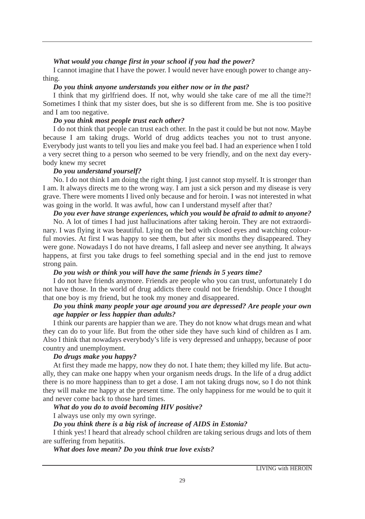#### *What would you change first in your school if you had the power?*

I cannot imagine that I have the power. I would never have enough power to change anything.

#### *Do you think anyone understands you either now or in the past?*

I think that my girlfriend does. If not, why would she take care of me all the time?! Sometimes I think that my sister does, but she is so different from me. She is too positive and I am too negative.

#### *Do you think most people trust each other?*

I do not think that people can trust each other. In the past it could be but not now. Maybe because I am taking drugs. World of drug addicts teaches you not to trust anyone. Everybody just wants to tell you lies and make you feel bad. I had an experience when I told a very secret thing to a person who seemed to be very friendly, and on the next day everybody knew my secret

#### *Do you understand yourself?*

No. I do not think I am doing the right thing. I just cannot stop myself. It is stronger than I am. It always directs me to the wrong way. I am just a sick person and my disease is very grave. There were moments I lived only because and for heroin. I was not interested in what was going in the world. It was awful, how can I understand myself after that?

#### *Do you ever have strange experiences, which you would be afraid to admit to anyone?*

No. A lot of times I had just hallucinations after taking heroin. They are not extraordinary. I was flying it was beautiful. Lying on the bed with closed eyes and watching colourful movies. At first I was happy to see them, but after six months they disappeared. They were gone. Nowadays I do not have dreams, I fall asleep and never see anything. It always happens, at first you take drugs to feel something special and in the end just to remove strong pain.

#### *Do you wish or think you will have the same friends in 5 years time?*

I do not have friends anymore. Friends are people who you can trust, unfortunately I do not have those. In the world of drug addicts there could not be friendship. Once I thought that one boy is my friend, but he took my money and disappeared.

#### *Do you think many people your age around you are depressed? Are people your own age happier or less happier than adults?*

I think our parents are happier than we are. They do not know what drugs mean and what they can do to your life. But from the other side they have such kind of children as I am. Also I think that nowadays everybody's life is very depressed and unhappy, because of poor country and unemployment.

#### *Do drugs make you happy?*

At first they made me happy, now they do not. I hate them; they killed my life. But actually, they can make one happy when your organism needs drugs. In the life of a drug addict there is no more happiness than to get a dose. I am not taking drugs now, so I do not think they will make me happy at the present time. The only happiness for me would be to quit it and never come back to those hard times.

#### *What do you do to avoid becoming HIV positive?*

I always use only my own syringe.

#### *Do you think there is a big risk of increase of AIDS in Estonia?*

I think yes! I heard that already school children are taking serious drugs and lots of them are suffering from hepatitis.

#### *What does love mean? Do you think true love exists?*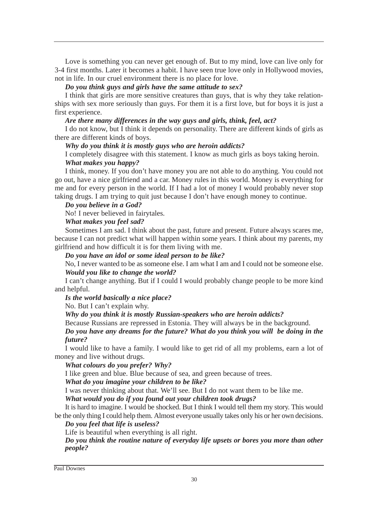Love is something you can never get enough of. But to my mind, love can live only for 3-4 first months. Later it becomes a habit. I have seen true love only in Hollywood movies, not in life. In our cruel environment there is no place for love.

#### *Do you think guys and girls have the same attitude to sex?*

I think that girls are more sensitive creatures than guys, that is why they take relationships with sex more seriously than guys. For them it is a first love, but for boys it is just a first experience.

#### *Are there many differences in the way guys and girls, think, feel, act?*

I do not know, but I think it depends on personality. There are different kinds of girls as there are different kinds of boys.

#### *Why do you think it is mostly guys who are heroin addicts?*

I completely disagree with this statement. I know as much girls as boys taking heroin. *What makes you happy?*

I think, money. If you don't have money you are not able to do anything. You could not go out, have a nice girlfriend and a car. Money rules in this world. Money is everything for me and for every person in the world. If I had a lot of money I would probably never stop taking drugs. I am trying to quit just because I don't have enough money to continue.

#### *Do you believe in a God?*

No! I never believed in fairytales.

#### *What makes you feel sad?*

Sometimes I am sad. I think about the past, future and present. Future always scares me, because I can not predict what will happen within some years. I think about my parents, my girlfriend and how difficult it is for them living with me.

*Do you have an idol or some ideal person to be like?*

No, I never wanted to be as someone else. I am what I am and I could not be someone else. *Would you like to change the world?*

I can't change anything. But if I could I would probably change people to be more kind and helpful.

*Is the world basically a nice place?*

No. But I can't explain why.

*Why do you think it is mostly Russian-speakers who are heroin addicts?*

Because Russians are repressed in Estonia. They will always be in the background.

*Do you have any dreams for the future? What do you think you will be doing in the future?*

I would like to have a family. I would like to get rid of all my problems, earn a lot of money and live without drugs.

*What colours do you prefer? Why?*

I like green and blue. Blue because of sea, and green because of trees.

*What do you imagine your children to be like?*

I was never thinking about that. We'll see. But I do not want them to be like me.

*What would you do if you found out your children took drugs?*

It is hard to imagine. I would be shocked. But I think I would tell them my story. This would be the only thing I could help them. Almost everyone usually takes only his or her own decisions.

#### *Do you feel that life is useless?*

Life is beautiful when everything is all right.

*Do you think the routine nature of everyday life upsets or bores you more than other people?*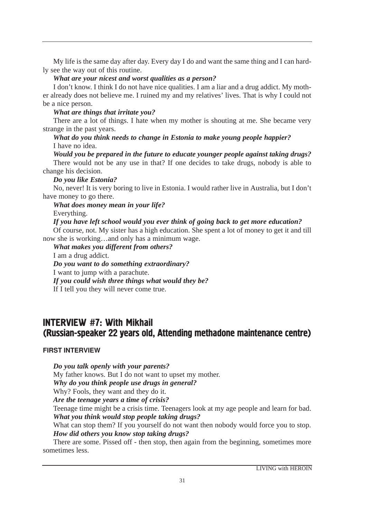My life is the same day after day. Every day I do and want the same thing and I can hardly see the way out of this routine.

#### *What are your nicest and worst qualities as a person?*

I don't know. I think I do not have nice qualities. I am a liar and a drug addict. My mother already does not believe me. I ruined my and my relatives' lives. That is why I could not be a nice person.

#### *What are things that irritate you?*

There are a lot of things. I hate when my mother is shouting at me. She became very strange in the past years.

#### *What do you think needs to change in Estonia to make young people happier?* I have no idea.

*Would you be prepared in the future to educate younger people against taking drugs?* There would not be any use in that? If one decides to take drugs, nobody is able to change his decision.

#### *Do you like Estonia?*

No, never! It is very boring to live in Estonia. I would rather live in Australia, but I don't have money to go there.

# *What does money mean in your life?*

Everything.

#### *If you have left school would you ever think of going back to get more education?*

Of course, not. My sister has a high education. She spent a lot of money to get it and till now she is working…and only has a minimum wage.

*What makes you different from others?* I am a drug addict. *Do you want to do something extraordinary?* I want to jump with a parachute. *If you could wish three things what would they be?* If I tell you they will never come true.

## **INTERVIEW #7: With Mikhail** (Russian-speaker 22 years old, Attending methadone maintenance centre)

#### FIRST INTERVIEW

*Do you talk openly with your parents?*

My father knows. But I do not want to upset my mother.

*Why do you think people use drugs in general?*

Why? Fools, they want and they do it.

*Are the teenage years a time of crisis?*

Teenage time might be a crisis time. Teenagers look at my age people and learn for bad. *What you think would stop people taking drugs?*

What can stop them? If you yourself do not want then nobody would force you to stop. *How did others you know stop taking drugs?*

There are some. Pissed off - then stop, then again from the beginning, sometimes more sometimes less.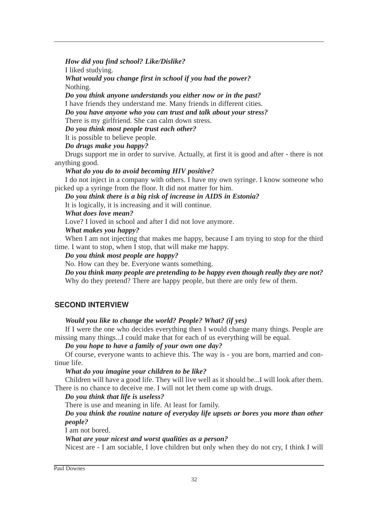*How did you find school? Like/Dislike?* I liked studying. *What would you change first in school if you had the power?* Nothing.

*Do you think anyone understands you either now or in the past?* I have friends they understand me. Many friends in different cities. *Do you have anyone who you can trust and talk about your stress?*

There is my girlfriend. She can calm down stress.

*Do you think most people trust each other?*

It is possible to believe people.

*Do drugs make you happy?* Drugs support me in order to survive. Actually, at first it is good and after - there is not

anything good.

*What do you do to avoid becoming HIV positive?*

I do not inject in a company with others. I have my own syringe. I know someone who picked up a syringe from the floor. It did not matter for him.

*Do you think there is a big risk of increase in AIDS in Estonia?*

It is logically, it is increasing and it will continue.

*What does love mean?*

Love? I loved in school and after I did not love anymore.

#### *What makes you happy?*

When I am not injecting that makes me happy, because I am trying to stop for the third time. I want to stop, when I stop, that will make me happy.

#### *Do you think most people are happy?*

No. How can they be. Everyone wants something.

*Do you think many people are pretending to be happy even though really they are not?* Why do they pretend? There are happy people, but there are only few of them.

#### SECOND INTERVIEW

#### *Would you like to change the world? People? What? (if yes)*

If I were the one who decides everything then I would change many things. People are missing many things...I could make that for each of us everything will be equal.

*Do you hope to have a family of your own one day?*

Of course, everyone wants to achieve this. The way is - you are born, married and continue life.

*What do you imagine your children to be like?* 

Children will have a good life. They will live well as it should be...I will look after them. There is no chance to deceive me. I will not let them come up with drugs.

*Do you think that life is useless?*

There is use and meaning in life. At least for family.

#### *Do you think the routine nature of everyday life upsets or bores you more than other people?*

I am not bored.

#### *What are your nicest and worst qualities as a person?*

Nicest are - I am sociable, I love children but only when they do not cry, I think I will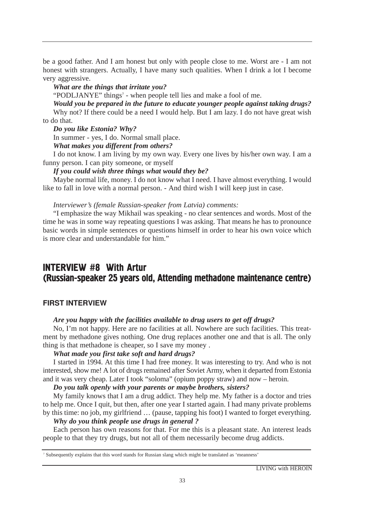be a good father. And I am honest but only with people close to me. Worst are - I am not honest with strangers. Actually, I have many such qualities. When I drink a lot I become very aggressive.

#### *What are the things that irritate you?*

"PODLJANYE" things<sup>7</sup> - when people tell lies and make a fool of me.

*Would you be prepared in the future to educate younger people against taking drugs?* Why not? If there could be a need I would help. But I am lazy. I do not have great wish to do that.

*Do you like Estonia? Why?*

In summer - yes, I do. Normal small place.

*What makes you different from others?*

I do not know. I am living by my own way. Every one lives by his/her own way. I am a funny person. I can pity someone, or myself

*If you could wish three things what would they be?*

Maybe normal life, money. I do not know what I need. I have almost everything. I would like to fall in love with a normal person. - And third wish I will keep just in case.

*Interviewer's (female Russian-speaker from Latvia) comments:*

"I emphasize the way Mikhail was speaking - no clear sentences and words. Most of the time he was in some way repeating questions I was asking. That means he has to pronounce basic words in simple sentences or questions himself in order to hear his own voice which is more clear and understandable for him."

## **INTERVIEW #8 With Artur** (Russian-speaker 25 years old, Attending methadone maintenance centre)

#### FIRST INTERVIEW

#### *Are you happy with the facilities available to drug users to get off drugs?*

No, I'm not happy. Here are no facilities at all. Nowhere are such facilities. This treatment by methadone gives nothing. One drug replaces another one and that is all. The only thing is that methadone is cheaper, so I save my money .

#### *What made you first take soft and hard drugs?*

I started in 1994. At this time I had free money. It was interesting to try. And who is not interested, show me! A lot of drugs remained after Soviet Army, when it departed from Estonia and it was very cheap. Later I took "soloma" (opium poppy straw) and now – heroin.

*Do you talk openly with your parents or maybe brothers, sisters?*

My family knows that I am a drug addict. They help me. My father is a doctor and tries to help me. Once I quit, but then, after one year I started again. I had many private problems by this time: no job, my girlfriend … (pause, tapping his foot) I wanted to forget everything.

#### *Why do you think people use drugs in general ?*

Each person has own reasons for that. For me this is a pleasant state. An interest leads people to that they try drugs, but not all of them necessarily become drug addicts.

<sup>7</sup> Subsequently explains that this word stands for Russian slang which might be translated as 'meanness'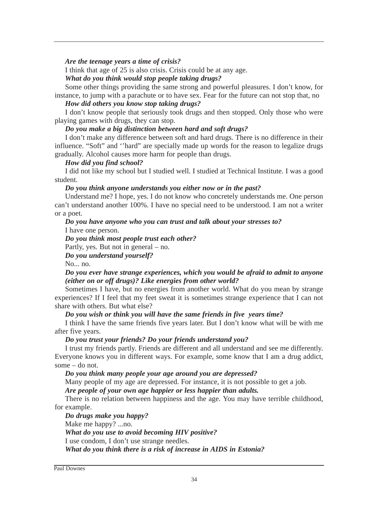#### *Are the teenage years a time of crisis?*

I think that age of 25 is also crisis. Crisis could be at any age.

*What do you think would stop people taking drugs?*

Some other things providing the same strong and powerful pleasures. I don't know, for instance, to jump with a parachute or to have sex. Fear for the future can not stop that, no

#### *How did others you know stop taking drugs?*

I don't know people that seriously took drugs and then stopped. Only those who were playing games with drugs, they can stop.

#### *Do you make a big distinction between hard and soft drugs?*

I don't make any difference between soft and hard drugs. There is no difference in their influence. "Soft" and ''hard" are specially made up words for the reason to legalize drugs gradually. Alcohol causes more harm for people than drugs.

#### *How did you find school?*

I did not like my school but I studied well. I studied at Technical Institute. I was a good student.

*Do you think anyone understands you either now or in the past?*

Understand me? I hope, yes. I do not know who concretely understands me. One person can't understand another 100%. I have no special need to be understood. I am not a writer or a poet.

*Do you have anyone who you can trust and talk about your stresses to?*

I have one person.

*Do you think most people trust each other?*

Partly, yes. But not in general – no.

*Do you understand yourself?*

No... no.

*Do you ever have strange experiences, which you would be afraid to admit to anyone (either on or off drugs)? Like energies from other world?*

Sometimes I have, but no energies from another world. What do you mean by strange experiences? If I feel that my feet sweat it is sometimes strange experience that I can not share with others. But what else?

#### *Do you wish or think you will have the same friends in five years time?*

I think I have the same friends five years later. But I don't know what will be with me after five years.

#### *Do you trust your friends? Do your friends understand you?*

I trust my friends partly. Friends are different and all understand and see me differently. Everyone knows you in different ways. For example, some know that I am a drug addict, some – do not.

*Do you think many people your age around you are depressed?*

Many people of my age are depressed. For instance, it is not possible to get a job.

*Are people of your own age happier or less happier than adults.*

There is no relation between happiness and the age. You may have terrible childhood, for example.

*Do drugs make you happy?*

Make me happy? ...no.

*What do you use to avoid becoming HIV positive?*

I use condom, I don't use strange needles.

*What do you think there is a risk of increase in AIDS in Estonia?*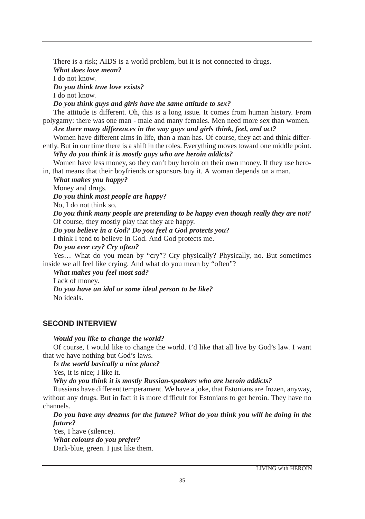There is a risk; AIDS is a world problem, but it is not connected to drugs.

*What does love mean?*

I do not know.

*Do you think true love exists?*

I do not know.

*Do you think guys and girls have the same attitude to sex?*

The attitude is different. Oh, this is a long issue. It comes from human history. From polygamy: there was one man - male and many females. Men need more sex than women.

*Are there many differences in the way guys and girls think, feel, and act?*

Women have different aims in life, than a man has. Of course, they act and think differently. But in our time there is a shift in the roles. Everything moves toward one middle point.

*Why do you think it is mostly guys who are heroin addicts?*

Women have less money, so they can't buy heroin on their own money. If they use heroin, that means that their boyfriends or sponsors buy it. A woman depends on a man.

*What makes you happy?*

Money and drugs.

*Do you think most people are happy?*

No, I do not think so.

*Do you think many people are pretending to be happy even though really they are not?* Of course, they mostly play that they are happy.

*Do you believe in a God? Do you feel a God protects you?*

I think I tend to believe in God. And God protects me.

*Do you ever cry? Cry often?*

Yes… What do you mean by "cry"? Cry physically? Physically, no. But sometimes inside we all feel like crying. And what do you mean by "often"?

*What makes you feel most sad?*

Lack of money.

*Do you have an idol or some ideal person to be like?* No ideals.

#### SECOND INTERVIEW

#### *Would you like to change the world?*

Of course, I would like to change the world. I'd like that all live by God's law. I want that we have nothing but God's laws.

*Is the world basically a nice place?*

Yes, it is nice; I like it.

*Why do you think it is mostly Russian-speakers who are heroin addicts?*

Russians have different temperament. We have a joke, that Estonians are frozen, anyway, without any drugs. But in fact it is more difficult for Estonians to get heroin. They have no channels.

*Do you have any dreams for the future? What do you think you will be doing in the future?*

Yes, I have (silence). *What colours do you prefer?* Dark-blue, green. I just like them.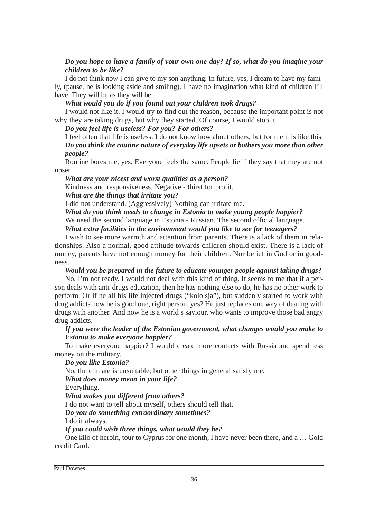#### *Do you hope to have a family of your own one-day? If so, what do you imagine your children to be like?*

I do not think now I can give to my son anything. In future, yes, I dream to have my family, (pause, he is looking aside and smiling). I have no imagination what kind of children I'll have. They will be as they will be.

#### *What would you do if you found out your children took drugs?*

I would not like it. I would try to find out the reason, because the important point is not why they are taking drugs, but why they started. Of course, I would stop it.

*Do you feel life is useless? For you? For others?*

I feel often that life is useless. I do not know how about others, but for me it is like this. *Do you think the routine nature of everyday life upsets or bothers you more than other people?* 

Routine bores me, yes. Everyone feels the same. People lie if they say that they are not upset.

*What are your nicest and worst qualities as a person?* 

Kindness and responsiveness. Negative - thirst for profit.

#### *What are the things that irritate you?*

I did not understand. (Aggressively) Nothing can irritate me.

*What do you think needs to change in Estonia to make young people happier?*  We need the second language in Estonia - Russian. The second official language.

*What extra facilities in the environment would you like to see for teenagers?*

I wish to see more warmth and attention from parents. There is a lack of them in relationships. Also a normal, good attitude towards children should exist. There is a lack of money, parents have not enough money for their children. Nor belief in God or in goodness.

*Would you be prepared in the future to educate younger people against taking drugs?*

No, I'm not ready. I would not deal with this kind of thing. It seems to me that if a person deals with anti-drugs education, then he has nothing else to do, he has no other work to perform. Or if he all his life injected drugs ("kololsja"), but suddenly started to work with drug addicts now he is good one, right person, yes? He just replaces one way of dealing with drugs with another. And now he is a world's saviour, who wants to improve those bad angry drug addicts.

#### *If you were the leader of the Estonian government, what changes would you make to Estonia to make everyone happier?*

To make everyone happier? I would create more contacts with Russia and spend less money on the military.

#### *Do you like Estonia?*

No, the climate is unsuitable, but other things in general satisfy me.

*What does money mean in your life?*

Everything.

#### *What makes you different from others?*

I do not want to tell about myself, others should tell that.

*Do you do something extraordinary sometimes?*

I do it always.

*If you could wish three things, what would they be?*

One kilo of heroin, tour to Cyprus for one month, I have never been there, and a … Gold credit Card.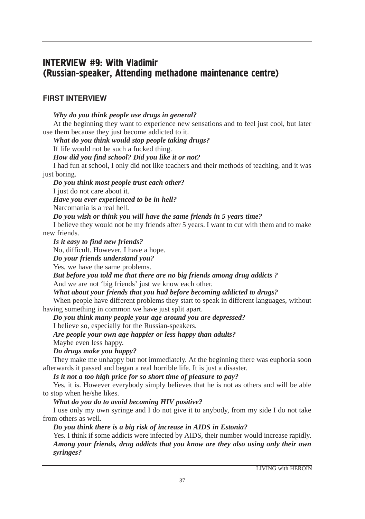# **INTERVIEW #9: With Vladimir** (Russian-speaker, Attending methadone maintenance centre)

#### FIRST INTERVIEW

*Why do you think people use drugs in general?* At the beginning they want to experience new sensations and to feel just cool, but later use them because they just become addicted to it. *What do you think would stop people taking drugs?* If life would not be such a fucked thing. *How did you find school? Did you like it or not?* I had fun at school, I only did not like teachers and their methods of teaching, and it was just boring. *Do you think most people trust each other?* I just do not care about it. *Have you ever experienced to be in hell?* Narcomania is a real hell. *Do you wish or think you will have the same friends in 5 years time?* I believe they would not be my friends after 5 years. I want to cut with them and to make new friends. *Is it easy to find new friends?* No, difficult. However, I have a hope. *Do your friends understand you?* Yes, we have the same problems. *But before you told me that there are no big friends among drug addicts ?* And we are not 'big friends' just we know each other. *What about your friends that you had before becoming addicted to drugs?* When people have different problems they start to speak in different languages, without having something in common we have just split apart. *Do you think many people your age around you are depressed?* I believe so, especially for the Russian-speakers. *Are people your own age happier or less happy than adults?* Maybe even less happy. *Do drugs make you happy?* They make me unhappy but not immediately. At the beginning there was euphoria soon afterwards it passed and began a real horrible life. It is just a disaster. *Is it not a too high price for so short time of pleasure to pay?* Yes, it is. However everybody simply believes that he is not as others and will be able to stop when he/she likes. *What do you do to avoid becoming HIV positive?*  I use only my own syringe and I do not give it to anybody, from my side I do not take from others as well.

*Do you think there is a big risk of increase in AIDS in Estonia?*

Yes. I think if some addicts were infected by AIDS, their number would increase rapidly. *Among your friends, drug addicts that you know are they also using only their own syringes?*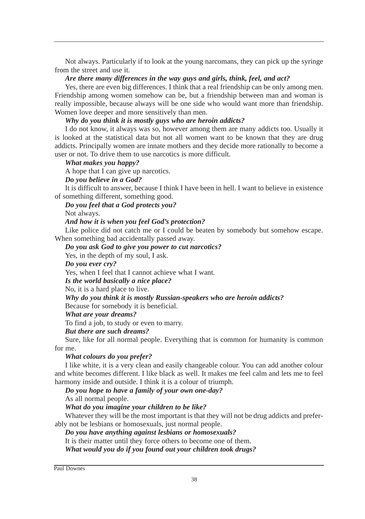Not always. Particularly if to look at the young narcomans, they can pick up the syringe from the street and use it.

#### *Are there many differences in the way guys and girls, think, feel, and act?*

Yes, there are even big differences. I think that a real friendship can be only among men. Friendship among women somehow can be, but a friendship between man and woman is really impossible, because always will be one side who would want more than friendship. Women love deeper and more sensitively than men.

#### *Why do you think it is mostly guys who are heroin addicts?*

I do not know, it always was so, however among them are many addicts too. Usually it is looked at the statistical data but not all women want to be known that they are drug addicts. Principally women are innate mothers and they decide more rationally to become a user or not. To drive them to use narcotics is more difficult.

#### *What makes you happy?*

A hope that I can give up narcotics.

*Do you believe in a God?*

It is difficult to answer, because I think I have been in hell. I want to believe in existence of something different, something good.

#### *Do you feel that a God protects you?*

Not always.

#### *And how it is when you feel God's protection?*

Like police did not catch me or I could be beaten by somebody but somehow escape. When something bad accidentally passed away.

*Do you ask God to give you power to cut narcotics?*

Yes, in the depth of my soul, I ask.

*Do you ever cry?*

Yes, when I feel that I cannot achieve what I want.

*Is the world basically a nice place?*

No, it is a hard place to live.

#### *Why do you think it is mostly Russian-speakers who are heroin addicts?*

Because for somebody it is beneficial.

*What are your dreams?*

To find a job, to study or even to marry.

*But there are such dreams?*

Sure, like for all normal people. Everything that is common for humanity is common for me.

#### *What colours do you prefer?*

I like white, it is a very clean and easily changeable colour. You can add another colour and white becomes different. I like black as well. It makes me feel calm and lets me to feel harmony inside and outside. I think it is a colour of triumph.

*Do you hope to have a family of your own one-day?*

As all normal people.

#### *What do you imagine your children to be like?*

Whatever they will be the most important is that they will not be drug addicts and preferably not be lesbians or homosexuals, just normal people.

*Do you have anything against lesbians or homosexuals?*

It is their matter until they force others to become one of them.

*What would you do if you found out your children took drugs?*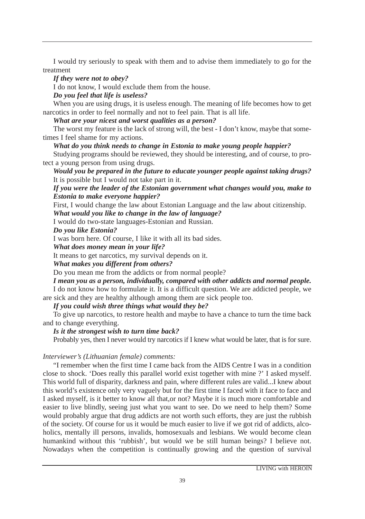I would try seriously to speak with them and to advise them immediately to go for the treatment

*If they were not to obey?*

I do not know, I would exclude them from the house.

*Do you feel that life is useless?*

When you are using drugs, it is useless enough. The meaning of life becomes how to get narcotics in order to feel normally and not to feel pain. That is all life.

*What are your nicest and worst qualities as a person?*

The worst my feature is the lack of strong will, the best - I don't know, maybe that sometimes I feel shame for my actions.

*What do you think needs to change in Estonia to make young people happier?*

Studying programs should be reviewed, they should be interesting, and of course, to protect a young person from using drugs.

*Would you be prepared in the future to educate younger people against taking drugs?* It is possible but I would not take part in it.

*If you were the leader of the Estonian government what changes would you, make to Estonia to make everyone happier?*

First, I would change the law about Estonian Language and the law about citizenship. *What would you like to change in the law of language?*

I would do two-state languages-Estonian and Russian.

## *Do you like Estonia?*

I was born here. Of course, I like it with all its bad sides.

*What does money mean in your life?*

It means to get narcotics, my survival depends on it.

*What makes you different from others?*

Do you mean me from the addicts or from normal people?

*I mean you as a person, individually, compared with other addicts and normal people.*

I do not know how to formulate it. It is a difficult question. We are addicted people, we are sick and they are healthy although among them are sick people too.

*If you could wish three things what would they be?*

To give up narcotics, to restore health and maybe to have a chance to turn the time back and to change everything.

*Is it the strongest wish to turn time back?*

Probably yes, then I never would try narcotics if I knew what would be later, that is for sure.

# *Interviewer's (Lithuanian female) comments:*

"I remember when the first time I came back from the AIDS Centre I was in a condition close to shock. 'Does really this parallel world exist together with mine ?' I asked myself. This world full of disparity, darkness and pain, where different rules are valid...I knew about this world's existence only very vaguely but for the first time I faced with it face to face and I asked myself, is it better to know all that,or not? Maybe it is much more comfortable and easier to live blindly, seeing just what you want to see. Do we need to help them? Some would probably argue that drug addicts are not worth such efforts, they are just the rubbish of the society. Of course for us it would be much easier to live if we got rid of addicts, alcoholics, mentally ill persons, invalids, homosexuals and lesbians. We would become clean humankind without this 'rubbish', but would we be still human beings? I believe not. Nowadays when the competition is continually growing and the question of survival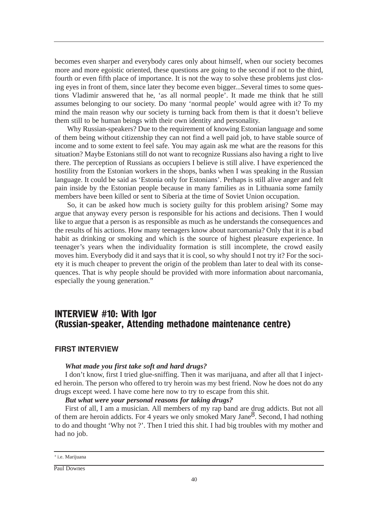becomes even sharper and everybody cares only about himself, when our society becomes more and more egoistic oriented, these questions are going to the second if not to the third, fourth or even fifth place of importance. It is not the way to solve these problems just closing eyes in front of them, since later they become even bigger...Several times to some questions Vladimir answered that he, 'as all normal people'. It made me think that he still assumes belonging to our society. Do many 'normal people' would agree with it? To my mind the main reason why our society is turning back from them is that it doesn't believe them still to be human beings with their own identity and personality.

Why Russian-speakers? Due to the requirement of knowing Estonian language and some of them being without citizenship they can not find a well paid job, to have stable source of income and to some extent to feel safe. You may again ask me what are the reasons for this situation? Maybe Estonians still do not want to recognize Russians also having a right to live there. The perception of Russians as occupiers I believe is still alive. I have experienced the hostility from the Estonian workers in the shops, banks when I was speaking in the Russian language. It could be said as 'Estonia only for Estonians'. Perhaps is still alive anger and felt pain inside by the Estonian people because in many families as in Lithuania some family members have been killed or sent to Siberia at the time of Soviet Union occupation.

So, it can be asked how much is society guilty for this problem arising? Some may argue that anyway every person is responsible for his actions and decisions. Then I would like to argue that a person is as responsible as much as he understands the consequences and the results of his actions. How many teenagers know about narcomania? Only that it is a bad habit as drinking or smoking and which is the source of highest pleasure experience. In teenager's years when the individuality formation is still incomplete, the crowd easily moves him. Everybody did it and says that it is cool, so why should I not try it? For the society it is much cheaper to prevent the origin of the problem than later to deal with its consequences. That is why people should be provided with more information about narcomania, especially the young generation."

# INTERVIEW #10: With Igor (Russian-speaker, Attending methadone maintenance centre)

#### FIRST INTERVIEW

#### *What made you first take soft and hard drugs?*

I don't know, first I tried glue-sniffing. Then it was marijuana, and after all that I injected heroin. The person who offered to try heroin was my best friend. Now he does not do any drugs except weed. I have come here now to try to escape from this shit.

#### *But what were your personal reasons for taking drugs?*

First of all, I am a musician. All members of my rap band are drug addicts. But not all of them are heroin addicts. For 4 years we only smoked Mary Jane<sup>8</sup>. Second, I had nothing to do and thought 'Why not ?'. Then I tried this shit. I had big troubles with my mother and had no job.

<sup>8</sup> i.e. Marijuana

Paul Downes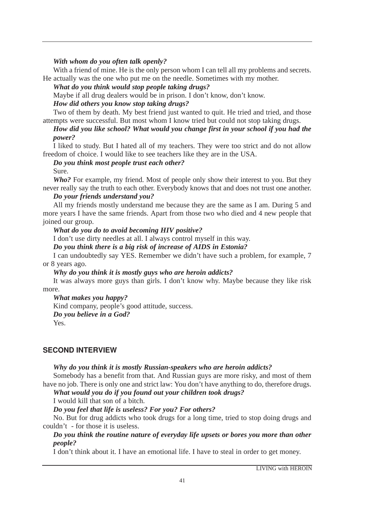## *With whom do you often talk openly?*

With a friend of mine. He is the only person whom I can tell all my problems and secrets. He actually was the one who put me on the needle. Sometimes with my mother.

*What do you think would stop people taking drugs?*

Maybe if all drug dealers would be in prison. I don't know, don't know.

## *How did others you know stop taking drugs?*

Two of them by death. My best friend just wanted to quit. He tried and tried, and those attempts were successful. But most whom I know tried but could not stop taking drugs.

## *How did you like school? What would you change first in your school if you had the power?*

I liked to study. But I hated all of my teachers. They were too strict and do not allow freedom of choice. I would like to see teachers like they are in the USA.

## *Do you think most people trust each other?*

#### Sure.

*Who?* For example, my friend. Most of people only show their interest to you. But they never really say the truth to each other. Everybody knows that and does not trust one another.

## *Do your friends understand you?*

All my friends mostly understand me because they are the same as I am. During 5 and more years I have the same friends. Apart from those two who died and 4 new people that joined our group.

## *What do you do to avoid becoming HIV positive?*

I don't use dirty needles at all. I always control myself in this way.

*Do you think there is a big risk of increase of AIDS in Estonia?*

I can undoubtedly say YES. Remember we didn't have such a problem, for example, 7 or 8 years ago.

#### *Why do you think it is mostly guys who are heroin addicts?*

It was always more guys than girls. I don't know why. Maybe because they like risk more.

*What makes you happy?*

Kind company, people's good attitude, success. *Do you believe in a God?*

Yes.

# SECOND INTERVIEW

#### *Why do you think it is mostly Russian-speakers who are heroin addicts?*

Somebody has a benefit from that. And Russian guys are more risky, and most of them have no job. There is only one and strict law: You don't have anything to do, therefore drugs.

*What would you do if you found out your children took drugs?*

I would kill that son of a bitch.

## *Do you feel that life is useless? For you? For others?*

No. But for drug addicts who took drugs for a long time, tried to stop doing drugs and couldn't - for those it is useless.

## *Do you think the routine nature of everyday life upsets or bores you more than other people?*

I don't think about it. I have an emotional life. I have to steal in order to get money.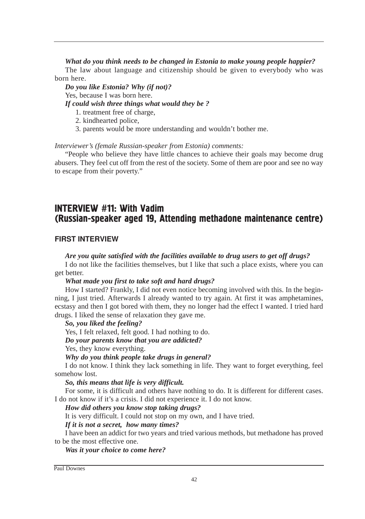## *What do you think needs to be changed in Estonia to make young people happier?*

The law about language and citizenship should be given to everybody who was born here.

*Do you like Estonia? Why (if not)?* Yes, because I was born here. *If could wish three things what would they be ?*

- 1. treatment free of charge,
- 2. kindhearted police,
- 3. parents would be more understanding and wouldn't bother me.

#### *Interviewer's (female Russian-speaker from Estonia) comments:*

"People who believe they have little chances to achieve their goals may become drug abusers. They feel cut off from the rest of the society. Some of them are poor and see no way to escape from their poverty."

# **INTERVIEW #11: With Vadim** (Russian-speaker aged 19, Attending methadone maintenance centre)

## FIRST INTERVIEW

#### *Are you quite satisfied with the facilities available to drug users to get off drugs?*

I do not like the facilities themselves, but I like that such a place exists, where you can get better.

#### *What made you first to take soft and hard drugs?*

How I started? Frankly, I did not even notice becoming involved with this. In the beginning, I just tried. Afterwards I already wanted to try again. At first it was amphetamines, ecstasy and then I got bored with them, they no longer had the effect I wanted. I tried hard drugs. I liked the sense of relaxation they gave me.

#### *So, you liked the feeling?*

Yes, I felt relaxed, felt good. I had nothing to do.

## *Do your parents know that you are addicted?*

Yes, they know everything.

#### *Why do you think people take drugs in general?*

I do not know. I think they lack something in life. They want to forget everything, feel somehow lost.

#### *So, this means that life is very difficult.*

For some, it is difficult and others have nothing to do. It is different for different cases. I do not know if it's a crisis. I did not experience it. I do not know.

#### *How did others you know stop taking drugs?*

It is very difficult. I could not stop on my own, and I have tried.

#### *If it is not a secret, how many times?*

I have been an addict for two years and tried various methods, but methadone has proved to be the most effective one.

#### *Was it your choice to come here?*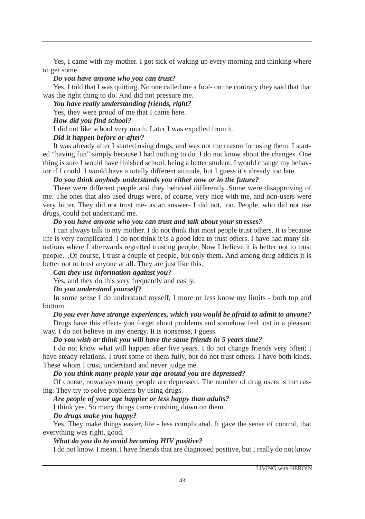Yes, I came with my mother. I got sick of waking up every morning and thinking where to get some.

#### *Do you have anyone who you can trust?*

Yes, I told that I was quitting. No one called me a fool- on the contrary they said that that was the right thing to do. And did not pressure me.

## *You have really understanding friends, right?*

Yes, they were proud of me that I came here.

## *How did you find school?*

I did not like school very much. Later I was expelled from it.

## *Did it happen before or after?*

It was already after I started using drugs, and was not the reason for using them. I started "having fun" simply because I had nothing to do. I do not know about the changes. One thing is sure I would have finished school, being a better student. I would change my behavior if I could. I would have a totally different attitude, but I guess it's already too late.

## *Do you think anybody understands you either now or in the future?*

There were different people and they behaved differently. Some were disapproving of me. The ones that also used drugs were, of course, very nice with me, and non-users were very bitter. They did not trust me- as an answer- I did not, too. People, who did not use drugs, could not understand me.

## *Do you have anyone who you can trust and talk about your stresses?*

I can always talk to my mother. I do not think that most people trust others. It is because life is very complicated. I do not think it is a good idea to trust others. I have had many situations where I afterwards regretted trusting people. Now I believe it is better not to trust people…Of course, I trust a couple of people, but only them. And among drug addicts it is better not to trust anyone at all. They are just like this.

## *Can they use information against you?*

Yes, and they do this very frequently and easily.

# *Do you understand yourself?*

In some sense I do understand myself, I more or less know my limits - both top and bottom.

# *Do you ever have strange experiences, which you would be afraid to admit to anyone?*

Drugs have this effect- you forget about problems and somehow feel lost in a pleasant way. I do not believe in any energy. It is nonsense, I guess.

## *Do you wish or think you will have the same friends in 5 years time?*

I do not know what will happen after five years. I do not change friends very often; I have steady relations. I trust some of them fully, but do not trust others. I have both kinds. These whom I trust, understand and never judge me.

## *Do you think many people your age around you are depressed?*

Of course, nowadays many people are depressed. The number of drug users is increasing. They try to solve problems by using drugs.

# *Are people of your age happier or less happy than adults?*

I think yes. So many things came crushing down on them.

## *Do drugs make you happy?*

Yes. They make things easier, life - less complicated. It gave the sense of control, that everything was right, good.

# *What do you do to avoid becoming HIV positive?*

I do not know. I mean, I have friends that are diagnosed positive, but I really do not know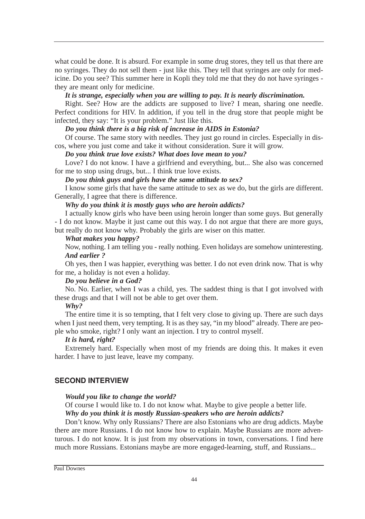what could be done. It is absurd. For example in some drug stores, they tell us that there are no syringes. They do not sell them - just like this. They tell that syringes are only for medicine. Do you see? This summer here in Kopli they told me that they do not have syringes they are meant only for medicine.

#### *It is strange, especially when you are willing to pay. It is nearly discrimination.*

Right. See? How are the addicts are supposed to live? I mean, sharing one needle. Perfect conditions for HIV. In addition, if you tell in the drug store that people might be infected, they say: "It is your problem." Just like this.

## *Do you think there is a big risk of increase in AIDS in Estonia?*

Of course. The same story with needles. They just go round in circles. Especially in discos, where you just come and take it without consideration. Sure it will grow.

#### *Do you think true love exists? What does love mean to you?*

Love? I do not know. I have a girlfriend and everything, but... She also was concerned for me to stop using drugs, but... I think true love exists.

*Do you think guys and girls have the same attitude to sex?*

I know some girls that have the same attitude to sex as we do, but the girls are different. Generally, I agree that there is difference.

## *Why do you think it is mostly guys who are heroin addicts?*

I actually know girls who have been using heroin longer than some guys. But generally - I do not know. Maybe it just came out this way. I do not argue that there are more guys, but really do not know why. Probably the girls are wiser on this matter.

## *What makes you happy?*

Now, nothing. I am telling you - really nothing. Even holidays are somehow uninteresting. *And earlier ?*

Oh yes, then I was happier, everything was better. I do not even drink now. That is why for me, a holiday is not even a holiday.

#### *Do you believe in a God?*

No. No. Earlier, when I was a child, yes. The saddest thing is that I got involved with these drugs and that I will not be able to get over them.

## *Why?*

The entire time it is so tempting, that I felt very close to giving up. There are such days when I just need them, very tempting. It is as they say, "in my blood" already. There are people who smoke, right? I only want an injection. I try to control myself.

#### *It is hard, right?*

Extremely hard. Especially when most of my friends are doing this. It makes it even harder. I have to just leave, leave my company.

## SECOND INTERVIEW

#### *Would you like to change the world?*

Of course I would like to. I do not know what. Maybe to give people a better life.

## *Why do you think it is mostly Russian-speakers who are heroin addicts?*

Don't know. Why only Russians? There are also Estonians who are drug addicts. Maybe there are more Russians. I do not know how to explain. Maybe Russians are more adventurous. I do not know. It is just from my observations in town, conversations. I find here much more Russians. Estonians maybe are more engaged-learning, stuff, and Russians...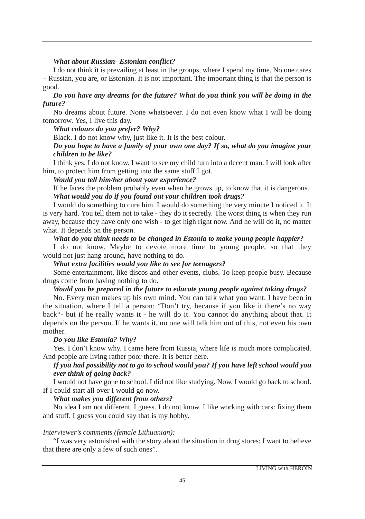## *What about Russian- Estonian conflict?*

I do not think it is prevailing at least in the groups, where I spend my time. No one cares – Russian, you are, or Estonian. It is not important. The important thing is that the person is good.

## *Do you have any dreams for the future? What do you think you will be doing in the future?*

No dreams about future. None whatsoever. I do not even know what I will be doing tomorrow. Yes, I live this day.

*What colours do you prefer? Why?*

Black. I do not know why, just like it. It is the best colour.

## *Do you hope to have a family of your own one day? If so, what do you imagine your children to be like?*

I think yes. I do not know. I want to see my child turn into a decent man. I will look after him, to protect him from getting into the same stuff I got.

#### *Would you tell him/her about your experience?*

If he faces the problem probably even when he grows up, to know that it is dangerous. *What would you do if you found out your children took drugs?*

I would do something to cure him. I would do something the very minute I noticed it. It is very hard. You tell them not to take - they do it secretly. The worst thing is when they run away, because they have only one wish - to get high right now. And he will do it, no matter what. It depends on the person.

## *What do you think needs to be changed in Estonia to make young people happier?*

I do not know. Maybe to devote more time to young people, so that they would not just hang around, have nothing to do.

### *What extra facilities would you like to see for teenagers?*

Some entertainment, like discos and other events, clubs. To keep people busy. Because drugs come from having nothing to do.

## *Would you be prepared in the future to educate young people against taking drugs?*

No. Every man makes up his own mind. You can talk what you want. I have been in the situation, where I tell a person: "Don't try, because if you like it there's no way back"- but if he really wants it - he will do it. You cannot do anything about that. It depends on the person. If he wants it, no one will talk him out of this, not even his own mother.

#### *Do you like Estonia? Why?*

Yes. I don't know why. I came here from Russia, where life is much more complicated. And people are living rather poor there. It is better here.

## *If you had possibility not to go to school would you? If you have left school would you ever think of going back?*

I would not have gone to school. I did not like studying. Now, I would go back to school. If I could start all over I would go now.

## *What makes you different from others?*

No idea I am not different, I guess. I do not know. I like working with cars: fixing them and stuff. I guess you could say that is my hobby.

#### *Interviewer's comments (female Lithuanian):*

"I was very astonished with the story about the situation in drug stores; I want to believe that there are only a few of such ones".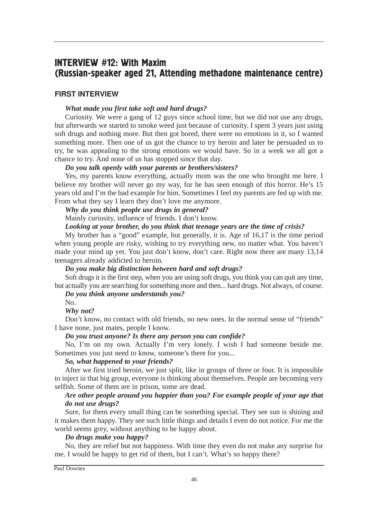# INTERVIEW #12: With Maxim (Russian-speaker aged 21, Attending methadone maintenance centre)

## FIRST INTERVIEW

## *What made you first take soft and hard drugs?*

Curiosity. We were a gang of 12 guys since school time, but we did not use any drugs, but afterwards we started to smoke weed just because of curiosity. I spent 3 years just using soft drugs and nothing more. But then got bored, there were no emotions in it, so I wanted something more. Then one of us got the chance to try heroin and later he persuaded us to try, he was appealing to the strong emotions we would have. So in a week we all got a chance to try. And none of us has stopped since that day.

## *Do you talk openly with your parents or brothers/sisters?*

Yes, my parents know everything, actually mom was the one who brought me here. I believe my brother will never go my way, for he has seen enough of this horror. He's 15 years old and I'm the bad example for him. Sometimes I feel my parents are fed up with me. From what they say I learn they don't love me anymore.

*Why do you think people use drugs in general?*

Mainly curiosity, influence of friends. I don't know.

## *Looking at your brother, do you think that teenage years are the time of crisis?*

My brother has a "good" example, but generally, it is. Age of 16,17 is the time period when young people are risky, wishing to try everything new, no matter what. You haven't made your mind up yet. You just don't know, don't care. Right now there are many 13,14 teenagers already addicted to heroin.

#### *Do you make big distinction between hard and soft drugs?*

Soft drugs it is the first step, when you are using soft drugs, you think you can quit any time, but actually you are searching for something more and then... hard drugs. Not always, of course.

## *Do you think anyone understands you?*

No.

*Why not?*

Don't know, no contact with old friends, no new ones. In the normal sense of "friends" I have none, just mates, people I know.

## *Do you trust anyone? Is there any person you can confide?*

No, I'm on my own. Actually I'm very lonely. I wish I had someone beside me. Sometimes you just need to know, someone's there for you...

#### *So, what happened to your friends?*

After we first tried heroin, we just split, like in groups of three or four. It is impossible to inject in that big group, everyone is thinking about themselves. People are becoming very selfish. Some of them are in prison, some are dead.

# *Are other people around you happier than you? For example people of your age that do not use drugs?*

Sure, for them every small thing can be something special. They see sun is shining and it makes them happy. They see such little things and details I even do not notice. For me the world seems grey, without anything to be happy about.

#### *Do drugs make you happy?*

No, they are relief but not happiness. With time they even do not make any surprise for me. I would be happy to get rid of them, but I can't. What's so happy there?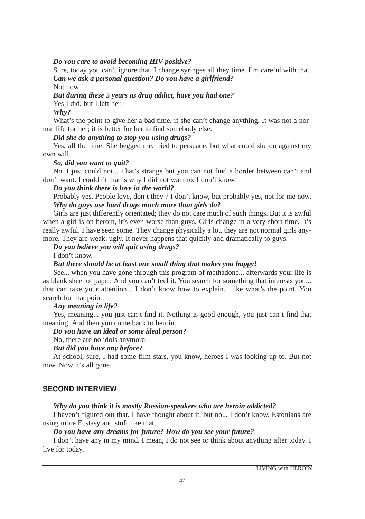## *Do you care to avoid becoming HIV positive?*

Sure, today you can't ignore that. I change syringes all they time. I'm careful with that. *Can we ask a personal question? Do you have a girlfriend?* Not now.

*But during these 5 years as drug addict, have you had one?* Yes I did, but I left her. *Why?*

What's the point to give her a bad time, if she can't change anything. It was not a normal life for her; it is better for her to find somebody else.

*Did she do anything to stop you using drugs?*

Yes, all the time. She begged me, tried to persuade, but what could she do against my own will.

## *So, did you want to quit?*

No. I just could not... That's strange but you can not find a border between can't and don't want. I couldn't that is why I did not want to. I don't know.

## *Do you think there is love in the world?*

Probably yes. People love, don't they ? I don't know, but probably yes, not for me now. *Why do guys use hard drugs much more than girls do?*

Girls are just differently orientated; they do not care much of such things. But it is awful when a girl is on heroin, it's even worse than guys. Girls change in a very short time. It's really awful. I have seen some. They change physically a lot, they are not normal girls anymore. They are weak, ugly. It never happens that quickly and dramatically to guys.

## *Do you believe you will quit using drugs?*

I don't know.

## *But there should be at least one small thing that makes you happy!*

See... when you have gone through this program of methadone... afterwards your life is as blank sheet of paper. And you can't feel it. You search for something that interests you... that can take your attention... I don't know how to explain... like what's the point. You search for that point.

## *Any meaning in life?*

Yes, meaning... you just can't find it. Nothing is good enough, you just can't find that meaning. And then you come back to heroin.

## *Do you have an ideal or some ideal person?*

No, there are no idols anymore.

## *But did you have any before?*

At school, sure, I had some film stars, you know, heroes I was looking up to. But not now. Now it's all gone.

# **SECOND INTERVIEW**

# *Why do you think it is mostly Russian-speakers who are heroin addicted?*

I haven't figured out that. I have thought about it, but no... I don't know. Estonians are using more Ecstasy and stuff like that.

## *Do you have any dreams for future? How do you see your future?*

I don't have any in my mind. I mean, I do not see or think about anything after today. I live for today.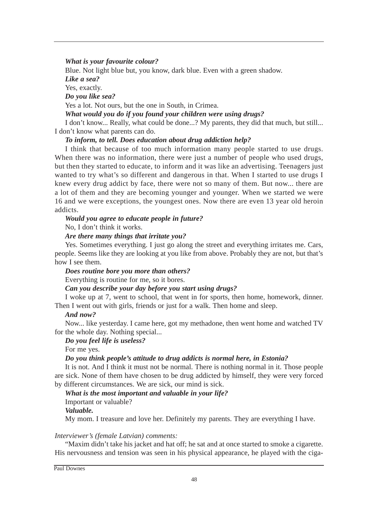#### *What is your favourite colour?*

Blue. Not light blue but, you know, dark blue. Even with a green shadow. *Like a sea?* Yes, exactly. *Do you like sea?* Yes a lot. Not ours, but the one in South, in Crimea. *What would you do if you found your children were using drugs?*

I don't know... Really, what could be done...? My parents, they did that much, but still... I don't know what parents can do.

#### *To inform, to tell. Does education about drug addiction help?*

I think that because of too much information many people started to use drugs. When there was no information, there were just a number of people who used drugs, but then they started to educate, to inform and it was like an advertising. Teenagers just wanted to try what's so different and dangerous in that. When I started to use drugs I knew every drug addict by face, there were not so many of them. But now... there are a lot of them and they are becoming younger and younger. When we started we were 16 and we were exceptions, the youngest ones. Now there are even 13 year old heroin addicts.

## *Would you agree to educate people in future?*

No, I don't think it works.

## *Are there many things that irritate you?*

Yes. Sometimes everything. I just go along the street and everything irritates me. Cars, people. Seems like they are looking at you like from above. Probably they are not, but that's how I see them.

#### *Does routine bore you more than others?*

Everything is routine for me, so it bores.

## *Can you describe your day before you start using drugs?*

I woke up at 7, went to school, that went in for sports, then home, homework, dinner. Then I went out with girls, friends or just for a walk. Then home and sleep.

#### *And now?*

Now... like yesterday. I came here, got my methadone, then went home and watched TV for the whole day. Nothing special...

#### *Do you feel life is useless?*

For me yes.

#### *Do you think people's attitude to drug addicts is normal here, in Estonia?*

It is not. And I think it must not be normal. There is nothing normal in it. Those people are sick. None of them have chosen to be drug addicted by himself, they were very forced by different circumstances. We are sick, our mind is sick.

## *What is the most important and valuable in your life?*

Important or valuable?

*Valuable.*

My mom. I treasure and love her. Definitely my parents. They are everything I have.

#### *Interviewer's (female Latvian) comments:*

"Maxim didn't take his jacket and hat off; he sat and at once started to smoke a cigarette. His nervousness and tension was seen in his physical appearance, he played with the ciga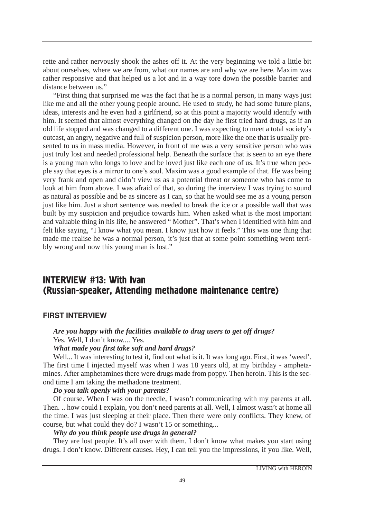rette and rather nervously shook the ashes off it. At the very beginning we told a little bit about ourselves, where we are from, what our names are and why we are here. Maxim was rather responsive and that helped us a lot and in a way tore down the possible barrier and distance between us."

"First thing that surprised me was the fact that he is a normal person, in many ways just like me and all the other young people around. He used to study, he had some future plans, ideas, interests and he even had a girlfriend, so at this point a majority would identify with him. It seemed that almost everything changed on the day he first tried hard drugs, as if an old life stopped and was changed to a different one. I was expecting to meet a total society's outcast, an angry, negative and full of suspicion person, more like the one that is usually presented to us in mass media. However, in front of me was a very sensitive person who was just truly lost and needed professional help. Beneath the surface that is seen to an eye there is a young man who longs to love and be loved just like each one of us. It's true when people say that eyes is a mirror to one's soul. Maxim was a good example of that. He was being very frank and open and didn't view us as a potential threat or someone who has come to look at him from above. I was afraid of that, so during the interview I was trying to sound as natural as possible and be as sincere as I can, so that he would see me as a young person just like him. Just a short sentence was needed to break the ice or a possible wall that was built by my suspicion and prejudice towards him. When asked what is the most important and valuable thing in his life, he answered " Mother". That's when I identified with him and felt like saying, "I know what you mean. I know just how it feels." This was one thing that made me realise he was a normal person, it's just that at some point something went terribly wrong and now this young man is lost."

# **INTERVIEW #13: With Ivan** (Russian-speaker, Attending methadone maintenance centre)

### FIRST INTERVIEW

# *Are you happy with the facilities available to drug users to get off drugs?* Yes. Well, I don't know.... Yes.

# *What made you first take soft and hard drugs?*

Well... It was interesting to test it, find out what is it. It was long ago. First, it was 'weed'. The first time I injected myself was when I was 18 years old, at my birthday - amphetamines. After amphetamines there were drugs made from poppy. Then heroin. This is the second time I am taking the methadone treatment.

## *Do you talk openly with your parents?*

Of course. When I was on the needle, I wasn't communicating with my parents at all. Then. .. how could I explain, you don't need parents at all. Well, I almost wasn't at home all the time. I was just sleeping at their place. Then there were only conflicts. They knew, of course, but what could they do? I wasn't 15 or something...

### *Why do you think people use drugs in general?*

They are lost people. It's all over with them. I don't know what makes you start using drugs. I don't know. Different causes. Hey, I can tell you the impressions, if you like. Well,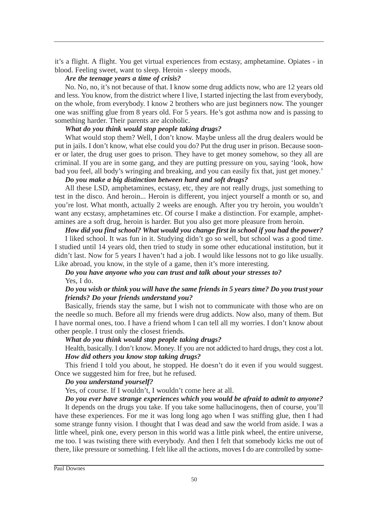it's a flight. A flight. You get virtual experiences from ecstasy, amphetamine. Opiates - in blood. Feeling sweet, want to sleep. Heroin - sleepy moods.

#### *Are the teenage years a time of crisis?*

No. No, no, it's not because of that. I know some drug addicts now, who are 12 years old and less. You know, from the district where I live, I started injecting the last from everybody, on the whole, from everybody. I know 2 brothers who are just beginners now. The younger one was sniffing glue from 8 years old. For 5 years. He's got asthma now and is passing to something harder. Their parents are alcoholic.

## *What do you think would stop people taking drugs?*

What would stop them? Well, I don't know. Maybe unless all the drug dealers would be put in jails. I don't know, what else could you do? Put the drug user in prison. Because sooner or later, the drug user goes to prison. They have to get money somehow, so they all are criminal. If you are in some gang, and they are putting pressure on you, saying 'look, how bad you feel, all body's wringing and breaking, and you can easily fix that, just get money.'

# *Do you make a big distinction between hard and soft drugs?*

All these LSD, amphetamines, ecstasy, etc, they are not really drugs, just something to test in the disco. And heroin... Heroin is different, you inject yourself a month or so, and you're lost. What month, actually 2 weeks are enough. After you try heroin, you wouldn't want any ecstasy, amphetamines etc. Of course I make a distinction. For example, amphetamines are a soft drug, heroin is harder. But you also get more pleasure from heroin.

## *How did you find school? What would you change first in school if you had the power?*

I liked school. It was fun in it. Studying didn't go so well, but school was a good time. I studied until 14 years old, then tried to study in some other educational institution, but it didn't last. Now for 5 years I haven't had a job. I would like lessons not to go like usually. Like abroad, you know, in the style of a game, then it's more interesting.

# *Do you have anyone who you can trust and talk about your stresses to?* Yes, I do.

## *Do you wish or think you will have the same friends in 5 years time? Do you trust your friends? Do your friends understand you?*

Basically, friends stay the same, but I wish not to communicate with those who are on the needle so much. Before all my friends were drug addicts. Now also, many of them. But I have normal ones, too. I have a friend whom I can tell all my worries. I don't know about other people. I trust only the closest friends.

## *What do you think would stop people taking drugs?*

Health, basically. I don't know. Money. If you are not addicted to hard drugs, they cost a lot. *How did others you know stop taking drugs?*

This friend I told you about, he stopped. He doesn't do it even if you would suggest. Once we suggested him for free, but he refused.

## *Do you understand yourself?*

Yes, of course. If I wouldn't, I wouldn't come here at all.

## *Do you ever have strange experiences which you would be afraid to admit to anyone?*

It depends on the drugs you take. If you take some hallucinogens, then of course, you'll have these experiences. For me it was long long ago when I was sniffing glue, then I had some strange funny vision. I thought that I was dead and saw the world from aside. I was a little wheel, pink one, every person in this world was a little pink wheel, the entire universe, me too. I was twisting there with everybody. And then I felt that somebody kicks me out of there, like pressure or something. I felt like all the actions, moves I do are controlled by some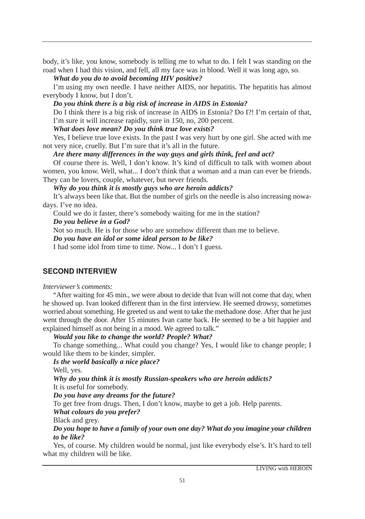body, it's like, you know, somebody is telling me to what to do. I felt I was standing on the road when I had this vision, and fell, all my face was in blood. Well it was long ago, so.

#### *What do you do to avoid becoming HIV positive?*

I'm using my own needle. I have neither AIDS, nor hepatitis. The hepatitis has almost everybody I know, but I don't.

#### *Do you think there is a big risk of increase in AIDS in Estonia?*

Do I think there is a big risk of increase in AIDS in Estonia? Do I?! I'm certain of that, I'm sure it will increase rapidly, sure in 150, no, 200 percent.

## *What does love mean? Do you think true love exists?*

Yes, I believe true love exists. In the past I was very hurt by one girl. She acted with me not very nice, cruelly. But I'm sure that it's all in the future.

#### *Are there many differences in the way guys and girls think, feel and act?*

Of course there is. Well, I don't know. It's kind of difficult to talk with women about women, you know. Well, what... I don't think that a woman and a man can ever be friends. They can be lovers, couple, whatever, but never friends.

*Why do you think it is mostly guys who are heroin addicts?*

It's always been like that. But the number of girls on the needle is also increasing nowadays. I've no idea.

Could we do it faster, there's somebody waiting for me in the station?

#### *Do you believe in a God?*

Not so much. He is for those who are somehow different than me to believe.

*Do you have an idol or some ideal person to be like?*

I had some idol from time to time. Now... I don't I guess.

# **SECOND INTERVIEW**

#### *Interviewer's comments:*

"After waiting for 45 min., we were about to decide that Ivan will not come that day, when he showed up. Ivan looked different than in the first interview. He seemed drowsy, sometimes worried about something. He greeted us and went to take the methadone dose. After that he just went through the door. After 15 minutes Ivan came back. He seemed to be a bit happier and explained himself as not being in a mood. We agreed to talk."

*Would you like to change the world? People? What?*

To change something... What could you change? Yes, I would like to change people; I would like them to be kinder, simpler.

*Is the world basically a nice place?*

Well, yes.

*Why do you think it is mostly Russian-speakers who are heroin addicts?* It is useful for somebody.

#### *Do you have any dreams for the future?*

To get free from drugs. Then, I don't know, maybe to get a job. Help parents.

*What colours do you prefer?*

Black and grey.

## *Do you hope to have a family of your own one day? What do you imagine your children to be like?*

Yes, of course. My children would be normal, just like everybody else's. It's hard to tell what my children will be like.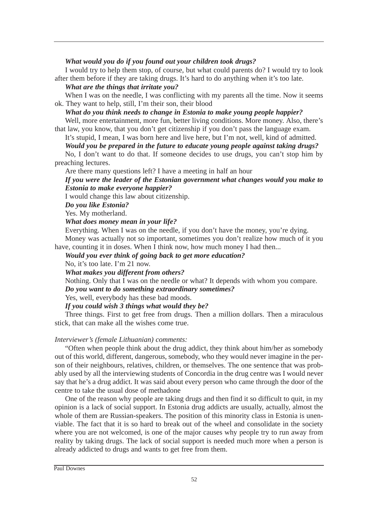#### *What would you do if you found out your children took drugs?*

I would try to help them stop, of course, but what could parents do? I would try to look after them before if they are taking drugs. It's hard to do anything when it's too late.

#### *What are the things that irritate you?*

When I was on the needle, I was conflicting with my parents all the time. Now it seems ok. They want to help, still, I'm their son, their blood

# *What do you think needs to change in Estonia to make young people happier?*

Well, more entertainment, more fun, better living conditions. More money. Also, there's that law, you know, that you don't get citizenship if you don't pass the language exam.

It's stupid, I mean, I was born here and live here, but I'm not, well, kind of admitted.

## *Would you be prepared in the future to educate young people against taking drugs?*

No, I don't want to do that. If someone decides to use drugs, you can't stop him by preaching lectures.

Are there many questions left? I have a meeting in half an hour

## *If you were the leader of the Estonian government what changes would you make to Estonia to make everyone happier?*

I would change this law about citizenship.

*Do you like Estonia?*

Yes. My motherland.

#### *What does money mean in your life?*

Everything. When I was on the needle, if you don't have the money, you're dying.

Money was actually not so important, sometimes you don't realize how much of it you have, counting it in doses. When I think now, how much money I had then...

*Would you ever think of going back to get more education?*

No, it's too late. I'm 21 now.

*What makes you different from others?* 

Nothing. Only that I was on the needle or what? It depends with whom you compare. *Do you want to do something extraordinary sometimes?* 

Yes, well, everybody has these bad moods.

*If you could wish 3 things what would they be?* 

Three things. First to get free from drugs. Then a million dollars. Then a miraculous stick, that can make all the wishes come true.

#### *Interviewer's (female Lithuanian) comments:*

"Often when people think about the drug addict, they think about him/her as somebody out of this world, different, dangerous, somebody, who they would never imagine in the person of their neighbours, relatives, children, or themselves. The one sentence that was probably used by all the interviewing students of Concordia in the drug centre was I would never say that he's a drug addict. It was said about every person who came through the door of the centre to take the usual dose of methadone

One of the reason why people are taking drugs and then find it so difficult to quit, in my opinion is a lack of social support. In Estonia drug addicts are usually, actually, almost the whole of them are Russian-speakers. The position of this minority class in Estonia is unenviable. The fact that it is so hard to break out of the wheel and consolidate in the society where you are not welcomed, is one of the major causes why people try to run away from reality by taking drugs. The lack of social support is needed much more when a person is already addicted to drugs and wants to get free from them.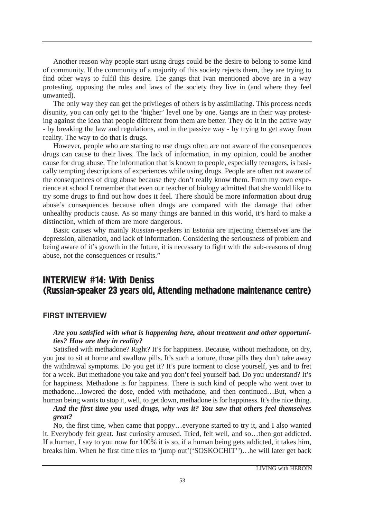Another reason why people start using drugs could be the desire to belong to some kind of community. If the community of a majority of this society rejects them, they are trying to find other ways to fulfil this desire. The gangs that Ivan mentioned above are in a way protesting, opposing the rules and laws of the society they live in (and where they feel unwanted).

The only way they can get the privileges of others is by assimilating. This process needs disunity, you can only get to the 'higher' level one by one. Gangs are in their way protesting against the idea that people different from them are better. They do it in the active way - by breaking the law and regulations, and in the passive way - by trying to get away from reality. The way to do that is drugs.

However, people who are starting to use drugs often are not aware of the consequences drugs can cause to their lives. The lack of information, in my opinion, could be another cause for drug abuse. The information that is known to people, especially teenagers, is basically tempting descriptions of experiences while using drugs. People are often not aware of the consequences of drug abuse because they don't really know them. From my own experience at school I remember that even our teacher of biology admitted that she would like to try some drugs to find out how does it feel. There should be more information about drug abuse's consequences because often drugs are compared with the damage that other unhealthy products cause. As so many things are banned in this world, it's hard to make a distinction, which of them are more dangerous.

Basic causes why mainly Russian-speakers in Estonia are injecting themselves are the depression, alienation, and lack of information. Considering the seriousness of problem and being aware of it's growth in the future, it is necessary to fight with the sub-reasons of drug abuse, not the consequences or results."

# **INTERVIEW #14: With Deniss** (Russian-speaker 23 years old, Attending methadone maintenance centre)

#### FIRST INTERVIEW

## *Are you satisfied with what is happening here, about treatment and other opportunities? How are they in reality?*

Satisfied with methadone? Right? It's for happiness. Because, without methadone, on dry, you just to sit at home and swallow pills. It's such a torture, those pills they don't take away the withdrawal symptoms. Do you get it? It's pure torment to close yourself, yes and to fret for a week. But methadone you take and you don't feel yourself bad. Do you understand? It's for happiness. Methadone is for happiness. There is such kind of people who went over to methadone…lowered the dose, ended with methadone, and then continued…But, when a human being wants to stop it, well, to get down, methadone is for happiness. It's the nice thing.

## *And the first time you used drugs, why was it? You saw that others feel themselves great?*

No, the first time, when came that poppy…everyone started to try it, and I also wanted it. Everybody felt great. Just curiosity aroused. Tried, felt well, and so…then got addicted. If a human, I say to you now for 100% it is so, if a human being gets addicted, it takes him, breaks him. When he first time tries to 'jump out'('SOSKOCHIT'9 )…he will later get back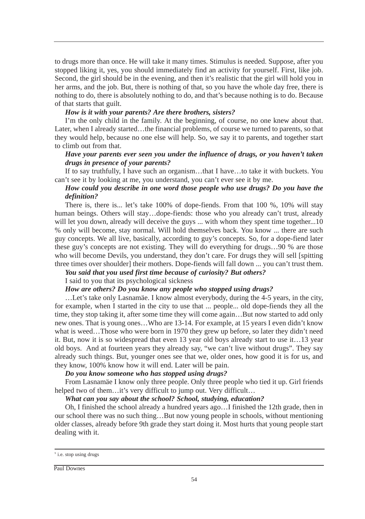to drugs more than once. He will take it many times. Stimulus is needed. Suppose, after you stopped liking it, yes, you should immediately find an activity for yourself. First, like job. Second, the girl should be in the evening, and then it's realistic that the girl will hold you in her arms, and the job. But, there is nothing of that, so you have the whole day free, there is nothing to do, there is absolutely nothing to do, and that's because nothing is to do. Because of that starts that guilt.

#### *How is it with your parents? Are there brothers, sisters?*

I'm the only child in the family. At the beginning, of course, no one knew about that. Later, when I already started…the financial problems, of course we turned to parents, so that they would help, because no one else will help. So, we say it to parents, and together start to climb out from that.

## *Have your parents ever seen you under the influence of drugs, or you haven't taken drugs in presence of your parents?*

If to say truthfully, I have such an organism…that I have…to take it with buckets. You can't see it by looking at me, you understand, you can't ever see it by me.

## *How could you describe in one word those people who use drugs? Do you have the definition?*

There is, there is... let's take 100% of dope-fiends. From that 100 %, 10% will stay human beings. Others will stay...dope-fiends: those who you already can't trust, already will let you down, already will deceive the guys ... with whom they spent time together...10 % only will become, stay normal. Will hold themselves back. You know ... there are such guy concepts. We all live, basically, according to guy's concepts. So, for a dope-fiend later these guy's concepts are not existing. They will do everything for drugs…90 % are those who will become Devils, you understand, they don't care. For drugs they will sell [spitting three times over shoulder] their mothers. Dope-fiends will fall down ... you can't trust them.

# *You said that you used first time because of curiosity? But others?*

## I said to you that its psychological sickness

# *How are others? Do you know any people who stopped using drugs?*

…Let's take only Lasnamäe. I know almost everybody, during the 4-5 years, in the city, for example, when I started in the city to use that ... people... old dope-fiends they all the time, they stop taking it, after some time they will come again…But now started to add only new ones. That is young ones…Who are 13-14. For example, at 15 years I even didn't know what is weed...Those who were born in 1970 they grew up before, so later they didn't need it. But, now it is so widespread that even 13 year old boys already start to use it…13 year old boys. And at fourteen years they already say, "we can't live without drugs". They say already such things. But, younger ones see that we, older ones, how good it is for us, and they know, 100% know how it will end. Later will be pain.

### *Do you know someone who has stopped using drugs?*

From Lasnamäe I know only three people. Only three people who tied it up. Girl friends helped two of them…it's very difficult to jump out. Very difficult…

## *What can you say about the school? School, studying, education?*

Oh, I finished the school already a hundred years ago…I finished the 12th grade, then in our school there was no such thing…But now young people in schools, without mentioning older classes, already before 9th grade they start doing it. Most hurts that young people start dealing with it.

<sup>&</sup>lt;sup>9</sup> i.e. stop using drugs

Paul Downes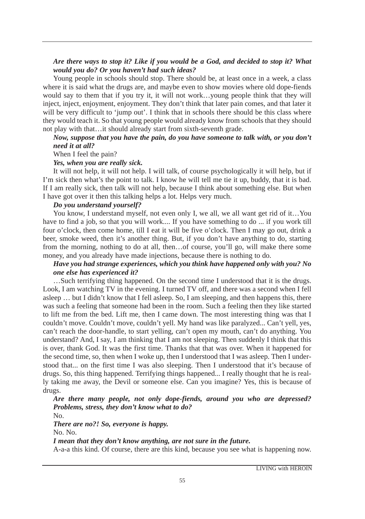## *Are there ways to stop it? Like if you would be a God, and decided to stop it? What would you do? Or you haven't had such ideas?*

Young people in schools should stop. There should be, at least once in a week, a class where it is said what the drugs are, and maybe even to show movies where old dope-fiends would say to them that if you try it, it will not work…young people think that they will inject, inject, enjoyment, enjoyment. They don't think that later pain comes, and that later it will be very difficult to 'jump out'. I think that in schools there should be this class where they would teach it. So that young people would already know from schools that they should not play with that…it should already start from sixth-seventh grade.

## *Now, suppose that you have the pain, do you have someone to talk with, or you don't need it at all?*

When I feel the pain?

#### *Yes, when you are really sick.*

It will not help, it will not help. I will talk, of course psychologically it will help, but if I'm sick then what's the point to talk. I know he will tell me tie it up, buddy, that it is bad. If I am really sick, then talk will not help, because I think about something else. But when I have got over it then this talking helps a lot. Helps very much.

#### *Do you understand yourself?*

You know, I understand myself, not even only I, we all, we all want get rid of it...You have to find a job, so that you will work.... If you have something to do ... if you work till four o'clock, then come home, till I eat it will be five o'clock. Then I may go out, drink a beer, smoke weed, then it's another thing. But, if you don't have anything to do, starting from the morning, nothing to do at all, then…of course, you'll go, will make there some money, and you already have made injections, because there is nothing to do.

## *Have you had strange experiences, which you think have happened only with you? No one else has experienced it?*

…Such terrifying thing happened. On the second time I understood that it is the drugs. Look, I am watching TV in the evening. I turned TV off, and there was a second when I fell asleep … but I didn't know that I fell asleep. So, I am sleeping, and then happens this, there was such a feeling that someone had been in the room. Such a feeling then they like started to lift me from the bed. Lift me, then I came down. The most interesting thing was that I couldn't move. Couldn't move, couldn't yell. My hand was like paralyzed... Can't yell, yes, can't reach the door-handle, to start yelling, can't open my mouth, can't do anything. You understand? And, I say, I am thinking that I am not sleeping. Then suddenly I think that this is over, thank God. It was the first time. Thanks that that was over. When it happened for the second time, so, then when I woke up, then I understood that I was asleep. Then I understood that... on the first time I was also sleeping. Then I understood that it's because of drugs. So, this thing happened. Terrifying things happened... I really thought that he is really taking me away, the Devil or someone else. Can you imagine? Yes, this is because of drugs.

*Are there many people, not only dope-fiends, around you who are depressed? Problems, stress, they don't know what to do?*

No.

*There are no?! So, everyone is happy.* No. No.

*I mean that they don't know anything, are not sure in the future.*

A-a-a this kind. Of course, there are this kind, because you see what is happening now.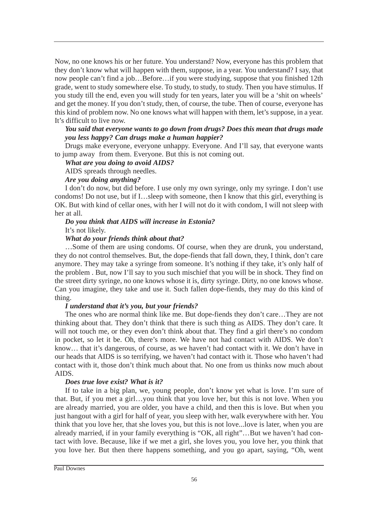Now, no one knows his or her future. You understand? Now, everyone has this problem that they don't know what will happen with them, suppose, in a year. You understand? I say, that now people can't find a job…Before…if you were studying, suppose that you finished 12th grade, went to study somewhere else. To study, to study, to study. Then you have stimulus. If you study till the end, even you will study for ten years, later you will be a 'shit on wheels' and get the money. If you don't study, then, of course, the tube. Then of course, everyone has this kind of problem now. No one knows what will happen with them, let's suppose, in a year. It's difficult to live now.

## *You said that everyone wants to go down from drugs? Does this mean that drugs made you less happy? Can drugs make a human happier?*

Drugs make everyone, everyone unhappy. Everyone. And I'll say, that everyone wants to jump away from them. Everyone. But this is not coming out.

#### *What are you doing to avoid AIDS?* AIDS spreads through needles.

*Are you doing anything?*

I don't do now, but did before. I use only my own syringe, only my syringe. I don't use condoms! Do not use, but if I…sleep with someone, then I know that this girl, everything is OK. But with kind of cellar ones, with her I will not do it with condom, I will not sleep with her at all.

# *Do you think that AIDS will increase in Estonia?* It's not likely.

## *What do your friends think about that?*

…Some of them are using condoms. Of course, when they are drunk, you understand, they do not control themselves. But, the dope-fiends that fall down, they, I think, don't care anymore. They may take a syringe from someone. It's nothing if they take, it's only half of the problem . But, now I'll say to you such mischief that you will be in shock. They find on the street dirty syringe, no one knows whose it is, dirty syringe. Dirty, no one knows whose. Can you imagine, they take and use it. Such fallen dope-fiends, they may do this kind of thing.

## *I understand that it's you, but your friends?*

The ones who are normal think like me. But dope-fiends they don't care…They are not thinking about that. They don't think that there is such thing as AIDS. They don't care. It will not touch me, or they even don't think about that. They find a girl there's no condom in pocket, so let it be. Oh, there's more. We have not had contact with AIDS. We don't know… that it's dangerous, of course, as we haven't had contact with it. We don't have in our heads that AIDS is so terrifying, we haven't had contact with it. Those who haven't had contact with it, those don't think much about that. No one from us thinks now much about AIDS.

## *Does true love exist? What is it?*

If to take in a big plan, we, young people, don't know yet what is love. I'm sure of that. But, if you met a girl…you think that you love her, but this is not love. When you are already married, you are older, you have a child, and then this is love. But when you just hangout with a girl for half of year, you sleep with her, walk everywhere with her. You think that you love her, that she loves you, but this is not love...love is later, when you are already married, if in your family everything is "OK, all right"…But we haven't had contact with love. Because, like if we met a girl, she loves you, you love her, you think that you love her. But then there happens something, and you go apart, saying, "Oh, went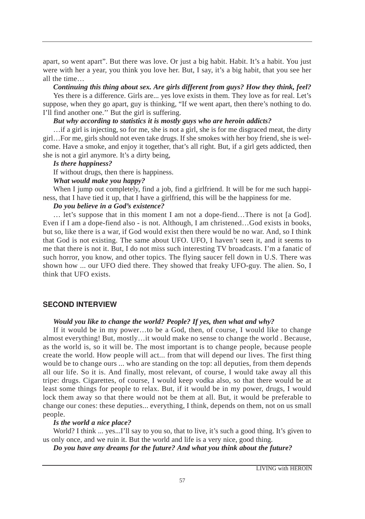apart, so went apart". But there was love. Or just a big habit. Habit. It's a habit. You just were with her a year, you think you love her. But, I say, it's a big habit, that you see her all the time…

*Continuing this thing about sex. Are girls different from guys? How they think, feel?*

Yes there is a difference. Girls are... yes love exists in them. They love as for real. Let's suppose, when they go apart, guy is thinking, "If we went apart, then there's nothing to do. I'll find another one.'' But the girl is suffering.

## *But why according to statistics it is mostly guys who are heroin addicts?*

…if a girl is injecting, so for me, she is not a girl, she is for me disgraced meat, the dirty girl…For me, girls should not even take drugs. If she smokes with her boy friend, she is welcome. Have a smoke, and enjoy it together, that's all right. But, if a girl gets addicted, then she is not a girl anymore. It's a dirty being,

## *Is there happiness?*

If without drugs, then there is happiness.

### *What would make you happy?*

When I jump out completely, find a job, find a girlfriend. It will be for me such happiness, that I have tied it up, that I have a girlfriend, this will be the happiness for me.

## *Do you believe in a God's existence?*

… let's suppose that in this moment I am not a dope-fiend…There is not [a God]. Even if I am a dope-fiend also - is not. Although, I am christened…God exists in books, but so, like there is a war, if God would exist then there would be no war. And, so I think that God is not existing. The same about UFO. UFO, I haven't seen it, and it seems to me that there is not it. But, I do not miss such interesting TV broadcasts. I'm a fanatic of such horror, you know, and other topics. The flying saucer fell down in U.S. There was shown how ... our UFO died there. They showed that freaky UFO-guy. The alien. So, I think that UFO exists.

## **SECOND INTERVIEW**

#### *Would you like to change the world? People? If yes, then what and why?*

If it would be in my power…to be a God, then, of course, I would like to change almost everything! But, mostly…it would make no sense to change the world . Because, as the world is, so it will be. The most important is to change people, because people create the world. How people will act... from that will depend our lives. The first thing would be to change ours ... who are standing on the top: all deputies, from them depends all our life. So it is. And finally, most relevant, of course, I would take away all this tripe: drugs. Cigarettes, of course, I would keep vodka also, so that there would be at least some things for people to relax. But, if it would be in my power, drugs, I would lock them away so that there would not be them at all. But, it would be preferable to change our cones: these deputies... everything, I think, depends on them, not on us small people.

#### *Is the world a nice place?*

World? I think ... yes...I'll say to you so, that to live, it's such a good thing. It's given to us only once, and we ruin it. But the world and life is a very nice, good thing.

*Do you have any dreams for the future? And what you think about the future?*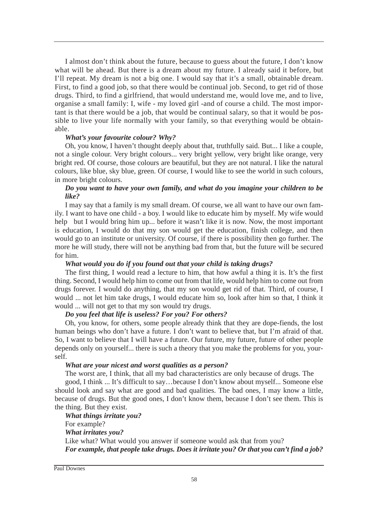I almost don't think about the future, because to guess about the future, I don't know what will be ahead. But there is a dream about my future. I already said it before, but I'll repeat. My dream is not a big one. I would say that it's a small, obtainable dream. First, to find a good job, so that there would be continual job. Second, to get rid of those drugs. Third, to find a girlfriend, that would understand me, would love me, and to live, organise a small family: I, wife - my loved girl -and of course a child. The most important is that there would be a job, that would be continual salary, so that it would be possible to live your life normally with your family, so that everything would be obtainable.

## *What's your favourite colour? Why?*

Oh, you know, I haven't thought deeply about that, truthfully said. But... I like a couple, not a single colour. Very bright colours... very bright yellow, very bright like orange, very bright red. Of course, those colours are beautiful, but they are not natural. I like the natural colours, like blue, sky blue, green. Of course, I would like to see the world in such colours, in more bright colours.

## *Do you want to have your own family, and what do you imagine your children to be like?*

I may say that a family is my small dream. Of course, we all want to have our own family. I want to have one child - a boy. I would like to educate him by myself. My wife would help but I would bring him up... before it wasn't like it is now. Now, the most important is education, I would do that my son would get the education, finish college, and then would go to an institute or university. Of course, if there is possibility then go further. The more he will study, there will not be anything bad from that, but the future will be secured for him.

## *What would you do if you found out that your child is taking drugs?*

The first thing, I would read a lecture to him, that how awful a thing it is. It's the first thing. Second, I would help him to come out from that life, would help him to come out from drugs forever. I would do anything, that my son would get rid of that. Third, of course, I would ... not let him take drugs, I would educate him so, look after him so that, I think it would ... will not get to that my son would try drugs.

# *Do you feel that life is useless? For you? For others?*

Oh, you know, for others, some people already think that they are dope-fiends, the lost human beings who don't have a future. I don't want to believe that, but I'm afraid of that. So, I want to believe that I will have a future. Our future, my future, future of other people depends only on yourself... there is such a theory that you make the problems for you, yourself.

## *What are your nicest and worst qualities as a person?*

The worst are, I think, that all my bad characteristics are only because of drugs. The

good, I think ... It's difficult to say…because I don't know about myself... Someone else should look and say what are good and bad qualities. The bad ones, I may know a little, because of drugs. But the good ones, I don't know them, because I don't see them. This is the thing. But they exist.

# *What things irritate you?*

For example? *What irritates you?*  Like what? What would you answer if someone would ask that from you? *For example, that people take drugs. Does it irritate you? Or that you can't find a job?*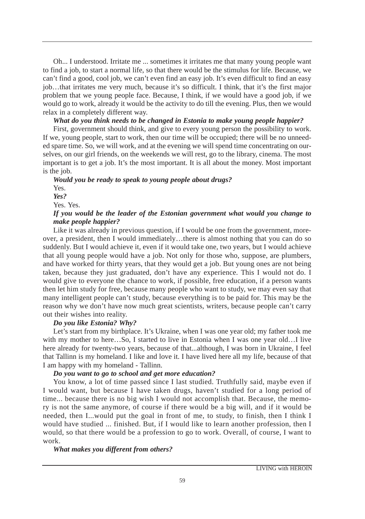Oh... I understood. Irritate me ... sometimes it irritates me that many young people want to find a job, to start a normal life, so that there would be the stimulus for life. Because, we can't find a good, cool job, we can't even find an easy job. It's even difficult to find an easy job…that irritates me very much, because it's so difficult. I think, that it's the first major problem that we young people face. Because, I think, if we would have a good job, if we would go to work, already it would be the activity to do till the evening. Plus, then we would relax in a completely different way.

## *What do you think needs to be changed in Estonia to make young people happier?*

First, government should think, and give to every young person the possibility to work. If we, young people, start to work, then our time will be occupied; there will be no unneeded spare time. So, we will work, and at the evening we will spend time concentrating on ourselves, on our girl friends, on the weekends we will rest, go to the library, cinema. The most important is to get a job. It's the most important. It is all about the money. Most important is the job.

*Would you be ready to speak to young people about drugs?*  Yes. *Yes?* Yes. Yes. *If you would be the leader of the Estonian government what would you change to make people happier?*

Like it was already in previous question, if I would be one from the government, moreover, a president, then I would immediately…there is almost nothing that you can do so suddenly. But I would achieve it, even if it would take one, two years, but I would achieve that all young people would have a job. Not only for those who, suppose, are plumbers, and have worked for thirty years, that they would get a job. But young ones are not being taken, because they just graduated, don't have any experience. This I would not do. I would give to everyone the chance to work, if possible, free education, if a person wants then let him study for free, because many people who want to study, we may even say that many intelligent people can't study, because everything is to be paid for. This may be the reason why we don't have now much great scientists, writers, because people can't carry out their wishes into reality.

#### *Do you like Estonia? Why?*

Let's start from my birthplace. It's Ukraine, when I was one year old; my father took me with my mother to here...So, I started to live in Estonia when I was one year old...I live here already for twenty-two years, because of that...although, I was born in Ukraine, I feel that Tallinn is my homeland. I like and love it. I have lived here all my life, because of that I am happy with my homeland - Tallinn.

#### *Do you want to go to school and get more education?*

You know, a lot of time passed since I last studied. Truthfully said, maybe even if I would want, but because I have taken drugs, haven't studied for a long period of time... because there is no big wish I would not accomplish that. Because, the memory is not the same anymore, of course if there would be a big will, and if it would be needed, then I...would put the goal in front of me, to study, to finish, then I think I would have studied ... finished. But, if I would like to learn another profession, then I would, so that there would be a profession to go to work. Overall, of course, I want to work.

## *What makes you different from others?*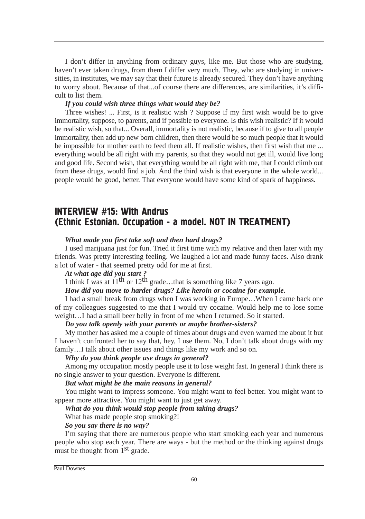I don't differ in anything from ordinary guys, like me. But those who are studying, haven't ever taken drugs, from them I differ very much. They, who are studying in universities, in institutes, we may say that their future is already secured. They don't have anything to worry about. Because of that...of course there are differences, are similarities, it's difficult to list them.

#### *If you could wish three things what would they be?*

Three wishes! ... First, is it realistic wish ? Suppose if my first wish would be to give immortality, suppose, to parents, and if possible to everyone. Is this wish realistic? If it would be realistic wish, so that... Overall, immortality is not realistic, because if to give to all people immortality, then add up new born children, then there would be so much people that it would be impossible for mother earth to feed them all. If realistic wishes, then first wish that me ... everything would be all right with my parents, so that they would not get ill, would live long and good life. Second wish, that everything would be all right with me, that I could climb out from these drugs, would find a job. And the third wish is that everyone in the whole world... people would be good, better. That everyone would have some kind of spark of happiness.

# **INTERVIEW #15: With Andrus** (Ethnic Estonian. Occupation - a model. NOT IN TREATMENT)

#### *What made you first take soft and then hard drugs?*

I used marijuana just for fun. Tried it first time with my relative and then later with my friends. Was pretty interesting feeling. We laughed a lot and made funny faces. Also drank a lot of water - that seemed pretty odd for me at first.

#### *At what age did you start ?*

I think I was at  $11^{th}$  or  $12^{th}$  grade...that is something like 7 years ago.

#### *How did you move to harder drugs? Like heroin or cocaine for example.*

I had a small break from drugs when I was working in Europe…When I came back one of my colleagues suggested to me that I would try cocaine. Would help me to lose some weight…I had a small beer belly in front of me when I returned. So it started.

#### *Do you talk openly with your parents or maybe brother-sisters?*

My mother has asked me a couple of times about drugs and even warned me about it but I haven't confronted her to say that, hey, I use them. No, I don't talk about drugs with my family...I talk about other issues and things like my work and so on.

#### *Why do you think people use drugs in general?*

Among my occupation mostly people use it to lose weight fast. In general I think there is no single answer to your question. Everyone is different.

## *But what might be the main reasons in general?*

You might want to impress someone. You might want to feel better. You might want to appear more attractive. You might want to just get away.

## *What do you think would stop people from taking drugs?*

What has made people stop smoking?!

#### *So you say there is no way?*

I'm saying that there are numerous people who start smoking each year and numerous people who stop each year. There are ways - but the method or the thinking against drugs must be thought from 1<sup>st</sup> grade.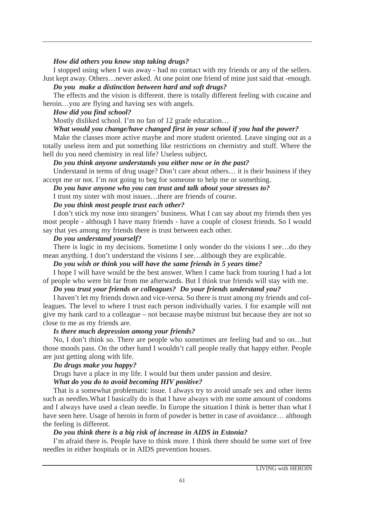#### *How did others you know stop taking drugs?*

I stopped using when I was away - had no contact with my friends or any of the sellers. Just kept away. Others…never asked. At one point one friend of mine just said that -enough.

*Do you make a distinction between hard and soft drugs?*

The effects and the vision is different. there is totally different feeling with cocaine and heroin…you are flying and having sex with angels.

## *How did you find school?*

Mostly disliked school. I'm no fan of 12 grade education…

## *What would you change/have changed first in your school if you had the power?*

Make the classes more active maybe and more student oriented. Leave singing out as a totally useless item and put something like restrictions on chemistry and stuff. Where the hell do you need chemistry in real life? Useless subject.

## *Do you think anyone understands you either now or in the past?*

Understand in terms of drug usage? Don't care about others… it is their business if they accept me or not. I'm not going to beg for someone to help me or something.

## *Do you have anyone who you can trust and talk about your stresses to?*

I trust my sister with most issues…there are friends of course.

## *Do you think most people trust each other?*

I don't stick my nose into strangers' business. What I can say about my friends then yes most people - although I have many friends - have a couple of closest friends. So I would say that yes among my friends there is trust between each other.

## *Do you understand yourself?*

There is logic in my decisions. Sometime I only wonder do the visions I see…do they mean anything. I don't understand the visions I see…although they are explicable.

## *Do you wish or think you will have the same friends in 5 years time?*

I hope I will have would be the best answer. When I came back from touring I had a lot of people who were bit far from me afterwards. But I think true friends will stay with me.

# *Do you trust your friends or colleagues? Do your friends understand you?*

I haven't let my friends down and vice-versa. So there is trust among my friends and colleagues. The level to where I trust each person individually varies. I for example will not give my bank card to a colleague – not because maybe mistrust but because they are not so close to me as my friends are.

#### *Is there much depression among your friends?*

No, I don't think so. There are people who sometimes are feeling bad and so on…but those moods pass. On the other hand I wouldn't call people really that happy either. People are just getting along with life.

## *Do drugs make you happy?*

Drugs have a place in my life. I would but them under passion and desire.

## *What do you do to avoid becoming HIV positive?*

That is a somewhat problematic issue. I always try to avoid unsafe sex and other items such as needles.What I basically do is that I have always with me some amount of condoms and I always have used a clean needle. In Europe the situation I think is better than what I have seen here. Usage of heroin in form of powder is better in case of avoidance… although the feeling is different.

## *Do you think there is a big risk of increase in AIDS in Estonia?*

I'm afraid there is. People have to think more. I think there should be some sort of free needles in either hospitals or in AIDS prevention houses.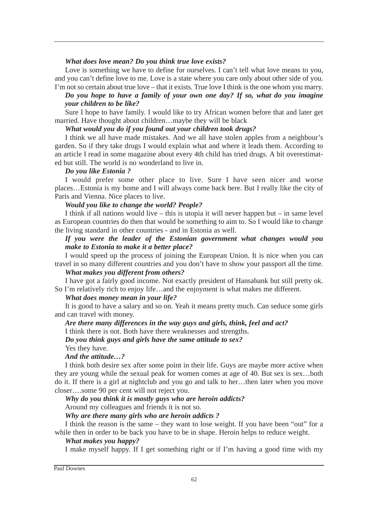#### *What does love mean? Do you think true love exists?*

Love is something we have to define for ourselves. I can't tell what love means to you, and you can't define love to me. Love is a state where you care only about other side of you. I'm not so certain about true love – that it exists. True love I think is the one whom you marry.

# *Do you hope to have a family of your own one day? If so, what do you imagine your children to be like?*

Sure I hope to have family. I would like to try African women before that and later get married. Have thought about children…maybe they will be black

*What would you do if you found out your children took drugs?*

I think we all have made mistakes. And we all have stolen apples from a neighbour's garden. So if they take drugs I would explain what and where it leads them. According to an article I read in some magazine about every 4th child has tried drugs. A bit overestimated but still. The world is no wonderland to live in.

#### *Do you like Estonia ?*

I would prefer some other place to live. Sure I have seen nicer and worse places…Estonia is my home and I will always come back here. But I really like the city of Paris and Vienna. Nice places to live.

## *Would you like to change the world? People?*

I think if all nations would live – this is utopia it will never happen but – in same level as European countries do then that would be something to aim to. So I would like to change the living standard in other countries - and in Estonia as well.

*If you were the leader of the Estonian government what changes would you make to Estonia to make it a better place?*

I would speed up the process of joining the European Union. It is nice when you can travel in so many different countries and you don't have to show your passport all the time.

#### *What makes you different from others?*

I have got a fairly good income. Not exactly president of Hansabank but still pretty ok. So I'm relatively rich to enjoy life…and the enjoyment is what makes me different.

#### *What does money mean in your life?*

It is good to have a salary and so on. Yeah it means pretty much. Can seduce some girls and can travel with money.

#### *Are there many differences in the way guys and girls, think, feel and act?*

I think there is not. Both have there weaknesses and strengths.

*Do you think guys and girls have the same attitude to sex?*

Yes they have.

#### *And the attitude…?*

I think both desire sex after some point in their life. Guys are maybe more active when they are young while the sexual peak for women comes at age of 40. But sex is sex…both do it. If there is a girl at nightclub and you go and talk to her…then later when you move closer….some 90 per cent will not reject you.

*Why do you think it is mostly guys who are heroin addicts?*

Around my colleagues and friends it is not so.

## *Why are there many girls who are heroin addicts ?*

I think the reason is the same – they want to lose weight. If you have been "out" for a while then in order to be back you have to be in shape. Heroin helps to reduce weight.

## *What makes you happy?*

I make myself happy. If I get something right or if I'm having a good time with my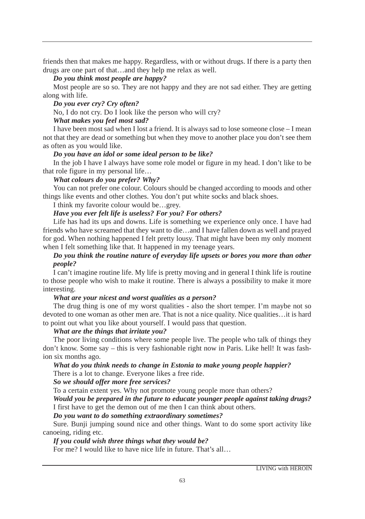friends then that makes me happy. Regardless, with or without drugs. If there is a party then drugs are one part of that…and they help me relax as well.

## *Do you think most people are happy?*

Most people are so so. They are not happy and they are not sad either. They are getting along with life.

#### *Do you ever cry? Cry often?*

No, I do not cry. Do I look like the person who will cry?

## *What makes you feel most sad?*

I have been most sad when I lost a friend. It is always sad to lose someone close – I mean not that they are dead or something but when they move to another place you don't see them as often as you would like.

## *Do you have an idol or some ideal person to be like?*

In the job I have I always have some role model or figure in my head. I don't like to be that role figure in my personal life…

## *What colours do you prefer? Why?*

You can not prefer one colour. Colours should be changed according to moods and other things like events and other clothes. You don't put white socks and black shoes.

I think my favorite colour would be…grey.

## *Have you ever felt life is useless? For you? For others?*

Life has had its ups and downs. Life is something we experience only once. I have had friends who have screamed that they want to die…and I have fallen down as well and prayed for god. When nothing happened I felt pretty lousy. That might have been my only moment when I felt something like that. It happened in my teenage years.

## *Do you think the routine nature of everyday life upsets or bores you more than other people?*

I can't imagine routine life. My life is pretty moving and in general I think life is routine to those people who wish to make it routine. There is always a possibility to make it more interesting.

#### *What are your nicest and worst qualities as a person?*

The drug thing is one of my worst qualities - also the short temper. I'm maybe not so devoted to one woman as other men are. That is not a nice quality. Nice qualities…it is hard to point out what you like about yourself. I would pass that question.

#### *What are the things that irritate you?*

The poor living conditions where some people live. The people who talk of things they don't know. Some say – this is very fashionable right now in Paris. Like hell! It was fashion six months ago.

#### *What do you think needs to change in Estonia to make young people happier?* There is a lot to change. Everyone likes a free ride.

## *So we should offer more free services?*

To a certain extent yes. Why not promote young people more than others?

*Would you be prepared in the future to educate younger people against taking drugs?* I first have to get the demon out of me then I can think about others.

## *Do you want to do something extraordinary sometimes?*

Sure. Bunji jumping sound nice and other things. Want to do some sport activity like canoeing, riding etc.

## *If you could wish three things what they would be?*

For me? I would like to have nice life in future. That's all…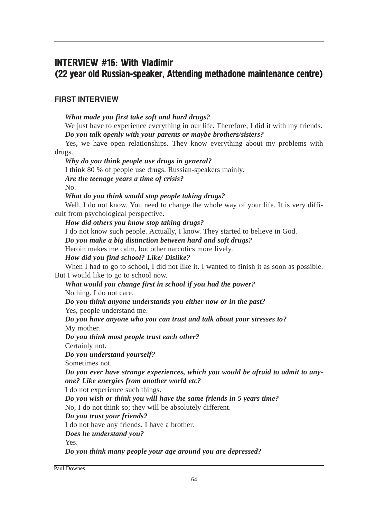# INTERVIEW #16: With Vladimir (22 year old Russian-speaker, Attending methadone maintenance centre)

# FIRST INTERVIEW

# *What made you first take soft and hard drugs?*

We just have to experience everything in our life. Therefore, I did it with my friends. *Do you talk openly with your parents or maybe brothers/sisters?*

Yes, we have open relationships. They know everything about my problems with

drugs.

*Why do you think people use drugs in general?*

I think 80 % of people use drugs. Russian-speakers mainly.

*Are the teenage years a time of crisis?*

No.

# *What do you think would stop people taking drugs?*

Well, I do not know. You need to change the whole way of your life. It is very difficult from psychological perspective.

*How did others you know stop taking drugs?*

I do not know such people. Actually, I know. They started to believe in God.

*Do you make a big distinction between hard and soft drugs?* 

Heroin makes me calm, but other narcotics more lively.

*How did you find school? Like/ Dislike?*

When I had to go to school, I did not like it. I wanted to finish it as soon as possible. But I would like to go to school now.

## *What would you change first in school if you had the power?* Nothing. I do not care.

*Do you think anyone understands you either now or in the past?*

Yes, people understand me.

*Do you have anyone who you can trust and talk about your stresses to?* My mother.

*Do you think most people trust each other?*

Certainly not.

*Do you understand yourself?*

Sometimes not.

*Do you ever have strange experiences, which you would be afraid to admit to anyone? Like energies from another world etc?*

I do not experience such things.

*Do you wish or think you will have the same friends in 5 years time?* 

No, I do not think so; they will be absolutely different.

*Do you trust your friends?*

I do not have any friends. I have a brother.

*Does he understand you?*

Yes.

*Do you think many people your age around you are depressed?*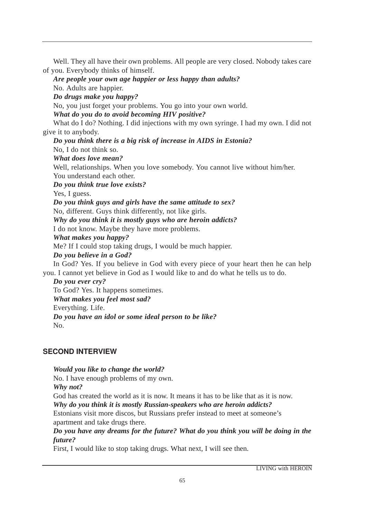Well. They all have their own problems. All people are very closed. Nobody takes care of you. Everybody thinks of himself.

*Are people your own age happier or less happy than adults?*

No. Adults are happier.

*Do drugs make you happy?*

No, you just forget your problems. You go into your own world.

*What do you do to avoid becoming HIV positive?*

What do I do? Nothing. I did injections with my own syringe. I had my own. I did not give it to anybody.

*Do you think there is a big risk of increase in AIDS in Estonia?*

No, I do not think so.

*What does love mean?*

Well, relationships. When you love somebody. You cannot live without him/her. You understand each other.

*Do you think true love exists?*

Yes, I guess.

*Do you think guys and girls have the same attitude to sex?* 

No, different. Guys think differently, not like girls.

*Why do you think it is mostly guys who are heroin addicts?* 

I do not know. Maybe they have more problems.

*What makes you happy?*

Me? If I could stop taking drugs, I would be much happier.

*Do you believe in a God?*

In God? Yes. If you believe in God with every piece of your heart then he can help you. I cannot yet believe in God as I would like to and do what he tells us to do.

*Do you ever cry?*

To God? Yes. It happens sometimes. *What makes you feel most sad?*  Everything. Life. *Do you have an idol or some ideal person to be like?*  No.

# **SECOND INTERVIEW**

*Would you like to change the world?* No. I have enough problems of my own. *Why not?* God has created the world as it is now. It means it has to be like that as it is now. *Why do you think it is mostly Russian-speakers who are heroin addicts?* Estonians visit more discos, but Russians prefer instead to meet at someone's apartment and take drugs there.

*Do you have any dreams for the future? What do you think you will be doing in the future?*

First, I would like to stop taking drugs. What next, I will see then.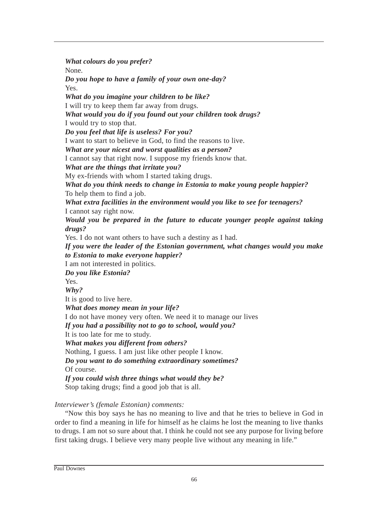*What colours do you prefer?* None. *Do you hope to have a family of your own one-day?*  Yes. *What do you imagine your children to be like?*  I will try to keep them far away from drugs. *What would you do if you found out your children took drugs?* I would try to stop that. *Do you feel that life is useless? For you?* I want to start to believe in God, to find the reasons to live. *What are your nicest and worst qualities as a person?*  I cannot say that right now. I suppose my friends know that. *What are the things that irritate you?*  My ex-friends with whom I started taking drugs. *What do you think needs to change in Estonia to make young people happier?*  To help them to find a job. *What extra facilities in the environment would you like to see for teenagers?* I cannot say right now. *Would you be prepared in the future to educate younger people against taking drugs?* Yes. I do not want others to have such a destiny as I had. *If you were the leader of the Estonian government, what changes would you make to Estonia to make everyone happier?*  I am not interested in politics. *Do you like Estonia?* Yes. *Why?*  It is good to live here. *What does money mean in your life?* I do not have money very often. We need it to manage our lives *If you had a possibility not to go to school, would you?* It is too late for me to study. *What makes you different from others?* Nothing, I guess. I am just like other people I know. *Do you want to do something extraordinary sometimes?* Of course. *If you could wish three things what would they be?* Stop taking drugs; find a good job that is all. *Interviewer's (female Estonian) comments:*

"Now this boy says he has no meaning to live and that he tries to believe in God in order to find a meaning in life for himself as he claims he lost the meaning to live thanks to drugs. I am not so sure about that. I think he could not see any purpose for living before first taking drugs. I believe very many people live without any meaning in life."

Paul Downes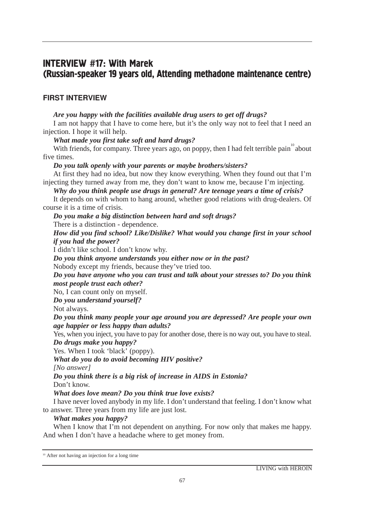# **INTERVIEW #17: With Marek** (Russian-speaker 19 years old, Attending methadone maintenance centre)

# FIRST INTERVIEW

*Are you happy with the facilities available drug users to get off drugs?*

I am not happy that I have to come here, but it's the only way not to feel that I need an injection. I hope it will help.

*What made you first take soft and hard drugs?*

With friends, for company. Three years ago, on poppy, then I had felt terrible pain about five times.

## *Do you talk openly with your parents or maybe brothers/sisters?*

At first they had no idea, but now they know everything. When they found out that I'm injecting they turned away from me, they don't want to know me, because I'm injecting.

*Why do you think people use drugs in general? Are teenage years a time of crisis?*

It depends on with whom to hang around, whether good relations with drug-dealers. Of course it is a time of crisis.

*Do you make a big distinction between hard and soft drugs?*

There is a distinction - dependence.

*How did you find school? Like/Dislike? What would you change first in your school if you had the power?*

I didn't like school. I don't know why.

*Do you think anyone understands you either now or in the past?*

Nobody except my friends, because they've tried too.

*Do you have anyone who you can trust and talk about your stresses to? Do you think most people trust each other?*

No, I can count only on myself.

*Do you understand yourself?*

Not always.

*Do you think many people your age around you are depressed? Are people your own age happier or less happy than adults?*

Yes, when you inject, you have to pay for another dose, there is no way out, you have to steal. *Do drugs make you happy?*

Yes. When I took 'black' (poppy).

*What do you do to avoid becoming HIV positive?*

*[No answer]*

*Do you think there is a big risk of increase in AIDS in Estonia?* Don't know.

*What does love mean? Do you think true love exists?*

I have never loved anybody in my life. I don't understand that feeling. I don't know what to answer. Three years from my life are just lost.

# *What makes you happy?*

When I know that I'm not dependent on anything. For now only that makes me happy. And when I don't have a headache where to get money from.

<sup>10</sup> After not having an injection for a long time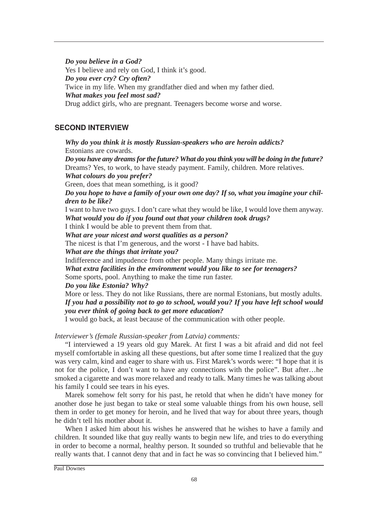## *Do you believe in a God?*

Yes I believe and rely on God, I think it's good. *Do you ever cry? Cry often?* Twice in my life. When my grandfather died and when my father died. *What makes you feel most sad?* Drug addict girls, who are pregnant. Teenagers become worse and worse.

# **SECOND INTERVIEW**

*Why do you think it is mostly Russian-speakers who are heroin addicts?* Estonians are cowards. *Do you have any dreams for the future? What do you think you will be doing in the future?* Dreams? Yes, to work, to have steady payment. Family, children. More relatives. *What colours do you prefer?* Green, does that mean something, is it good? *Do you hope to have a family of your own one day? If so, what you imagine your children to be like?* I want to have two guys. I don't care what they would be like, I would love them anyway. *What would you do if you found out that your children took drugs?* I think I would be able to prevent them from that. *What are your nicest and worst qualities as a person?* The nicest is that I'm generous, and the worst - I have bad habits. *What are the things that irritate you?* Indifference and impudence from other people. Many things irritate me. *What extra facilities in the environment would you like to see for teenagers?* Some sports, pool. Anything to make the time run faster. *Do you like Estonia? Why?* More or less. They do not like Russians, there are normal Estonians, but mostly adults. *If you had a possibility not to go to school, would you? If you have left school would you ever think of going back to get more education?*

I would go back, at least because of the communication with other people.

*Interviewer's (female Russian-speaker from Latvia) comments:*

"I interviewed a 19 years old guy Marek. At first I was a bit afraid and did not feel myself comfortable in asking all these questions, but after some time I realized that the guy was very calm, kind and eager to share with us. First Marek's words were: "I hope that it is not for the police, I don't want to have any connections with the police". But after…he smoked a cigarette and was more relaxed and ready to talk. Many times he was talking about his family I could see tears in his eyes.

Marek somehow felt sorry for his past, he retold that when he didn't have money for another dose he just began to take or steal some valuable things from his own house, sell them in order to get money for heroin, and he lived that way for about three years, though he didn't tell his mother about it.

When I asked him about his wishes he answered that he wishes to have a family and children. It sounded like that guy really wants to begin new life, and tries to do everything in order to become a normal, healthy person. It sounded so truthful and believable that he really wants that. I cannot deny that and in fact he was so convincing that I believed him."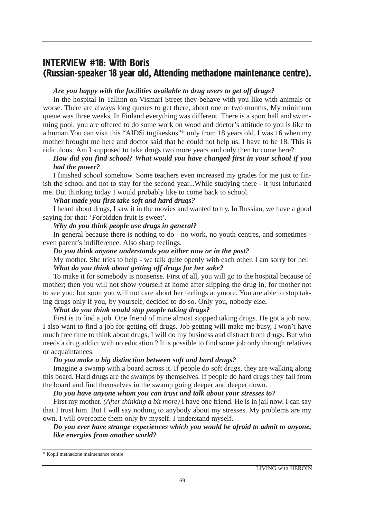# **INTERVIEW #18: With Boris** (Russian-speaker 18 year old, Attending methadone maintenance centre).

## *Are you happy with the facilities available to drug users to get off drugs?*

In the hospital in Tallinn on Vismari Street they behave with you like with animals or worse. There are always long queues to get there, about one or two months. My minimum queue was three weeks. In Finland everything was different. There is a sport hall and swimming pool; you are offered to do some work on wood and doctor's attitude to you is like to a human.You can visit this "AIDSi tugikeskus"11 only from 18 years old. I was 16 when my mother brought me here and doctor said that he could not help us. I have to be 18. This is ridiculous. Am I supposed to take drugs two more years and only then to come here?

# *How did you find school? What would you have changed first in your school if you had the power?*

I finished school somehow. Some teachers even increased my grades for me just to finish the school and not to stay for the second year...While studying there - it just infuriated me. But thinking today I would probably like to come back to school.

## *What made you first take soft and hard drugs?*

I heard about drugs, I saw it in the movies and wanted to try. In Russian, we have a good saying for that: 'Forbidden fruit is sweet'*.*

## *Why do you think people use drugs in general?*

In general because there is nothing to do - no work, no youth centres, and sometimes even parent's indifference. Also sharp feelings.

## *Do you think anyone understands you either now or in the past?*

My mother. She tries to help - we talk quite openly with each other. I am sorry for her. *What do you think about getting off drugs for her sake?*

To make it for somebody is nonsense. First of all, you will go to the hospital because of mother; then you will not show yourself at home after slipping the drug in, for mother not to see you; but soon you will not care about her feelings anymore. You are able to stop taking drugs only if you, by yourself, decided to do so. Only you, nobody else**.**

## *What do you think would stop people taking drugs?*

First is to find a job. One friend of mine almost stopped taking drugs. He got a job now. I also want to find a job for getting off drugs. Job getting will make me busy, I won't have much free time to think about drugs, I will do my business and distract from drugs. But who needs a drug addict with no education ? It is possible to find some job only through relatives or acquaintances.

## *Do you make a big distinction between soft and hard drugs?*

Imagine a swamp with a board across it. If people do soft drugs, they are walking along this board. Hard drugs are the swamps by themselves. If people do hard drugs they fall from the board and find themselves in the swamp going deeper and deeper down.

#### *Do you have anyone whom you can trust and talk about your stresses to?*

First my mother. *(After thinking a bit more)* I have one friend. He is in jail now. I can say that I trust him. But I will say nothing to anybody about my stresses. My problems are my own. I will overcome them only by myself. I understand myself.

## *Do you ever have strange experiences which you would be afraid to admit to anyone, like energies from another world?*

<sup>11</sup> Kopli methadone maintenance centre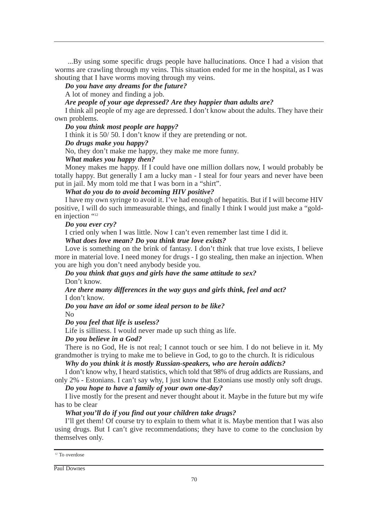...By using some specific drugs people have hallucinations. Once I had a vision that worms are crawling through my veins. This situation ended for me in the hospital, as I was shouting that I have worms moving through my veins.

*Do you have any dreams for the future?*

A lot of money and finding a job.

*Are people of your age depressed? Are they happier than adults are?*

I think all people of my age are depressed. I don't know about the adults. They have their own problems.

#### *Do you think most people are happy?*

I think it is 50/ 50. I don't know if they are pretending or not.

## *Do drugs make you happy?*

No, they don't make me happy, they make me more funny.

#### *What makes you happy then?*

Money makes me happy. If I could have one million dollars now, I would probably be totally happy. But generally I am a lucky man - I steal for four years and never have been put in jail. My mom told me that I was born in a "shirt".

#### *What do you do to avoid becoming HIV positive?*

I have my own syringe to avoid it. I've had enough of hepatitis. But if I will become HIV positive, I will do such immeasurable things, and finally I think I would just make a "golden injection "12

## *Do you ever cry?*

I cried only when I was little. Now I can't even remember last time I did it.

### *What does love mean? Do you think true love exists?*

Love is something on the brink of fantasy. I don't think that true love exists, I believe more in material love. I need money for drugs - I go stealing, then make an injection. When you are high you don't need anybody beside you.

*Do you think that guys and girls have the same attitude to sex?* Don't know.

*Are there many differences in the way guys and girls think, feel and act?* I don't know.

*Do you have an idol or some ideal person to be like?*

No

*Do you feel that life is useless?*

Life is silliness. I would never made up such thing as life.

*Do you believe in a God?*

There is no God, He is not real; I cannot touch or see him. I do not believe in it. My grandmother is trying to make me to believe in God, to go to the church. It is ridiculous

## *Why do you think it is mostly Russian-speakers, who are heroin addicts?*

I don't know why, I heard statistics, which told that 98% of drug addicts are Russians, and only 2% - Estonians. I can't say why, I just know that Estonians use mostly only soft drugs.

*Do you hope to have a family of your own one-day?*

I live mostly for the present and never thought about it. Maybe in the future but my wife has to be clear

## *What you'll do if you find out your children take drugs?*

I'll get them! Of course try to explain to them what it is. Maybe mention that I was also using drugs. But I can't give recommendations; they have to come to the conclusion by themselves only.

<sup>12</sup> To overdose

Paul Downes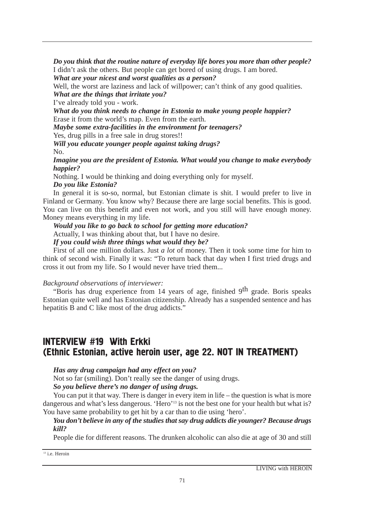*Do you think that the routine nature of everyday life bores you more than other people?* I didn't ask the others. But people can get bored of using drugs. I am bored.

*What are your nicest and worst qualities as a person?*

Well, the worst are laziness and lack of willpower; can't think of any good qualities. *What are the things that irritate you?*

I've already told you - work.

*What do you think needs to change in Estonia to make young people happier?* Erase it from the world's map. Even from the earth.

*Maybe some extra-facilities in the environment for teenagers?* 

Yes, drug pills in a free sale in drug stores!!

*Will you educate younger people against taking drugs?*

No.

*Imagine you are the president of Estonia. What would you change to make everybody happier?*

Nothing. I would be thinking and doing everything only for myself.

# *Do you like Estonia?*

In general it is so-so, normal, but Estonian climate is shit. I would prefer to live in Finland or Germany. You know why? Because there are large social benefits. This is good. You can live on this benefit and even not work, and you still will have enough money. Money means everything in my life.

*Would you like to go back to school for getting more education?*

Actually, I was thinking about that, but I have no desire.

## *If you could wish three things what would they be?*

First of all one million dollars. Just *a lot* of money. Then it took some time for him to think of second wish. Finally it was: "To return back that day when I first tried drugs and cross it out from my life. So I would never have tried them...

# *Background observations of interviewer:*

"Boris has drug experience from 14 years of age, finished  $9<sup>th</sup>$  grade. Boris speaks Estonian quite well and has Estonian citizenship. Already has a suspended sentence and has hepatitis B and C like most of the drug addicts."

# where  $\theta$ **INTERVIEW #19 With Erkki** (Ethnic Estonian, active heroin user, age 22. NOT IN TREATMENT)

# *Has any drug campaign had any effect on you?*

Not so far (smiling). Don't really see the danger of using drugs.

*So you believe there's no danger of using drugs.*

You can put it that way. There is danger in every item in life – the question is what is more dangerous and what's less dangerous. 'Hero'<sup>13</sup> is not the best one for your health but what is? You have same probability to get hit by a car than to die using 'hero'.

# *You don't believe in any of the studies that say drug addicts die younger? Because drugs kill?*

People die for different reasons. The drunken alcoholic can also die at age of 30 and still

 $13$  i.e. Heroin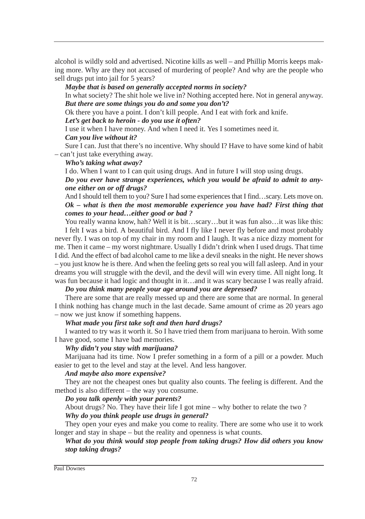alcohol is wildly sold and advertised. Nicotine kills as well – and Phillip Morris keeps making more. Why are they not accused of murdering of people? And why are the people who sell drugs put into jail for 5 years?

*Maybe that is based on generally accepted norms in society?*

In what society? The shit hole we live in? Nothing accepted here. Not in general anyway. *But there are some things you do and some you don't?*

Ok there you have a point. I don't kill people. And I eat with fork and knife.

*Let's get back to heroin - do you use it often?*

I use it when I have money. And when I need it. Yes I sometimes need it. *Can you live without it?*

Sure I can. Just that there's no incentive. Why should I? Have to have some kind of habit – can't just take everything away.

## *Who's taking what away?*

I do. When I want to I can quit using drugs. And in future I will stop using drugs. *Do you ever have strange experiences, which you would be afraid to admit to anyone either on or off drugs?*

And I should tell them to you? Sure I had some experiences that I find…scary. Lets move on. *Ok – what is then the most memorable experience you have had? First thing that comes to your head…either good or bad ?*

You really wanna know, hah? Well it is bit…scary…but it was fun also…it was like this: I felt I was a bird. A beautiful bird. And I fly like I never fly before and most probably never fly. I was on top of my chair in my room and I laugh. It was a nice dizzy moment for me. Then it came – my worst nightmare. Usually I didn't drink when I used drugs. That time I did. And the effect of bad alcohol came to me like a devil sneaks in the night. He never shows – you just know he is there. And when the feeling gets so real you will fall asleep. And in your dreams you will struggle with the devil, and the devil will win every time. All night long. It was fun because it had logic and thought in it…and it was scary because I was really afraid.

## *Do you think many people your age around you are depressed?*

There are some that are really messed up and there are some that are normal. In general I think nothing has change much in the last decade. Same amount of crime as 20 years ago – now we just know if something happens.

#### *What made you first take soft and then hard drugs?*

I wanted to try was it worth it. So I have tried them from marijuana to heroin. With some I have good, some I have bad memories.

## *Why didn't you stay with marijuana?*

Marijuana had its time. Now I prefer something in a form of a pill or a powder. Much easier to get to the level and stay at the level. And less hangover.

#### *And maybe also more expensive?*

They are not the cheapest ones but quality also counts. The feeling is different. And the method is also different – the way you consume.

## *Do you talk openly with your parents?*

About drugs? No. They have their life I got mine – why bother to relate the two ? *Why do you think people use drugs in general?*

They open your eyes and make you come to reality. There are some who use it to work longer and stay in shape – but the reality and openness is what counts.

## *What do you think would stop people from taking drugs? How did others you know stop taking drugs?*

Paul Downes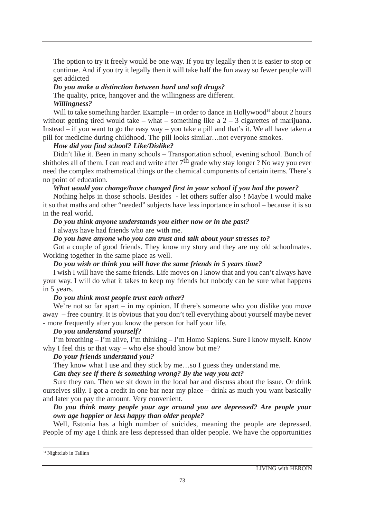The option to try it freely would be one way. If you try legally then it is easier to stop or continue. And if you try it legally then it will take half the fun away so fewer people will get addicted

## *Do you make a distinction between hard and soft drugs?*

The quality, price, hangover and the willingness are different. *Willingness?*

Will to take something harder. Example – in order to dance in Hollywood<sup>14</sup> about 2 hours without getting tired would take – what – something like a  $2 - 3$  cigarettes of marijuana. Instead – if you want to go the easy way – you take a pill and that's it. We all have taken a pill for medicine during childhood. The pill looks similar…not everyone smokes.

## *How did you find school? Like/Dislike?*

Didn't like it. Been in many schools – Transportation school, evening school. Bunch of shitholes all of them. I can read and write after  $7<sup>th</sup>$  grade why stay longer ? No way you ever need the complex mathematical things or the chemical components of certain items. There's no point of education.

## *What would you change/have changed first in your school if you had the power?*

Nothing helps in those schools. Besides - let others suffer also ! Maybe I would make it so that maths and other "needed" subjects have less inportance in school – because it is so in the real world.

## *Do you think anyone understands you either now or in the past?*

I always have had friends who are with me.

## *Do you have anyone who you can trust and talk about your stresses to?*

Got a couple of good friends. They know my story and they are my old schoolmates. Working together in the same place as well.

## *Do you wish or think you will have the same friends in 5 years time?*

I wish I will have the same friends. Life moves on I know that and you can't always have your way. I will do what it takes to keep my friends but nobody can be sure what happens in 5 years.

# *Do you think most people trust each other?*

We're not so far apart – in my opinion. If there's someone who you dislike you move away – free country. It is obvious that you don't tell everything about yourself maybe never - more frequently after you know the person for half your life.

# *Do you understand yourself?*

I'm breathing – I'm alive, I'm thinking – I'm Homo Sapiens. Sure I know myself. Know why I feel this or that way – who else should know but me?

## *Do your friends understand you?*

They know what I use and they stick by me…so I guess they understand me.

## *Can they see if there is something wrong? By the way you act?*

Sure they can. Then we sit down in the local bar and discuss about the issue. Or drink ourselves silly. I got a credit in one bar near my place – drink as much you want basically and later you pay the amount. Very convenient.

## *Do you think many people your age around you are depressed? Are people your own age happier or less happy than older people?*

Well, Estonia has a high number of suicides, meaning the people are depressed. People of my age I think are less depressed than older people. We have the opportunities

<sup>&</sup>lt;sup>14</sup> Nightclub in Tallinn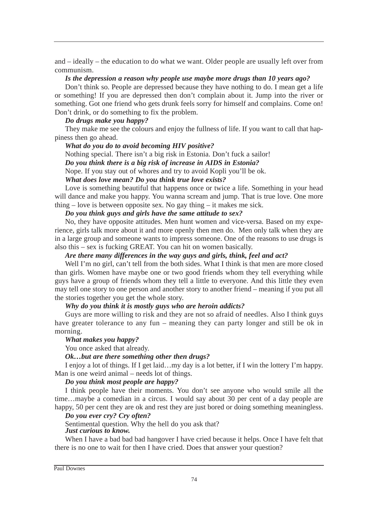and – ideally – the education to do what we want. Older people are usually left over from communism.

#### *Is the depression a reason why people use maybe more drugs than 10 years ago?*

Don't think so. People are depressed because they have nothing to do. I mean get a life or something! If you are depressed then don't complain about it. Jump into the river or something. Got one friend who gets drunk feels sorry for himself and complains. Come on! Don't drink, or do something to fix the problem.

## *Do drugs make you happy?*

They make me see the colours and enjoy the fullness of life. If you want to call that happiness then go ahead.

## *What do you do to avoid becoming HIV positive?*

Nothing special. There isn't a big risk in Estonia. Don't fuck a sailor!

## *Do you think there is a big risk of increase in AIDS in Estonia?*

Nope. If you stay out of whores and try to avoid Kopli you'll be ok.

## *What does love mean? Do you think true love exists?*

Love is something beautiful that happens once or twice a life. Something in your head will dance and make you happy. You wanna scream and jump. That is true love. One more thing – love is between opposite sex. No gay thing – it makes me sick.

## *Do you think guys and girls have the same attitude to sex?*

No, they have opposite attitudes. Men hunt women and vice-versa. Based on my experience, girls talk more about it and more openly then men do. Men only talk when they are in a large group and someone wants to impress someone. One of the reasons to use drugs is also this – sex is fucking GREAT. You can hit on women basically.

## *Are there many differences in the way guys and girls, think, feel and act?*

Well I'm no girl, can't tell from the both sides. What I think is that men are more closed than girls. Women have maybe one or two good friends whom they tell everything while guys have a group of friends whom they tell a little to everyone. And this little they even may tell one story to one person and another story to another friend – meaning if you put all the stories together you get the whole story.

## *Why do you think it is mostly guys who are heroin addicts?*

Guys are more willing to risk and they are not so afraid of needles. Also I think guys have greater tolerance to any fun – meaning they can party longer and still be ok in morning.

#### *What makes you happy?*

You once asked that already.

## *Ok…but are there something other then drugs?*

I enjoy a lot of things. If I get laid…my day is a lot better, if I win the lottery I'm happy. Man is one weird animal – needs lot of things.

## *Do you think most people are happy?*

I think people have their moments. You don't see anyone who would smile all the time…maybe a comedian in a circus. I would say about 30 per cent of a day people are happy, 50 per cent they are ok and rest they are just bored or doing something meaningless.

## *Do you ever cry? Cry often?*

## Sentimental question. Why the hell do you ask that?

## *Just curious to know.*

When I have a bad bad bad hangover I have cried because it helps. Once I have felt that there is no one to wait for then I have cried. Does that answer your question?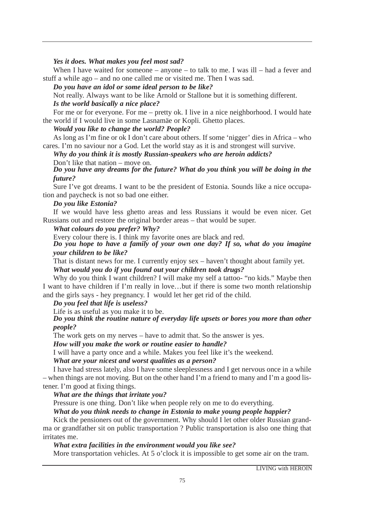*Yes it does. What makes you feel most sad?*

When I have waited for someone – anyone – to talk to me. I was ill – had a fever and stuff a while ago – and no one called me or visited me. Then I was sad.

#### *Do you have an idol or some ideal person to be like?*

Not really. Always want to be like Arnold or Stallone but it is something different. *Is the world basically a nice place?*

For me or for everyone. For me – pretty ok. I live in a nice neighborhood. I would hate the world if I would live in some Lasnamäe or Kopli. Ghetto places.

*Would you like to change the world? People?* 

As long as I'm fine or ok I don't care about others. If some 'nigger' dies in Africa – who cares. I'm no saviour nor a God. Let the world stay as it is and strongest will survive.

*Why do you think it is mostly Russian-speakers who are heroin addicts?* Don't like that nation – move on.

*Do you have any dreams for the future? What do you think you will be doing in the future?*

Sure I've got dreams. I want to be the president of Estonia. Sounds like a nice occupation and paycheck is not so bad one either.

# *Do you like Estonia?*

If we would have less ghetto areas and less Russians it would be even nicer. Get Russians out and restore the original border areas – that would be super.

# *What colours do you prefer? Why?*

Every colour there is. I think my favorite ones are black and red.

*Do you hope to have a family of your own one day? If so, what do you imagine your children to be like?*

That is distant news for me. I currently enjoy sex – haven't thought about family yet.

# *What would you do if you found out your children took drugs?*

Why do you think I want children? I will make my self a tattoo- "no kids." Maybe then I want to have children if I'm really in love…but if there is some two month relationship and the girls says - hey pregnancy. I would let her get rid of the child.

# *Do you feel that life is useless?*

Life is as useful as you make it to be.

*Do you think the routine nature of everyday life upsets or bores you more than other people?*

The work gets on my nerves – have to admit that. So the answer is yes.

*How will you make the work or routine easier to handle?*

I will have a party once and a while. Makes you feel like it's the weekend.

#### *What are your nicest and worst qualities as a person?*

I have had stress lately, also I have some sleeplessness and I get nervous once in a while – when things are not moving. But on the other hand I'm a friend to many and I'm a good listener. I'm good at fixing things.

# *What are the things that irritate you?*

Pressure is one thing. Don't like when people rely on me to do everything.

# *What do you think needs to change in Estonia to make young people happier?*

Kick the pensioners out of the government. Why should I let other older Russian grandma or grandfather sit on public transportation ? Public transportation is also one thing that irritates me.

# *What extra facilities in the environment would you like see?*

More transportation vehicles. At 5 o'clock it is impossible to get some air on the tram.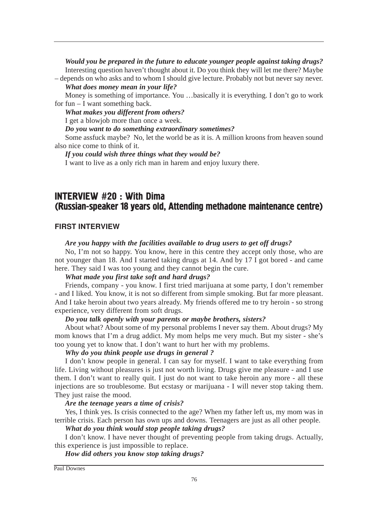*Would you be prepared in the future to educate younger people against taking drugs?* Interesting question haven't thought about it. Do you think they will let me there? Maybe – depends on who asks and to whom I should give lecture. Probably not but never say never.

#### *What does money mean in your life?*

Money is something of importance. You …basically it is everything. I don't go to work for fun – I want something back.

*What makes you different from others?*

I get a blowjob more than once a week.

*Do you want to do something extraordinary sometimes?*

Some assfuck maybe? No, let the world be as it is. A million kroons from heaven sound also nice come to think of it.

#### *If you could wish three things what they would be?*

I want to live as a only rich man in harem and enjoy luxury there.

# INTERVIEW #20 : With Dima (Russian-speaker 18 years old, Attending methadone maintenance centre)

#### FIRST INTERVIEW

#### *Are you happy with the facilities available to drug users to get off drugs?*

No, I'm not so happy. You know, here in this centre they accept only those, who are not younger than 18. And I started taking drugs at 14. And by 17 I got bored - and came here. They said I was too young and they cannot begin the cure.

#### *What made you first take soft and hard drugs?*

Friends, company - you know. I first tried marijuana at some party, I don't remember - and I liked. You know, it is not so different from simple smoking. But far more pleasant. And I take heroin about two years already. My friends offered me to try heroin - so strong experience, very different from soft drugs.

#### *Do you talk openly with your parents or maybe brothers, sisters?*

About what? About some of my personal problems I never say them. About drugs? My mom knows that I'm a drug addict. My mom helps me very much. But my sister - she's too young yet to know that. I don't want to hurt her with my problems.

#### *Why do you think people use drugs in general ?*

I don't know people in general. I can say for myself. I want to take everything from life. Living without pleasures is just not worth living. Drugs give me pleasure - and I use them. I don't want to really quit. I just do not want to take heroin any more - all these injections are so troublesome. But ecstasy or marijuana - I will never stop taking them. They just raise the mood.

#### *Are the teenage years a time of crisis?*

Yes, I think yes. Is crisis connected to the age? When my father left us, my mom was in terrible crisis. Each person has own ups and downs. Teenagers are just as all other people.

# *What do you think would stop people taking drugs?*

I don't know. I have never thought of preventing people from taking drugs. Actually, this experience is just impossible to replace.

*How did others you know stop taking drugs?*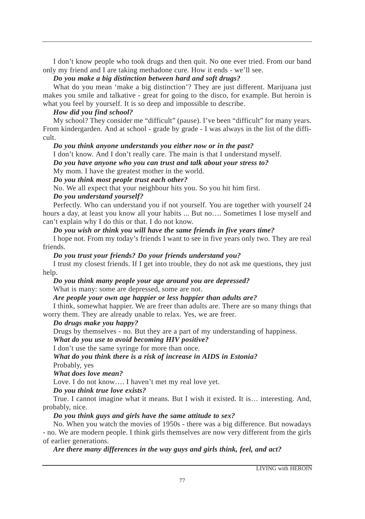I don't know people who took drugs and then quit. No one ever tried. From our band only my friend and I are taking methadone cure. How it ends - we'll see.

#### *Do you make a big distinction between hard and soft drugs?*

What do you mean 'make a big distinction'? They are just different. Marijuana just makes you smile and talkative - great for going to the disco, for example. But heroin is what you feel by yourself. It is so deep and impossible to describe.

# *How did you find school?*

My school? They consider me "difficult" (pause). I've been "difficult" for many years. From kindergarden. And at school - grade by grade - I was always in the list of the difficult.

# *Do you think anyone understands you either now or in the past?*

I don't know. And I don't really care. The main is that I understand myself.

*Do you have anyone who you can trust and talk about your stress to?*

My mom. I have the greatest mother in the world.

# *Do you think most people trust each other?*

No. We all expect that your neighbour hits you. So you hit him first.

#### *Do you understand yourself?*

Perfectly. Who can understand you if not yourself. You are together with yourself 24 hours a day, at least you know all your habits ... But no…. Sometimes I lose myself and can't explain why I do this or that. I do not know.

# *Do you wish or think you will have the same friends in five years time?*

I hope not. From my today's friends I want to see in five years only two. They are real friends.

# *Do you trust your friends? Do your friends understand you?*

I trust my closest friends. If I get into trouble, they do not ask me questions, they just help.

# *Do you think many people your age around you are depressed?*

What is many: some are depressed, some are not.

# *Are people your own age happier or less happier than adults are?*

I think, somewhat happier. We are freer than adults are. There are so many things that worry them. They are already unable to relax. Yes, we are freer.

# *Do drugs make you happy?*

Drugs by themselves - no. But they are a part of my understanding of happiness.

# *What do you use to avoid becoming HIV positive?*

I don't use the same syringe for more than once.

# *What do you think there is a risk of increase in AIDS in Estonia?*

Probably, yes

*What does love mean?*

Love. I do not know…. I haven't met my real love yet.

# *Do you think true love exists?*

True. I cannot imagine what it means. But I wish it existed. It is… interesting. And, probably, nice.

# *Do you think guys and girls have the same attitude to sex?*

No. When you watch the movies of 1950s - there was a big difference. But nowadays - no. We are modern people. I think girls themselves are now very different from the girls of earlier generations.

*Are there many differences in the way guys and girls think, feel, and act?*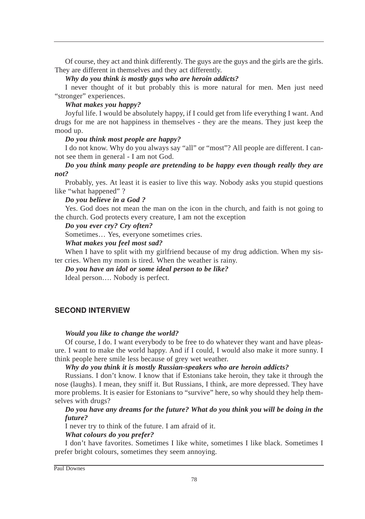Of course, they act and think differently. The guys are the guys and the girls are the girls. They are different in themselves and they act differently.

*Why do you think is mostly guys who are heroin addicts?*

I never thought of it but probably this is more natural for men. Men just need "stronger" experiences.

# *What makes you happy?*

Joyful life. I would be absolutely happy, if I could get from life everything I want. And drugs for me are not happiness in themselves - they are the means. They just keep the mood up.

# *Do you think most people are happy?*

I do not know. Why do you always say "all" or "most"? All people are different. I cannot see them in general - I am not God.

# *Do you think many people are pretending to be happy even though really they are not?*

Probably, yes. At least it is easier to live this way. Nobody asks you stupid questions like "what happened" ?

# *Do you believe in a God ?*

Yes. God does not mean the man on the icon in the church, and faith is not going to the church. God protects every creature, I am not the exception

*Do you ever cry? Cry often?*

Sometimes… Yes, everyone sometimes cries.

# *What makes you feel most sad?*

When I have to split with my girlfriend because of my drug addiction. When my sister cries. When my mom is tired. When the weather is rainy.

*Do you have an idol or some ideal person to be like?*

Ideal person…. Nobody is perfect.

# SECOND INTERVIEW

# *Would you like to change the world?*

Of course, I do. I want everybody to be free to do whatever they want and have pleasure. I want to make the world happy. And if I could, I would also make it more sunny. I think people here smile less because of grey wet weather.

# *Why do you think it is mostly Russian-speakers who are heroin addicts?*

Russians. I don't know. I know that if Estonians take heroin, they take it through the nose (laughs). I mean, they sniff it. But Russians, I think, are more depressed. They have more problems. It is easier for Estonians to "survive" here, so why should they help themselves with drugs?

# *Do you have any dreams for the future? What do you think you will be doing in the future?*

I never try to think of the future. I am afraid of it.

# *What colours do you prefer?*

I don't have favorites. Sometimes I like white, sometimes I like black. Sometimes I prefer bright colours, sometimes they seem annoying.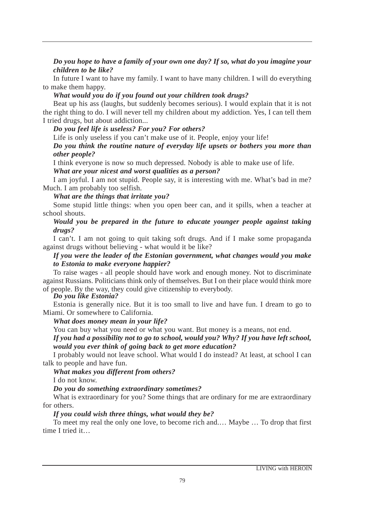# *Do you hope to have a family of your own one day? If so, what do you imagine your children to be like?*

In future I want to have my family. I want to have many children. I will do everything to make them happy.

#### *What would you do if you found out your children took drugs?*

Beat up his ass (laughs, but suddenly becomes serious). I would explain that it is not the right thing to do. I will never tell my children about my addiction. Yes, I can tell them I tried drugs, but about addiction...

# *Do you feel life is useless? For you? For others?*

Life is only useless if you can't make use of it. People, enjoy your life!

# *Do you think the routine nature of everyday life upsets or bothers you more than other people?*

I think everyone is now so much depressed. Nobody is able to make use of life.

*What are your nicest and worst qualities as a person?* 

I am joyful. I am not stupid. People say, it is interesting with me. What's bad in me? Much. I am probably too selfish.

# *What are the things that irritate you?*

Some stupid little things: when you open beer can, and it spills, when a teacher at school shouts.

# *Would you be prepared in the future to educate younger people against taking drugs?*

I can't. I am not going to quit taking soft drugs. And if I make some propaganda against drugs without believing - what would it be like?

# *If you were the leader of the Estonian government, what changes would you make to Estonia to make everyone happier?*

To raise wages - all people should have work and enough money. Not to discriminate against Russians. Politicians think only of themselves. But I on their place would think more of people. By the way, they could give citizenship to everybody. *Do you like Estonia?* 

Estonia is generally nice. But it is too small to live and have fun. I dream to go to Miami. Or somewhere to California.

# *What does money mean in your life?*

You can buy what you need or what you want. But money is a means, not end.

# *If you had a possibility not to go to school, would you? Why? If you have left school, would you ever think of going back to get more education?*

I probably would not leave school. What would I do instead? At least, at school I can talk to people and have fun.

# *What makes you different from others?*

I do not know.

# *Do you do something extraordinary sometimes?*

What is extraordinary for you? Some things that are ordinary for me are extraordinary for others.

# *If you could wish three things, what would they be?*

To meet my real the only one love, to become rich and.… Maybe … To drop that first time I tried it…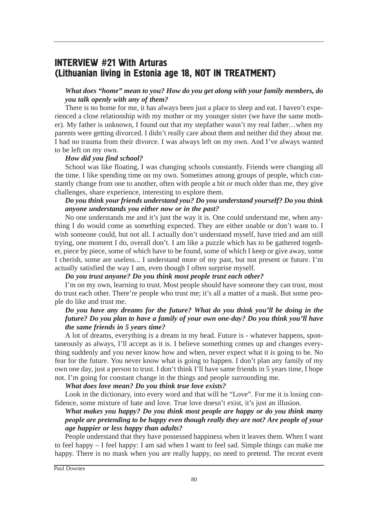# **INTERVIEW #21 With Arturas** (Lithuanian living in Estonia age 18, NOT IN TREATMENT)

# *What does "home" mean to you? How do you get along with your family members, do you talk openly with any of them?*

There is no home for me, it has always been just a place to sleep and eat. I haven't experienced a close relationship with my mother or my younger sister (we have the same mother). My father is unknown, I found out that my stepfather wasn't my real father…when my parents were getting divorced. I didn't really care about them and neither did they about me. I had no trauma from their divorce. I was always left on my own. And I've always wanted to be left on my own.

#### *How did you find school?*

School was like floating, I was changing schools constantly. Friends were changing all the time. I like spending time on my own. Sometimes among groups of people, which constantly change from one to another, often with people a bit or much older than me, they give challenges, share experience, interesting to explore them.

# *Do you think your friends understand you? Do you understand yourself? Do you think anyone understands you either now or in the past?*

No one understands me and it's just the way it is. One could understand me, when anything I do would come as something expected. They are either unable or don't want to. I wish someone could, but not all. I actually don't understand myself, have tried and am still trying, one moment I do, overall don't. I am like a puzzle which has to be gathered together, piece by piece, some of which have to be found, some of which I keep or give away, some I cherish, some are useless... I understand more of my past, but not present or future. I'm actually satisfied the way I am, even though I often surprise myself.

#### *Do you trust anyone? Do you think most people trust each other?*

I'm on my own, learning to trust. Most people should have someone they can trust, most do trust each other. There're people who trust me; it's all a matter of a mask. But some people do like and trust me.

# *Do you have any dreams for the future? What do you think you'll be doing in the future? Do you plan to have a family of your own one-day? Do you think you'll have the same friends in 5 years time?*

A lot of dreams, everything is a dream in my head. Future is - whatever happens, spontaneously as always, I'll accept as it is. I believe something comes up and changes everything suddenly and you never know how and when, never expect what it is going to be. No fear for the future. You never know what is going to happen. I don't plan any family of my own one day, just a person to trust. I don't think I'll have same friends in 5 years time, I hope not. I'm going for constant change in the things and people surrounding me.

#### *What does love mean? Do you think true love exists?*

Look in the dictionary, into every word and that will be "Love". For me it is losing confidence, some mixture of hate and love. True love doesn't exist, it's just an illusion.

# *What makes you happy? Do you think most people are happy or do you think many people are pretending to be happy even though really they are not? Are people of your age happier or less happy than adults?*

People understand that they have possessed happiness when it leaves them. When I want to feel happy – I feel happy: I am sad when I want to feel sad. Simple things can make me happy. There is no mask when you are really happy, no need to pretend. The recent event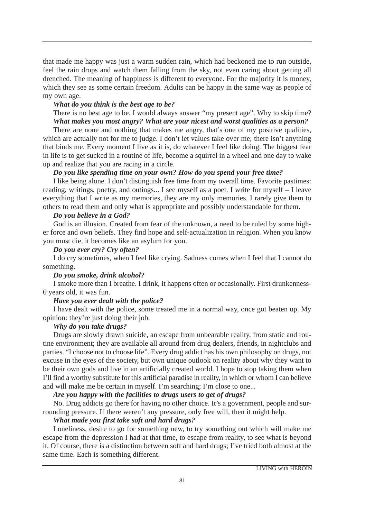that made me happy was just a warm sudden rain, which had beckoned me to run outside, feel the rain drops and watch them falling from the sky, not even caring about getting all drenched. The meaning of happiness is different to everyone. For the majority it is money, which they see as some certain freedom. Adults can be happy in the same way as people of my own age.

#### *What do you think is the best age to be?*

There is no best age to be. I would always answer "my present age". Why to skip time? *What makes you most angry? What are your nicest and worst qualities as a person?*

There are none and nothing that makes me angry, that's one of my positive qualities, which are actually not for me to judge. I don't let values take over me; there isn't anything that binds me. Every moment I live as it is, do whatever I feel like doing. The biggest fear in life is to get sucked in a routine of life, become a squirrel in a wheel and one day to wake up and realize that you are racing in a circle.

#### *Do you like spending time on your own? How do you spend your free time?*

I like being alone. I don't distinguish free time from my overall time. Favorite pastimes: reading, writings, poetry, and outings... I see myself as a poet. I write for myself – I leave everything that I write as my memories, they are my only memories. I rarely give them to others to read them and only what is appropriate and possibly understandable for them.

#### *Do you believe in a God?*

God is an illusion. Created from fear of the unknown, a need to be ruled by some higher force and own beliefs. They find hope and self-actualization in religion. When you know you must die, it becomes like an asylum for you.

#### *Do you ever cry? Cry often?*

I do cry sometimes, when I feel like crying. Sadness comes when I feel that I cannot do something.

#### *Do you smoke, drink alcohol?*

I smoke more than I breathe. I drink, it happens often or occasionally. First drunkenness-6 years old, it was fun.

#### *Have you ever dealt with the police?*

I have dealt with the police, some treated me in a normal way, once got beaten up. My opinion: they're just doing their job.

#### *Why do you take drugs?*

Drugs are slowly drawn suicide, an escape from unbearable reality, from static and routine environment; they are available all around from drug dealers, friends, in nightclubs and parties. "I choose not to choose life". Every drug addict has his own philosophy on drugs, not excuse in the eyes of the society, but own unique outlook on reality about why they want to be their own gods and live in an artificially created world. I hope to stop taking them when I'll find a worthy substitute for this artificial paradise in reality, in which or whom I can believe and will make me be certain in myself. I'm searching; I'm close to one...

#### *Are you happy with the facilities to drugs users to get of drugs?*

No. Drug addicts go there for having no other choice. It's a government, people and surrounding pressure. If there weren't any pressure, only free will, then it might help.

#### *What made you first take soft and hard drugs?*

Loneliness, desire to go for something new, to try something out which will make me escape from the depression I had at that time, to escape from reality, to see what is beyond it. Of course, there is a distinction between soft and hard drugs; I've tried both almost at the same time. Each is something different.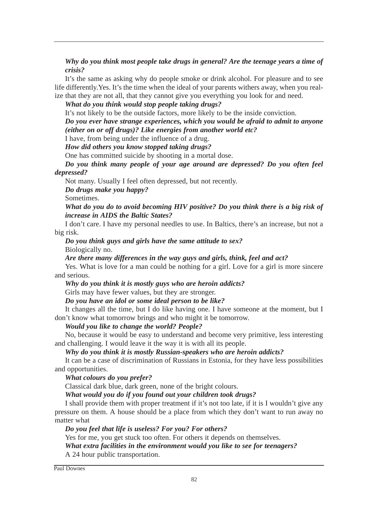*Why do you think most people take drugs in general? Are the teenage years a time of crisis?*

It's the same as asking why do people smoke or drink alcohol. For pleasure and to see life differently.Yes. It's the time when the ideal of your parents withers away, when you realize that they are not all, that they cannot give you everything you look for and need.

*What do you think would stop people taking drugs?*

It's not likely to be the outside factors, more likely to be the inside conviction.

*Do you ever have strange experiences, which you would be afraid to admit to anyone (either on or off drugs)? Like energies from another world etc?*

I have, from being under the influence of a drug.

*How did others you know stopped taking drugs?*

One has committed suicide by shooting in a mortal dose.

*Do you think many people of your age around are depressed? Do you often feel depressed?*

Not many. Usually I feel often depressed, but not recently.

*Do drugs make you happy?*

Sometimes.

*What do you do to avoid becoming HIV positive? Do you think there is a big risk of increase in AIDS the Baltic States?*

I don't care. I have my personal needles to use. In Baltics, there's an increase, but not a big risk.

*Do you think guys and girls have the same attitude to sex?* Biologically no.

*Are there many differences in the way guys and girls, think, feel and act?*

Yes. What is love for a man could be nothing for a girl. Love for a girl is more sincere and serious.

*Why do you think it is mostly guys who are heroin addicts?*

Girls may have fewer values, but they are stronger.

*Do you have an idol or some ideal person to be like?*

It changes all the time, but I do like having one. I have someone at the moment, but I don't know what tomorrow brings and who might it be tomorrow.

*Would you like to change the world? People?*

No, because it would be easy to understand and become very primitive, less interesting and challenging. I would leave it the way it is with all its people.

*Why do you think it is mostly Russian-speakers who are heroin addicts?*

It can be a case of discrimination of Russians in Estonia, for they have less possibilities and opportunities.

*What colours do you prefer?*

Classical dark blue, dark green, none of the bright colours.

*What would you do if you found out your children took drugs?*

I shall provide them with proper treatment if it's not too late, if it is I wouldn't give any pressure on them. A house should be a place from which they don't want to run away no matter what

*Do you feel that life is useless? For you? For others?*

Yes for me, you get stuck too often. For others it depends on themselves.

*What extra facilities in the environment would you like to see for teenagers?* A 24 hour public transportation.

Paul Downes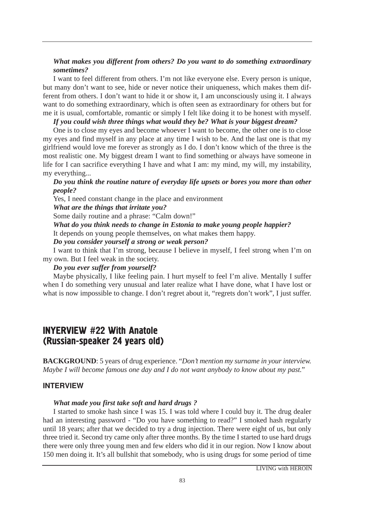# *What makes you different from others? Do you want to do something extraordinary sometimes?*

I want to feel different from others. I'm not like everyone else. Every person is unique, but many don't want to see, hide or never notice their uniqueness, which makes them different from others. I don't want to hide it or show it, I am unconsciously using it. I always want to do something extraordinary, which is often seen as extraordinary for others but for me it is usual, comfortable, romantic or simply I felt like doing it to be honest with myself.

# *If you could wish three things what would they be? What is your biggest dream?*

One is to close my eyes and become whoever I want to become, the other one is to close my eyes and find myself in any place at any time I wish to be. And the last one is that my girlfriend would love me forever as strongly as I do. I don't know which of the three is the most realistic one. My biggest dream I want to find something or always have someone in life for I can sacrifice everything I have and what I am: my mind, my will, my instability, my everything...

# *Do you think the routine nature of everyday life upsets or bores you more than other people?*

Yes, I need constant change in the place and environment

*What are the things that irritate you?*

Some daily routine and a phrase: "Calm down!"

*What do you think needs to change in Estonia to make young people happier?*

It depends on young people themselves, on what makes them happy.

*Do you consider yourself a strong or weak person?*

I want to think that I'm strong, because I believe in myself, I feel strong when I'm on my own. But I feel weak in the society.

#### *Do you ever suffer from yourself?*

Maybe physically, I like feeling pain. I hurt myself to feel I'm alive. Mentally I suffer when I do something very unusual and later realize what I have done, what I have lost or what is now impossible to change. I don't regret about it, "regrets don't work", I just suffer.

# **INYERVIEW #22 With Anatole** (Russian-speaker 24 years old)

**BACKGROUND**: 5 years of drug experience. "*Don't mention my surname in your interview. Maybe I will become famous one day and I do not want anybody to know about my past.*"

#### <u>INTERVIEW</u>

#### *What made you first take soft and hard drugs ?*

I started to smoke hash since I was 15. I was told where I could buy it. The drug dealer had an interesting password - "Do you have something to read?" I smoked hash regularly until 18 years; after that we decided to try a drug injection. There were eight of us, but only three tried it. Second try came only after three months. By the time I started to use hard drugs there were only three young men and few elders who did it in our region. Now I know about 150 men doing it. It's all bullshit that somebody, who is using drugs for some period of time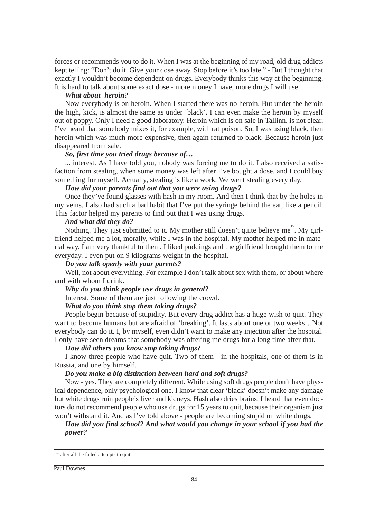forces or recommends you to do it. When I was at the beginning of my road, old drug addicts kept telling: "Don't do it. Give your dose away. Stop before it's too late." - But I thought that exactly I wouldn't become dependent on drugs. Everybody thinks this way at the beginning. It is hard to talk about some exact dose - more money I have, more drugs I will use.

#### *What about heroin?*

Now everybody is on heroin. When I started there was no heroin. But under the heroin the high, kick, is almost the same as under 'black'. I can even make the heroin by myself out of poppy. Only I need a good laboratory. Heroin which is on sale in Tallinn, is not clear, I've heard that somebody mixes it, for example, with rat poison. So, I was using black, then heroin which was much more expensive, then again returned to black. Because heroin just disappeared from sale.

#### *So, first time you tried drugs because of…*

... interest. As I have told you, nobody was forcing me to do it. I also received a satisfaction from stealing, when some money was left after I've bought a dose, and I could buy something for myself. Actually, stealing is like a work. We went stealing every day.

#### *How did your parents find out that you were using drugs?*

Once they've found glasses with hash in my room. And then I think that by the holes in my veins. I also had such a bad habit that I've put the syringe behind the ear, like a pencil. This factor helped my parents to find out that I was using drugs.

#### *And what did they do?*

Nothing. They just submitted to it. My mother still doesn't quite believe me<sup>15</sup>. My girlfriend helped me a lot, morally, while I was in the hospital. My mother helped me in material way. I am very thankful to them. I liked puddings and the girlfriend brought them to me everyday. I even put on 9 kilograms weight in the hospital.

#### *Do you talk openly with your parents?*

Well, not about everything. For example I don't talk about sex with them, or about where and with whom I drink.

#### *Why do you think people use drugs in general?*

Interest. Some of them are just following the crowd.

#### *What do you think stop them taking drugs?*

People begin because of stupidity. But every drug addict has a huge wish to quit. They want to become humans but are afraid of 'breaking'. It lasts about one or two weeks…Not everybody can do it. I, by myself, even didn't want to make any injection after the hospital. I only have seen dreams that somebody was offering me drugs for a long time after that.

#### *How did others you know stop taking drugs?*

I know three people who have quit. Two of them - in the hospitals, one of them is in Russia, and one by himself.

#### *Do you make a big distinction between hard and soft drugs?*

Now - yes. They are completely different. While using soft drugs people don't have physical dependence, only psychological one. I know that clear 'black' doesn't make any damage but white drugs ruin people's liver and kidneys. Hash also dries brains. I heard that even doctors do not recommend people who use drugs for 15 years to quit, because their organism just won't withstand it. And as I've told above - people are becoming stupid on white drugs.

# *How did you find school? And what would you change in your school if you had the power?*

<sup>&</sup>lt;sup>15</sup> after all the failed attempts to quit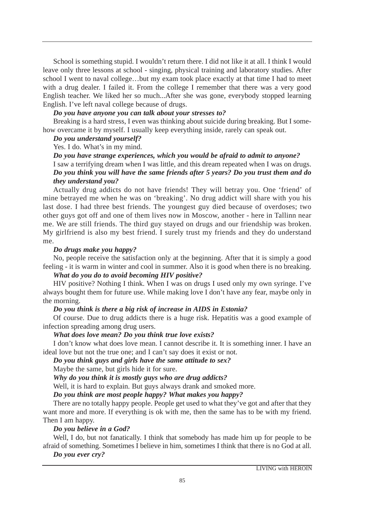School is something stupid. I wouldn't return there. I did not like it at all. I think I would leave only three lessons at school - singing, physical training and laboratory studies. After school I went to naval college…but my exam took place exactly at that time I had to meet with a drug dealer. I failed it. From the college I remember that there was a very good English teacher. We liked her so much...After she was gone, everybody stopped learning English. I've left naval college because of drugs.

# *Do you have anyone you can talk about your stresses to?*

Breaking is a hard stress, I even was thinking about suicide during breaking. But I somehow overcame it by myself. I usually keep everything inside, rarely can speak out.

#### *Do you understand yourself?*

Yes. I do. What's in my mind.

*Do you have strange experiences, which you would be afraid to admit to anyone?* I saw a terrifying dream when I was little, and this dream repeated when I was on drugs. *Do you think you will have the same friends after 5 years? Do you trust them and do they understand you?*

Actually drug addicts do not have friends! They will betray you. One 'friend' of mine betrayed me when he was on 'breaking'. No drug addict will share with you his last dose. I had three best friends. The youngest guy died because of overdoses; two other guys got off and one of them lives now in Moscow, another - here in Tallinn near me. We are still friends. The third guy stayed on drugs and our friendship was broken. My girlfriend is also my best friend. I surely trust my friends and they do understand me.

#### *Do drugs make you happy?*

No, people receive the satisfaction only at the beginning. After that it is simply a good feeling - it is warm in winter and cool in summer. Also it is good when there is no breaking.

#### *What do you do to avoid becoming HIV positive?*

HIV positive? Nothing I think. When I was on drugs I used only my own syringe. I've always bought them for future use. While making love I don't have any fear, maybe only in the morning.

#### *Do you think is there a big risk of increase in AIDS in Estonia?*

Of course. Due to drug addicts there is a huge risk. Hepatitis was a good example of infection spreading among drug users.

#### *What does love mean? Do you think true love exists?*

I don't know what does love mean. I cannot describe it. It is something inner. I have an ideal love but not the true one; and I can't say does it exist or not.

#### *Do you think guys and girls have the same attitude to sex?*

Maybe the same, but girls hide it for sure.

*Why do you think it is mostly guys who are drug addicts?*

Well, it is hard to explain. But guys always drank and smoked more.

#### *Do you think are most people happy? What makes you happy?*

There are no totally happy people. People get used to what they've got and after that they want more and more. If everything is ok with me, then the same has to be with my friend. Then I am happy.

#### *Do you believe in a God?*

Well, I do, but not fanatically. I think that somebody has made him up for people to be afraid of something. Sometimes I believe in him, sometimes I think that there is no God at all.

# *Do you ever cry?*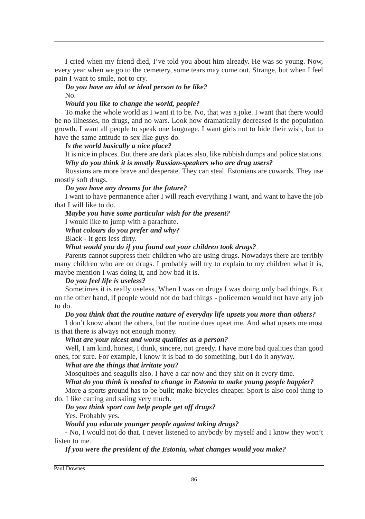I cried when my friend died, I've told you about him already. He was so young. Now, every year when we go to the cemetery, some tears may come out. Strange, but when I feel pain I want to smile, not to cry.

#### *Do you have an idol or ideal person to be like?* No.

# *Would you like to change the world, people?*

To make the whole world as I want it to be. No, that was a joke. I want that there would be no illnesses, no drugs, and no wars. Look how dramatically decreased is the population growth. I want all people to speak one language. I want girls not to hide their wish, but to have the same attitude to sex like guys do.

# *Is the world basically a nice place?*

It is nice in places. But there are dark places also, like rubbish dumps and police stations. *Why do you think it is mostly Russian-speakers who are drug users?*

Russians are more brave and desperate. They can steal. Estonians are cowards. They use mostly soft drugs.

# *Do you have any dreams for the future?*

I want to have permanence after I will reach everything I want, and want to have the job that I will like to do.

*Maybe you have some particular wish for the present?*

I would like to jump with a parachute.

# *What colours do you prefer and why?*

Black - it gets less dirty.

# *What would you do if you found out your children took drugs?*

Parents cannot suppress their children who are using drugs. Nowadays there are terribly many children who are on drugs. I probably will try to explain to my children what it is, maybe mention I was doing it, and how bad it is.

# *Do you feel life is useless?*

Sometimes it is really useless. When I was on drugs I was doing only bad things. But on the other hand, if people would not do bad things - policemen would not have any job to do.

# *Do you think that the routine nature of everyday life upsets you more than others?*

I don't know about the others, but the routine does upset me. And what upsets me most is that there is always not enough money.

# *What are your nicest and worst qualities as a person?*

Well, I am kind, honest, I think, sincere, not greedy. I have more bad qualities than good ones, for sure. For example, I know it is bad to do something, but I do it anyway.

# *What are the things that irritate you?*

Mosquitoes and seagulls also. I have a car now and they shit on it every time.

# *What do you think is needed to change in Estonia to make young people happier?*

More a sports ground has to be built; make bicycles cheaper. Sport is also cool thing to do. I like carting and skiing very much.

# *Do you think sport can help people get off drugs?* Yes. Probably yes.

*Would you educate younger people against taking drugs?*

- No, I would not do that. I never listened to anybody by myself and I know they won't listen to me.

# *If you were the president of the Estonia, what changes would you make?*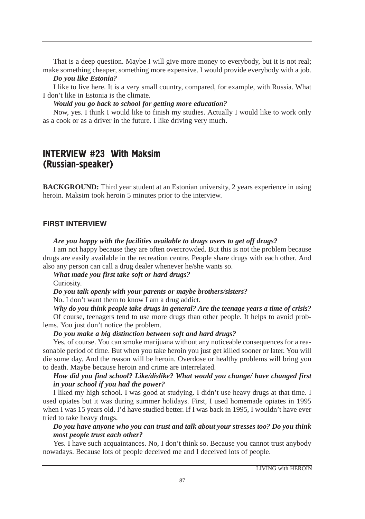That is a deep question. Maybe I will give more money to everybody, but it is not real; make something cheaper, something more expensive. I would provide everybody with a job.

#### *Do you like Estonia?*

I like to live here. It is a very small country, compared, for example, with Russia. What I don't like in Estonia is the climate.

*Would you go back to school for getting more education?*

Now, yes. I think I would like to finish my studies. Actually I would like to work only as a cook or as a driver in the future. I like driving very much.

# INTERVIEW #23 With Maksim (Russian-speaker)

**BACKGROUND:** Third year student at an Estonian university, 2 years experience in using heroin. Maksim took heroin 5 minutes prior to the interview.

# FIRST INTERVIEW

# *Are you happy with the facilities available to drugs users to get off drugs?*

I am not happy because they are often overcrowded. But this is not the problem because drugs are easily available in the recreation centre. People share drugs with each other. And also any person can call a drug dealer whenever he/she wants so.

*What made you first take soft or hard drugs?*

Curiosity.

*Do you talk openly with your parents or maybe brothers/sisters?* 

No. I don't want them to know I am a drug addict.

*Why do you think people take drugs in general? Are the teenage years a time of crisis?*

Of course, teenagers tend to use more drugs than other people. It helps to avoid problems. You just don't notice the problem.

# *Do you make a big distinction between soft and hard drugs?*

Yes, of course. You can smoke marijuana without any noticeable consequences for a reasonable period of time. But when you take heroin you just get killed sooner or later. You will die some day. And the reason will be heroin. Overdose or healthy problems will bring you to death. Maybe because heroin and crime are interrelated.

# *How did you find school? Like/dislike? What would you change/ have changed first in your school if you had the power?*

I liked my high school. I was good at studying. I didn't use heavy drugs at that time. I used opiates but it was during summer holidays. First, I used homemade opiates in 1995 when I was 15 years old. I'd have studied better. If I was back in 1995, I wouldn't have ever tried to take heavy drugs.

# *Do you have anyone who you can trust and talk about your stresses too? Do you think most people trust each other?*

Yes. I have such acquaintances. No, I don't think so. Because you cannot trust anybody nowadays. Because lots of people deceived me and I deceived lots of people.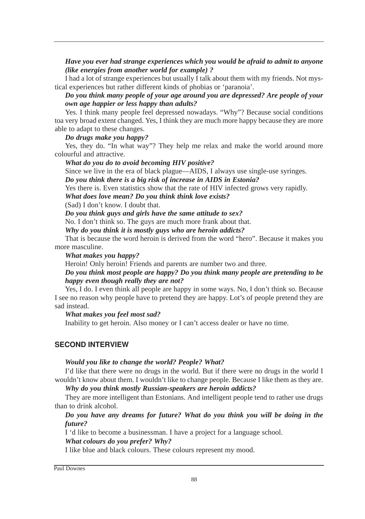# *Have you ever had strange experiences which you would be afraid to admit to anyone (like energies from another world for example) ?*

I had a lot of strange experiences but usually I talk about them with my friends. Not mystical experiences but rather different kinds of phobias or 'paranoia'.

# *Do you think many people of your age around you are depressed? Are people of your own age happier or less happy than adults?*

Yes. I think many people feel depressed nowadays. "Why"? Because social conditions toa very broad extent changed. Yes, I think they are much more happy because they are more able to adapt to these changes.

#### *Do drugs make you happy?*

Yes, they do. "In what way"? They help me relax and make the world around more colourful and attractive.

# *What do you do to avoid becoming HIV positive?*

Since we live in the era of black plague—AIDS, I always use single-use syringes. *Do you think there is a big risk of increase in AIDS in Estonia?*

Yes there is. Even statistics show that the rate of HIV infected grows very rapidly.

*What does love mean? Do you think think love exists?*

(Sad) I don't know. I doubt that.

*Do you think guys and girls have the same attitude to sex?*

No. I don't think so. The guys are much more frank about that.

*Why do you think it is mostly guys who are heroin addicts?*

That is because the word heroin is derived from the word "hero". Because it makes you more masculine.

#### *What makes you happy?*

Heroin! Only heroin! Friends and parents are number two and three.

# *Do you think most people are happy? Do you think many people are pretending to be happy even though really they are not?*

Yes, I do. I even think all people are happy in some ways. No, I don't think so. Because I see no reason why people have to pretend they are happy. Lot's of people pretend they are sad instead.

#### *What makes you feel most sad?*

Inability to get heroin. Also money or I can't access dealer or have no time.

# SECOND INTERVIEW

#### *Would you like to change the world? People? What?*

I'd like that there were no drugs in the world. But if there were no drugs in the world I wouldn't know about them. I wouldn't like to change people. Because I like them as they are.

*Why do you think mostly Russian-speakers are heroin addicts?*

They are more intelligent than Estonians. And intelligent people tend to rather use drugs than to drink alcohol.

# *Do you have any dreams for future? What do you think you will be doing in the future?*

I 'd like to become a businessman. I have a project for a language school.

*What colours do you prefer? Why?*

I like blue and black colours. These colours represent my mood.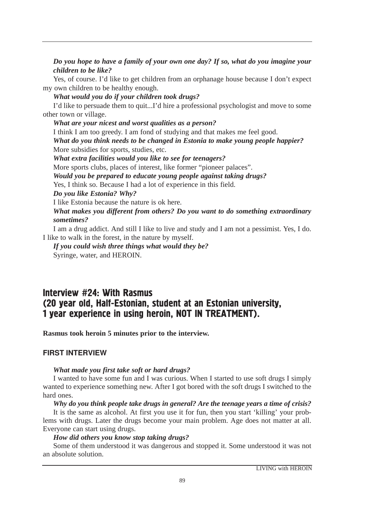*Do you hope to have a family of your own one day? If so, what do you imagine your children to be like?*

Yes, of course. I'd like to get children from an orphanage house because I don't expect my own children to be healthy enough.

*What would you do if your children took drugs?*

I'd like to persuade them to quit...I'd hire a professional psychologist and move to some other town or village.

*What are your nicest and worst qualities as a person?* I think I am too greedy. I am fond of studying and that makes me feel good. *What do you think needs to be changed in Estonia to make young people happier?* More subsidies for sports, studies, etc. *What extra facilities would you like to see for teenagers?* More sports clubs, places of interest, like former "pioneer palaces". *Would you be prepared to educate young people against taking drugs?* Yes, I think so. Because I had a lot of experience in this field. *Do you like Estonia? Why?* I like Estonia because the nature is ok here. *What makes you different from others? Do you want to do something extraordinary sometimes?*

I am a drug addict. And still I like to live and study and I am not a pessimist. Yes, I do. I like to walk in the forest, in the nature by myself.

*If you could wish three things what would they be?* Syringe, water, and HEROIN.

# Interview #24: With Rasmus (20 year old, Half-Estonian, student at an Estonian university, 1 year experience in using heroin, NOT IN TREATMENT).

**Rasmus took heroin 5 minutes prior to the interview.**

# FIRST INTERVIEW

# *What made you first take soft or hard drugs?*

I wanted to have some fun and I was curious. When I started to use soft drugs I simply wanted to experience something new. After I got bored with the soft drugs I switched to the hard ones.

# *Why do you think people take drugs in general? Are the teenage years a time of crisis?*

It is the same as alcohol. At first you use it for fun, then you start 'killing' your problems with drugs. Later the drugs become your main problem. Age does not matter at all. Everyone can start using drugs.

# *How did others you know stop taking drugs?*

Some of them understood it was dangerous and stopped it. Some understood it was not an absolute solution.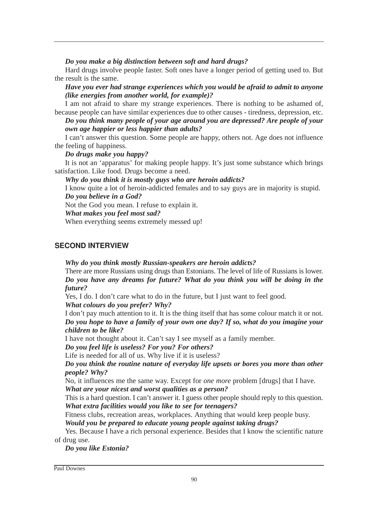*Do you make a big distinction between soft and hard drugs?*

Hard drugs involve people faster. Soft ones have a longer period of getting used to. But the result is the same.

*Have you ever had strange experiences which you would be afraid to admit to anyone (like energies from another world, for example)?*

I am not afraid to share my strange experiences. There is nothing to be ashamed of, because people can have similar experiences due to other causes - tiredness, depression, etc. *Do you think many people of your age around you are depressed? Are people of your*

*own age happier or less happier than adults?*

I can't answer this question. Some people are happy, others not. Age does not influence the feeling of happiness.

# *Do drugs make you happy?*

It is not an 'apparatus' for making people happy. It's just some substance which brings satisfaction. Like food. Drugs become a need.

*Why do you think it is mostly guys who are heroin addicts?*

I know quite a lot of heroin-addicted females and to say guys are in majority is stupid. *Do you believe in a God?*

Not the God you mean. I refuse to explain it.

*What makes you feel most sad?*

When everything seems extremely messed up!

# SECOND INTERVIEW

*Why do you think mostly Russian-speakers are heroin addicts?*

There are more Russians using drugs than Estonians. The level of life of Russians is lower. *Do you have any dreams for future? What do you think you will be doing in the future?*

Yes, I do. I don't care what to do in the future, but I just want to feel good. *What colours do you prefer? Why?*

I don't pay much attention to it. It is the thing itself that has some colour match it or not. *Do you hope to have a family of your own one day? If so, what do you imagine your children to be like?*

I have not thought about it. Can't say I see myself as a family member.

*Do you feel life is useless? For you? For others?*

Life is needed for all of us. Why live if it is useless?

*Do you think the routine nature of everyday life upsets or bores you more than other people? Why?*

No, it influences me the same way. Except for *one more* problem [drugs] that I have. *What are your nicest and worst qualities as a person?*

This is a hard question. I can't answer it. I guess other people should reply to this question. *What extra facilities would you like to see for teenagers?*

Fitness clubs, recreation areas, workplaces. Anything that would keep people busy.

*Would you be prepared to educate young people against taking drugs?*

Yes. Because I have a rich personal experience. Besides that I know the scientific nature of drug use.

*Do you like Estonia?* 

Paul Downes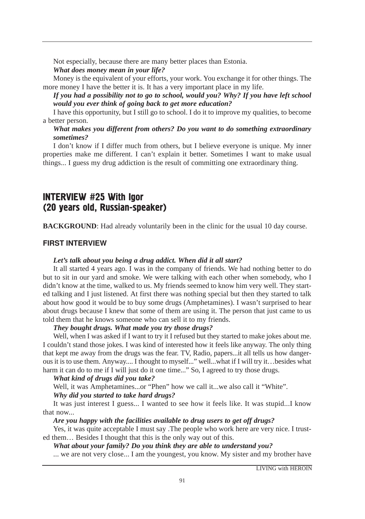Not especially, because there are many better places than Estonia.

# *What does money mean in your life?*

Money is the equivalent of your efforts, your work. You exchange it for other things. The more money I have the better it is. It has a very important place in my life.

# *If you had a possibility not to go to school, would you? Why? If you have left school would you ever think of going back to get more education?*

I have this opportunity, but I still go to school. I do it to improve my qualities, to become a better person.

# *What makes you different from others? Do you want to do something extraordinary sometimes?*

I don't know if I differ much from others, but I believe everyone is unique. My inner properties make me different. I can't explain it better. Sometimes I want to make usual things... I guess my drug addiction is the result of committing one extraordinary thing.

# INTERVIEW #25 With Igor (20 years old, Russian-speaker)

**BACKGROUND**: Had already voluntarily been in the clinic for the usual 10 day course.

# FIRST INTERVIEW

# *Let's talk about you being a drug addict. When did it all start?*

It all started 4 years ago. I was in the company of friends. We had nothing better to do but to sit in our yard and smoke. We were talking with each other when somebody, who I didn't know at the time, walked to us. My friends seemed to know him very well. They started talking and I just listened. At first there was nothing special but then they started to talk about how good it would be to buy some drugs (Amphetamines). I wasn't surprised to hear about drugs because I knew that some of them are using it. The person that just came to us told them that he knows someone who can sell it to my friends.

# *They bought drugs. What made you try those drugs?*

Well, when I was asked if I want to try it I refused but they started to make jokes about me. I couldn't stand those jokes. I was kind of interested how it feels like anyway. The only thing that kept me away from the drugs was the fear. TV, Radio, papers...it all tells us how dangerous it is to use them. Anyway.... I thought to myself..." well...what if I will try it…besides what harm it can do to me if I will just do it one time..." So, I agreed to try those drugs.

# *What kind of drugs did you take?*

Well, it was Amphetamines...or "Phen" how we call it...we also call it "White".

# *Why did you started to take hard drugs?*

It was just interest I guess... I wanted to see how it feels like. It was stupid...I know that now...

# *Are you happy with the facilities available to drug users to get off drugs?*

Yes, it was quite acceptable I must say .The people who work here are very nice. I trusted them… Besides I thought that this is the only way out of this.

*What about your family? Do you think they are able to understand you?*

... we are not very close... I am the youngest, you know. My sister and my brother have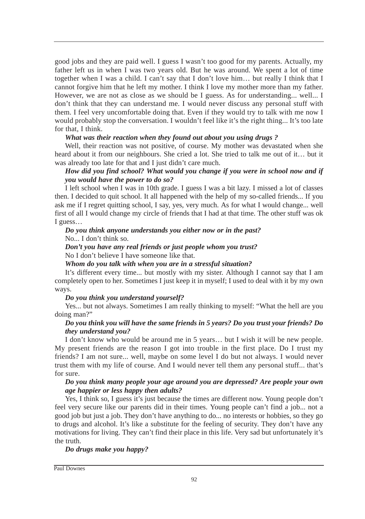good jobs and they are paid well. I guess I wasn't too good for my parents. Actually, my father left us in when I was two years old. But he was around. We spent a lot of time together when I was a child. I can't say that I don't love him… but really I think that I cannot forgive him that he left my mother. I think I love my mother more than my father. However, we are not as close as we should be I guess. As for understanding... well... I don't think that they can understand me. I would never discuss any personal stuff with them. I feel very uncomfortable doing that. Even if they would try to talk with me now I would probably stop the conversation. I wouldn't feel like it's the right thing... It's too late for that, I think.

# *What was their reaction when they found out about you using drugs ?*

Well, their reaction was not positive, of course. My mother was devastated when she heard about it from our neighbours. She cried a lot. She tried to talk me out of it… but it was already too late for that and I just didn't care much.

# *How did you find school? What would you change if you were in school now and if you would have the power to do so?*

I left school when I was in 10th grade. I guess I was a bit lazy. I missed a lot of classes then. I decided to quit school. It all happened with the help of my so-called friends... If you ask me if I regret quitting school, I say, yes, very much. As for what I would change... well first of all I would change my circle of friends that I had at that time. The other stuff was ok I guess…

# *Do you think anyone understands you either now or in the past?* No... I don't think so.

#### *Don't you have any real friends or just people whom you trust?* No I don't believe I have someone like that.

*Whom do you talk with when you are in a stressful situation?*

It's different every time... but mostly with my sister. Although I cannot say that I am completely open to her. Sometimes I just keep it in myself; I used to deal with it by my own ways.

#### *Do you think you understand yourself?*

Yes... but not always. Sometimes I am really thinking to myself: "What the hell are you doing man?"

# *Do you think you will have the same friends in 5 years? Do you trust your friends? Do they understand you?*

I don't know who would be around me in 5 years… but I wish it will be new people. My present friends are the reason I got into trouble in the first place. Do I trust my friends? I am not sure... well, maybe on some level I do but not always. I would never trust them with my life of course. And I would never tell them any personal stuff... that's for sure.

# *Do you think many people your age around you are depressed? Are people your own age happier or less happy then adults?*

Yes, I think so, I guess it's just because the times are different now. Young people don't feel very secure like our parents did in their times. Young people can't find a job... not a good job but just a job. They don't have anything to do... no interests or hobbies, so they go to drugs and alcohol. It's like a substitute for the feeling of security. They don't have any motivations for living. They can't find their place in this life. Very sad but unfortunately it's the truth.

# *Do drugs make you happy?*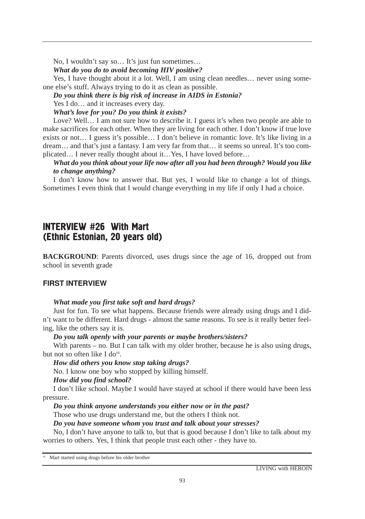No, I wouldn't say so… It's just fun sometimes…

#### *What do you do to avoid becoming HIV positive?*

Yes, I have thought about it a lot. Well, I am using clean needles... never using someone else's stuff. Always trying to do it as clean as possible.

#### *Do you think there is big risk of increase in AIDS in Estonia?*

Yes I do... and it increases every day.

#### *What's love for you? Do you think it exists?*

Love? Well... I am not sure how to describe it. I guess it's when two people are able to make sacrifices for each other. When they are living for each other. I don't know if true love exists or not… I guess it's possible… I don't believe in romantic love. It's like living in a dream… and that's just a fantasy. I am very far from that… it seems so unreal. It's too complicated… I never really thought about it…Yes, I have loved before…

# *What do you think about your life now after all you had been through? Would you like to change anything?*

I don't know how to answer that. But yes, I would like to change a lot of things. Sometimes I even think that I would change everything in my life if only I had a choice.

# INTERVIEW #26 With Mart (Ethnic Estonian, 20 years old)

**BACKGROUND**: Parents divorced, uses drugs since the age of 16, dropped out from school in seventh grade

# FIRST INTERVIEW

# *What made you first take soft and hard drugs?*

Just for fun. To see what happens. Because friends were already using drugs and I didn't want to be different. Hard drugs - almost the same reasons. To see is it really better feeling, like the others say it is.

# *Do you talk openly with your parents or maybe brothers/sisters?*

With parents – no. But I can talk with my older brother, because he is also using drugs, but not so often like I do<sup>16</sup>.

# *How did others you know stop taking drugs?*

No. I know one boy who stopped by killing himself.

# *How did you find school?*

I don't like school. Maybe I would have stayed at school if there would have been less pressure.

# *Do you think anyone understands you either now or in the past?*

Those who use drugs understand me, but the others I think not.

# *Do you have someone whom you trust and talk about your stresses?*

No, I don't have anyone to talk to, but that is good because I don't like to talk about my worries to others. Yes, I think that people trust each other - they have to.

<sup>&</sup>lt;sup>16</sup> Mart started using drugs before his older brother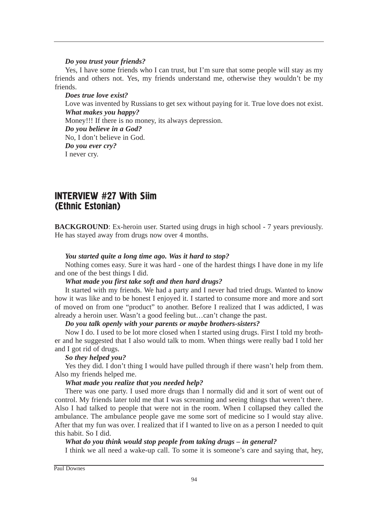#### *Do you trust your friends?*

Yes, I have some friends who I can trust, but I'm sure that some people will stay as my friends and others not. Yes, my friends understand me, otherwise they wouldn't be my friends.

*Does true love exist?* Love was invented by Russians to get sex without paying for it. True love does not exist. *What makes you happy?* Money!!! If there is no money, its always depression. *Do you believe in a God?* No, I don't believe in God. *Do you ever cry?* I never cry.

# **INTERVIEW #27 With Siim** (Ethnic Estonian)

**BACKGROUND**: Ex-heroin user. Started using drugs in high school - 7 years previously. He has stayed away from drugs now over 4 months.

# *You started quite a long time ago. Was it hard to stop?*

Nothing comes easy. Sure it was hard - one of the hardest things I have done in my life and one of the best things I did.

#### *What made you first take soft and then hard drugs?*

It started with my friends. We had a party and I never had tried drugs. Wanted to know how it was like and to be honest I enjoyed it. I started to consume more and more and sort of moved on from one "product" to another. Before I realized that I was addicted, I was already a heroin user. Wasn't a good feeling but…can't change the past.

#### *Do you talk openly with your parents or maybe brothers-sisters?*

Now I do. I used to be lot more closed when I started using drugs. First I told my brother and he suggested that I also would talk to mom. When things were really bad I told her and I got rid of drugs.

# *So they helped you?*

Yes they did. I don't thing I would have pulled through if there wasn't help from them. Also my friends helped me.

# *What made you realize that you needed help?*

There was one party. I used more drugs than I normally did and it sort of went out of control. My friends later told me that I was screaming and seeing things that weren't there. Also I had talked to people that were not in the room. When I collapsed they called the ambulance. The ambulance people gave me some sort of medicine so I would stay alive. After that my fun was over. I realized that if I wanted to live on as a person I needed to quit this habit. So I did.

# *What do you think would stop people from taking drugs – in general?*

I think we all need a wake-up call. To some it is someone's care and saying that, hey,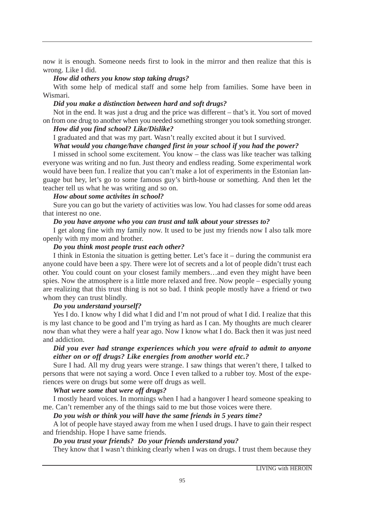now it is enough. Someone needs first to look in the mirror and then realize that this is wrong. Like I did.

#### *How did others you know stop taking drugs?*

With some help of medical staff and some help from families. Some have been in Wismari.

# *Did you make a distinction between hard and soft drugs?*

Not in the end. It was just a drug and the price was different – that's it. You sort of moved on from one drug to another when you needed something stronger you took something stronger.

# *How did you find school? Like/Dislike?*

I graduated and that was my part. Wasn't really excited about it but I survived.

# *What would you change/have changed first in your school if you had the power?*

I missed in school some excitement. You know – the class was like teacher was talking everyone was writing and no fun. Just theory and endless reading. Some experimental work would have been fun. I realize that you can't make a lot of experiments in the Estonian language but hey, let's go to some famous guy's birth-house or something. And then let the teacher tell us what he was writing and so on.

#### *How about some activites in school?*

Sure you can go but the variety of activities was low. You had classes for some odd areas that interest no one.

#### *Do you have anyone who you can trust and talk about your stresses to?*

I get along fine with my family now. It used to be just my friends now I also talk more openly with my mom and brother.

#### *Do you think most people trust each other?*

I think in Estonia the situation is getting better. Let's face it – during the communist era anyone could have been a spy. There were lot of secrets and a lot of people didn't trust each other. You could count on your closest family members…and even they might have been spies. Now the atmosphere is a little more relaxed and free. Now people – especially young are realizing that this trust thing is not so bad. I think people mostly have a friend or two whom they can trust blindly.

#### *Do you understand yourself?*

Yes I do. I know why I did what I did and I'm not proud of what I did. I realize that this is my last chance to be good and I'm trying as hard as I can. My thoughts are much clearer now than what they were a half year ago. Now I know what I do. Back then it was just need and addiction.

#### *Did you ever had strange experiences which you were afraid to admit to anyone either on or off drugs? Like energies from another world etc.?*

Sure I had. All my drug years were strange. I saw things that weren't there, I talked to persons that were not saying a word. Once I even talked to a rubber toy. Most of the experiences were on drugs but some were off drugs as well.

#### *What were some that were off drugs?*

I mostly heard voices. In mornings when I had a hangover I heard someone speaking to me. Can't remember any of the things said to me but those voices were there.

# *Do you wish or think you will have the same friends in 5 years time?*

A lot of people have stayed away from me when I used drugs. I have to gain their respect and friendship. Hope I have same friends.

#### *Do you trust your friends? Do your friends understand you?*

They know that I wasn't thinking clearly when I was on drugs. I trust them because they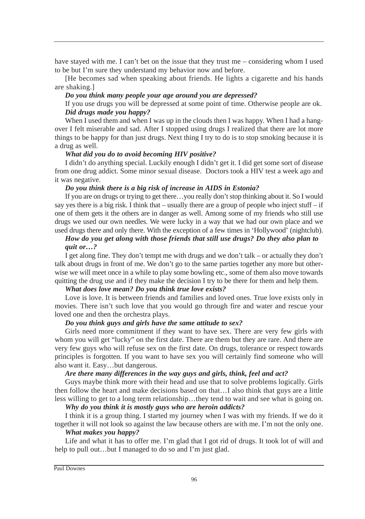have stayed with me. I can't bet on the issue that they trust me – considering whom I used to be but I'm sure they understand my behavior now and before.

[He becomes sad when speaking about friends. He lights a cigarette and his hands are shaking.]

#### *Do you think many people your age around you are depressed?*

If you use drugs you will be depressed at some point of time. Otherwise people are ok. *Did drugs made you happy?*

When I used them and when I was up in the clouds then I was happy. When I had a hangover I felt miserable and sad. After I stopped using drugs I realized that there are lot more things to be happy for than just drugs. Next thing I try to do is to stop smoking because it is a drug as well.

#### *What did you do to avoid becoming HIV positive?*

I didn't do anything special. Luckily enough I didn't get it. I did get some sort of disease from one drug addict. Some minor sexual disease. Doctors took a HIV test a week ago and it was negative.

#### *Do you think there is a big risk of increase in AIDS in Estonia?*

If you are on drugs or trying to get there…you really don't stop thinking about it. So I would say yes there is a big risk. I think that – usually there are a group of people who inject stuff – if one of them gets it the others are in danger as well. Among some of my friends who still use drugs we used our own needles. We were lucky in a way that we had our own place and we used drugs there and only there. With the exception of a few times in 'Hollywood' (nightclub).

# *How do you get along with those friends that still use drugs? Do they also plan to quit or…?*

I get along fine. They don't tempt me with drugs and we don't talk – or actually they don't talk about drugs in front of me. We don't go to the same parties together any more but otherwise we will meet once in a while to play some bowling etc., some of them also move towards quitting the drug use and if they make the decision I try to be there for them and help them.

#### *What does love mean? Do you think true love exists?*

Love is love. It is between friends and families and loved ones. True love exists only in movies. There isn't such love that you would go through fire and water and rescue your loved one and then the orchestra plays.

#### *Do you think guys and girls have the same attitude to sex?*

Girls need more commitment if they want to have sex. There are very few girls with whom you will get "lucky" on the first date. There are them but they are rare. And there are very few guys who will refuse sex on the first date. On drugs, tolerance or respect towards principles is forgotten. If you want to have sex you will certainly find someone who will also want it. Easy…but dangerous.

#### *Are there many differences in the way guys and girls, think, feel and act?*

Guys maybe think more with their head and use that to solve problems logically. Girls then follow the heart and make decisions based on that…I also think that guys are a little less willing to get to a long term relationship…they tend to wait and see what is going on.

# *Why do you think it is mostly guys who are heroin addicts?*

I think it is a group thing. I started my journey when I was with my friends. If we do it together it will not look so against the law because others are with me. I'm not the only one.

#### *What makes you happy?*

Life and what it has to offer me. I'm glad that I got rid of drugs. It took lot of will and help to pull out...but I managed to do so and I'm just glad.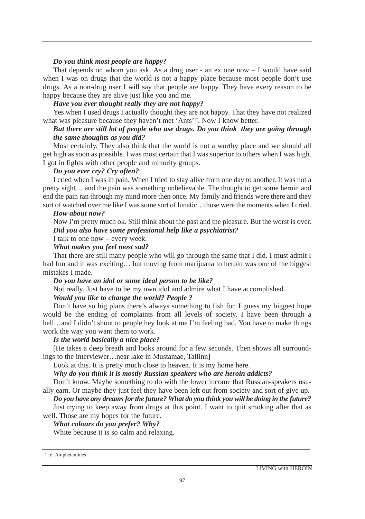#### *Do you think most people are happy?*

That depends on whom you ask. As a drug user - an ex one now  $-1$  would have said when I was on drugs that the world is not a happy place because most people don't use drugs. As a non-drug user I will say that people are happy. They have every reason to be happy because they are alive just like you and me.

#### *Have you ever thought really they are not happy?*

Yes when I used drugs I actually thought they are not happy. That they have not realized what was pleasure because they haven't met 'Ants'17. Now I know better.

# *But there are still lot of people who use drugs. Do you think they are going through the same thoughts as you did?*

Most certainly. They also think that the world is not a worthy place and we should all get high as soon as possible. I was most certain that I was superior to others when I was high. I got in fights with other people and minority groups.

#### *Do you ever cry? Cry often?*

I cried when I was in pain. When I tried to stay alive from one day to another. It was not a pretty sight… and the pain was something unbelievable. The thought to get some heroin and end the pain ran through my mind more then once. My family and friends were there and they sort of watched over me like I was some sort of lunatic…those were the moments when I cried.

#### *How about now?*

Now I'm pretty much ok. Still think about the past and the pleasure. But the worst is over. *Did you also have some professional help like a psychiatrist?*

# I talk to one now – every week.

*What makes you feel most sad?*

That there are still many people who will go through the same that I did. I must admit I had fun and it was exciting... but moving from marijuana to heroin was one of the biggest mistakes I made.

#### *Do you have an idol or some ideal person to be like?*

Not really. Just have to be my own idol and admire what I have accomplished.

#### *Would you like to change the world? People ?*

Don't have so big plans there's always something to fish for. I guess my biggest hope would be the ending of complaints from all levels of society. I have been through a hell...and I didn't shout to people hey look at me I'm feeling bad. You have to make things work the way you want them to work.

# *Is the world basically a nice place?*

[He takes a deep breath and looks around for a few seconds. Then shows all surroundings to the interviewer…near lake in Mustamae, Tallinn]

Look at this. It is pretty much close to heaven. It is my home here.

*Why do you think it is mostly Russian-speakers who are heroin addicts?*

Don't know. Maybe something to do with the lower income that Russian-speakers usually earn. Or maybe they just feel they have been left out from society and sort of give up.

*Do you have any dreams for the future? What do you think you will be doing in the future?*

Just trying to keep away from drugs at this point. I want to quit smoking after that as well. Those are my hopes for the future.

# *What colours do you prefer? Why?*

White because it is so calm and relaxing.

<sup>&</sup>lt;sup>17</sup> i.e. Amphetamines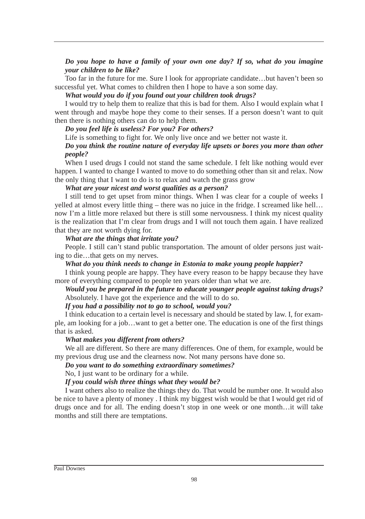# *Do you hope to have a family of your own one day? If so, what do you imagine your children to be like?*

Too far in the future for me. Sure I look for appropriate candidate…but haven't been so successful yet. What comes to children then I hope to have a son some day.

#### *What would you do if you found out your children took drugs?*

I would try to help them to realize that this is bad for them. Also I would explain what I went through and maybe hope they come to their senses. If a person doesn't want to quit then there is nothing others can do to help them.

# *Do you feel life is useless? For you? For others?*

Life is something to fight for. We only live once and we better not waste it.

# *Do you think the routine nature of everyday life upsets or bores you more than other people?*

When I used drugs I could not stand the same schedule. I felt like nothing would ever happen. I wanted to change I wanted to move to do something other than sit and relax. Now the only thing that I want to do is to relax and watch the grass grow

# *What are your nicest and worst qualities as a person?*

I still tend to get upset from minor things. When I was clear for a couple of weeks I yelled at almost every little thing – there was no juice in the fridge. I screamed like hell… now I'm a little more relaxed but there is still some nervousness. I think my nicest quality is the realization that I'm clear from drugs and I will not touch them again. I have realized that they are not worth dying for.

#### *What are the things that irritate you?*

People. I still can't stand public transportation. The amount of older persons just waiting to die…that gets on my nerves.

#### *What do you think needs to change in Estonia to make young people happier?*

I think young people are happy. They have every reason to be happy because they have more of everything compared to people ten years older than what we are.

#### *Would you be prepared in the future to educate younger people against taking drugs?* Absolutely. I have got the experience and the will to do so.

#### *If you had a possibility not to go to school, would you?*

I think education to a certain level is necessary and should be stated by law. I, for example, am looking for a job…want to get a better one. The education is one of the first things that is asked.

#### *What makes you different from others?*

We all are different. So there are many differences. One of them, for example, would be my previous drug use and the clearness now. Not many persons have done so.

#### *Do you want to do something extraordinary sometimes?*

No, I just want to be ordinary for a while.

#### *If you could wish three things what they would be?*

I want others also to realize the things they do. That would be number one. It would also be nice to have a plenty of money . I think my biggest wish would be that I would get rid of drugs once and for all. The ending doesn't stop in one week or one month…it will take months and still there are temptations.